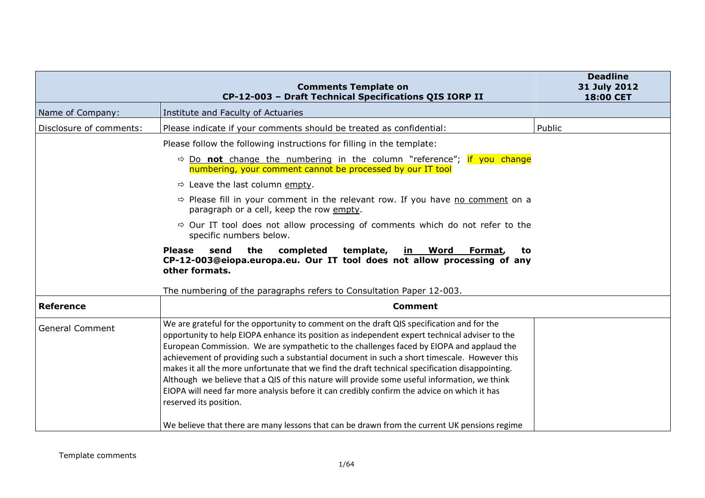|                         | <b>Comments Template on</b><br>CP-12-003 - Draft Technical Specifications QIS IORP II                                                                                                                                                                                                                                                                                                                                                                                                                                                                                                                                                                                                                              | <b>Deadline</b><br>31 July 2012<br>18:00 CET |
|-------------------------|--------------------------------------------------------------------------------------------------------------------------------------------------------------------------------------------------------------------------------------------------------------------------------------------------------------------------------------------------------------------------------------------------------------------------------------------------------------------------------------------------------------------------------------------------------------------------------------------------------------------------------------------------------------------------------------------------------------------|----------------------------------------------|
| Name of Company:        | Institute and Faculty of Actuaries                                                                                                                                                                                                                                                                                                                                                                                                                                                                                                                                                                                                                                                                                 |                                              |
| Disclosure of comments: | Please indicate if your comments should be treated as confidential:                                                                                                                                                                                                                                                                                                                                                                                                                                                                                                                                                                                                                                                | Public                                       |
|                         | Please follow the following instructions for filling in the template:                                                                                                                                                                                                                                                                                                                                                                                                                                                                                                                                                                                                                                              |                                              |
|                         | $\Rightarrow$ Do not change the numbering in the column "reference"; if you change<br>numbering, your comment cannot be processed by our IT tool                                                                                                                                                                                                                                                                                                                                                                                                                                                                                                                                                                   |                                              |
|                         | $\Rightarrow$ Leave the last column empty.                                                                                                                                                                                                                                                                                                                                                                                                                                                                                                                                                                                                                                                                         |                                              |
|                         | $\Rightarrow$ Please fill in your comment in the relevant row. If you have no comment on a<br>paragraph or a cell, keep the row empty.                                                                                                                                                                                                                                                                                                                                                                                                                                                                                                                                                                             |                                              |
|                         | $\Rightarrow$ Our IT tool does not allow processing of comments which do not refer to the<br>specific numbers below.                                                                                                                                                                                                                                                                                                                                                                                                                                                                                                                                                                                               |                                              |
|                         | completed<br><b>Please</b><br>send<br>the<br>template,<br><u>in Word</u><br>Format,<br>to<br>CP-12-003@eiopa.europa.eu. Our IT tool does not allow processing of any<br>other formats.<br>The numbering of the paragraphs refers to Consultation Paper 12-003.                                                                                                                                                                                                                                                                                                                                                                                                                                                     |                                              |
| <b>Reference</b>        | <b>Comment</b>                                                                                                                                                                                                                                                                                                                                                                                                                                                                                                                                                                                                                                                                                                     |                                              |
| <b>General Comment</b>  | We are grateful for the opportunity to comment on the draft QIS specification and for the<br>opportunity to help EIOPA enhance its position as independent expert technical adviser to the<br>European Commission. We are sympathetic to the challenges faced by EIOPA and applaud the<br>achievement of providing such a substantial document in such a short timescale. However this<br>makes it all the more unfortunate that we find the draft technical specification disappointing.<br>Although we believe that a QIS of this nature will provide some useful information, we think<br>EIOPA will need far more analysis before it can credibly confirm the advice on which it has<br>reserved its position. |                                              |
|                         | We believe that there are many lessons that can be drawn from the current UK pensions regime                                                                                                                                                                                                                                                                                                                                                                                                                                                                                                                                                                                                                       |                                              |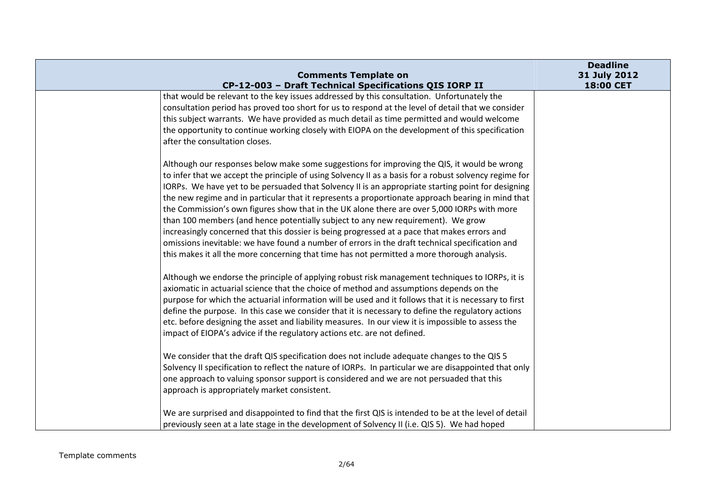| <b>Comments Template on</b>                                                                                                                                                                                                                                                                                                                                                                                                                                                                                                                                                                                                                                                                                                                                                                                                                                                                           | <b>Deadline</b><br>31 July 2012 |
|-------------------------------------------------------------------------------------------------------------------------------------------------------------------------------------------------------------------------------------------------------------------------------------------------------------------------------------------------------------------------------------------------------------------------------------------------------------------------------------------------------------------------------------------------------------------------------------------------------------------------------------------------------------------------------------------------------------------------------------------------------------------------------------------------------------------------------------------------------------------------------------------------------|---------------------------------|
| CP-12-003 - Draft Technical Specifications QIS IORP II                                                                                                                                                                                                                                                                                                                                                                                                                                                                                                                                                                                                                                                                                                                                                                                                                                                | 18:00 CET                       |
| that would be relevant to the key issues addressed by this consultation. Unfortunately the<br>consultation period has proved too short for us to respond at the level of detail that we consider<br>this subject warrants. We have provided as much detail as time permitted and would welcome<br>the opportunity to continue working closely with EIOPA on the development of this specification<br>after the consultation closes.                                                                                                                                                                                                                                                                                                                                                                                                                                                                   |                                 |
| Although our responses below make some suggestions for improving the QIS, it would be wrong<br>to infer that we accept the principle of using Solvency II as a basis for a robust solvency regime for<br>IORPs. We have yet to be persuaded that Solvency II is an appropriate starting point for designing<br>the new regime and in particular that it represents a proportionate approach bearing in mind that<br>the Commission's own figures show that in the UK alone there are over 5,000 IORPs with more<br>than 100 members (and hence potentially subject to any new requirement). We grow<br>increasingly concerned that this dossier is being progressed at a pace that makes errors and<br>omissions inevitable: we have found a number of errors in the draft technical specification and<br>this makes it all the more concerning that time has not permitted a more thorough analysis. |                                 |
| Although we endorse the principle of applying robust risk management techniques to IORPs, it is<br>axiomatic in actuarial science that the choice of method and assumptions depends on the<br>purpose for which the actuarial information will be used and it follows that it is necessary to first<br>define the purpose. In this case we consider that it is necessary to define the regulatory actions<br>etc. before designing the asset and liability measures. In our view it is impossible to assess the<br>impact of EIOPA's advice if the regulatory actions etc. are not defined.<br>We consider that the draft QIS specification does not include adequate changes to the QIS 5<br>Solvency II specification to reflect the nature of IORPs. In particular we are disappointed that only<br>one approach to valuing sponsor support is considered and we are not persuaded that this       |                                 |
| approach is appropriately market consistent.<br>We are surprised and disappointed to find that the first QIS is intended to be at the level of detail<br>previously seen at a late stage in the development of Solvency II (i.e. QIS 5). We had hoped                                                                                                                                                                                                                                                                                                                                                                                                                                                                                                                                                                                                                                                 |                                 |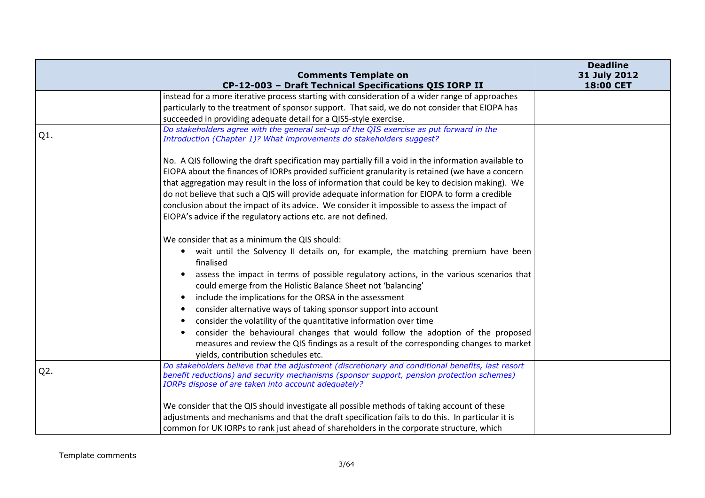|        | <b>Comments Template on</b>                                                                                                                                                                                                                          | <b>Deadline</b><br>31 July 2012 |
|--------|------------------------------------------------------------------------------------------------------------------------------------------------------------------------------------------------------------------------------------------------------|---------------------------------|
|        | CP-12-003 - Draft Technical Specifications QIS IORP II                                                                                                                                                                                               | 18:00 CET                       |
|        | instead for a more iterative process starting with consideration of a wider range of approaches                                                                                                                                                      |                                 |
|        | particularly to the treatment of sponsor support. That said, we do not consider that EIOPA has                                                                                                                                                       |                                 |
|        | succeeded in providing adequate detail for a QIS5-style exercise.                                                                                                                                                                                    |                                 |
| Q1.    | Do stakeholders agree with the general set-up of the QIS exercise as put forward in the<br>Introduction (Chapter 1)? What improvements do stakeholders suggest?                                                                                      |                                 |
|        | No. A QIS following the draft specification may partially fill a void in the information available to                                                                                                                                                |                                 |
|        | EIOPA about the finances of IORPs provided sufficient granularity is retained (we have a concern                                                                                                                                                     |                                 |
|        | that aggregation may result in the loss of information that could be key to decision making). We                                                                                                                                                     |                                 |
|        | do not believe that such a QIS will provide adequate information for EIOPA to form a credible                                                                                                                                                        |                                 |
|        | conclusion about the impact of its advice. We consider it impossible to assess the impact of                                                                                                                                                         |                                 |
|        | EIOPA's advice if the regulatory actions etc. are not defined.                                                                                                                                                                                       |                                 |
|        | We consider that as a minimum the QIS should:                                                                                                                                                                                                        |                                 |
|        | wait until the Solvency II details on, for example, the matching premium have been<br>$\bullet$<br>finalised                                                                                                                                         |                                 |
|        | assess the impact in terms of possible regulatory actions, in the various scenarios that<br>could emerge from the Holistic Balance Sheet not 'balancing'                                                                                             |                                 |
|        | include the implications for the ORSA in the assessment<br>$\bullet$                                                                                                                                                                                 |                                 |
|        | consider alternative ways of taking sponsor support into account<br>$\bullet$                                                                                                                                                                        |                                 |
|        | consider the volatility of the quantitative information over time                                                                                                                                                                                    |                                 |
|        | consider the behavioural changes that would follow the adoption of the proposed<br>$\bullet$                                                                                                                                                         |                                 |
|        | measures and review the QIS findings as a result of the corresponding changes to market<br>yields, contribution schedules etc.                                                                                                                       |                                 |
| $Q2$ . | Do stakeholders believe that the adjustment (discretionary and conditional benefits, last resort<br>benefit reductions) and security mechanisms (sponsor support, pension protection schemes)<br>IORPs dispose of are taken into account adequately? |                                 |
|        | We consider that the QIS should investigate all possible methods of taking account of these                                                                                                                                                          |                                 |
|        | adjustments and mechanisms and that the draft specification fails to do this. In particular it is                                                                                                                                                    |                                 |
|        | common for UK IORPs to rank just ahead of shareholders in the corporate structure, which                                                                                                                                                             |                                 |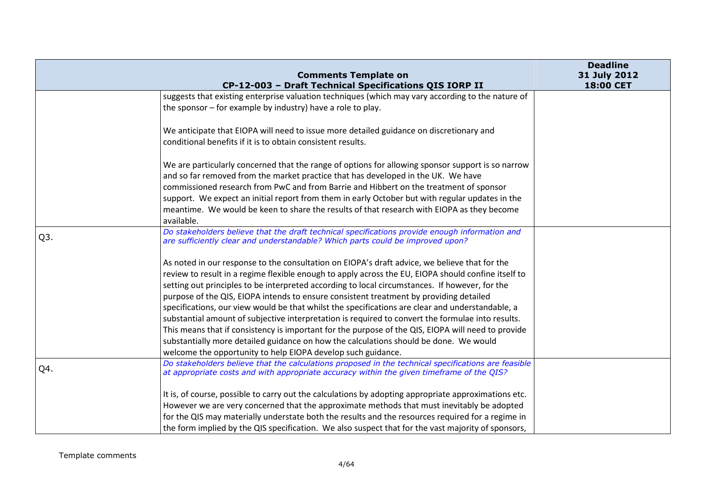|                  | <b>Comments Template on</b>                                                                                                                                                                      | <b>Deadline</b><br>31 July 2012 |
|------------------|--------------------------------------------------------------------------------------------------------------------------------------------------------------------------------------------------|---------------------------------|
|                  | CP-12-003 - Draft Technical Specifications QIS IORP II                                                                                                                                           | 18:00 CET                       |
|                  | suggests that existing enterprise valuation techniques (which may vary according to the nature of                                                                                                |                                 |
|                  | the sponsor – for example by industry) have a role to play.                                                                                                                                      |                                 |
|                  | We anticipate that EIOPA will need to issue more detailed guidance on discretionary and                                                                                                          |                                 |
|                  | conditional benefits if it is to obtain consistent results.                                                                                                                                      |                                 |
|                  | We are particularly concerned that the range of options for allowing sponsor support is so narrow                                                                                                |                                 |
|                  | and so far removed from the market practice that has developed in the UK. We have                                                                                                                |                                 |
|                  | commissioned research from PwC and from Barrie and Hibbert on the treatment of sponsor                                                                                                           |                                 |
|                  | support. We expect an initial report from them in early October but with regular updates in the                                                                                                  |                                 |
|                  | meantime. We would be keen to share the results of that research with EIOPA as they become<br>available.                                                                                         |                                 |
| Q <sub>3</sub> . | Do stakeholders believe that the draft technical specifications provide enough information and<br>are sufficiently clear and understandable? Which parts could be improved upon?                 |                                 |
|                  | As noted in our response to the consultation on EIOPA's draft advice, we believe that for the                                                                                                    |                                 |
|                  | review to result in a regime flexible enough to apply across the EU, EIOPA should confine itself to                                                                                              |                                 |
|                  | setting out principles to be interpreted according to local circumstances. If however, for the                                                                                                   |                                 |
|                  | purpose of the QIS, EIOPA intends to ensure consistent treatment by providing detailed                                                                                                           |                                 |
|                  | specifications, our view would be that whilst the specifications are clear and understandable, a                                                                                                 |                                 |
|                  | substantial amount of subjective interpretation is required to convert the formulae into results.                                                                                                |                                 |
|                  | This means that if consistency is important for the purpose of the QIS, EIOPA will need to provide                                                                                               |                                 |
|                  | substantially more detailed guidance on how the calculations should be done. We would                                                                                                            |                                 |
|                  | welcome the opportunity to help EIOPA develop such guidance.                                                                                                                                     |                                 |
| Q4.              | Do stakeholders believe that the calculations proposed in the technical specifications are feasible<br>at appropriate costs and with appropriate accuracy within the given timeframe of the QIS? |                                 |
|                  | It is, of course, possible to carry out the calculations by adopting appropriate approximations etc.                                                                                             |                                 |
|                  | However we are very concerned that the approximate methods that must inevitably be adopted                                                                                                       |                                 |
|                  | for the QIS may materially understate both the results and the resources required for a regime in                                                                                                |                                 |
|                  | the form implied by the QIS specification. We also suspect that for the vast majority of sponsors,                                                                                               |                                 |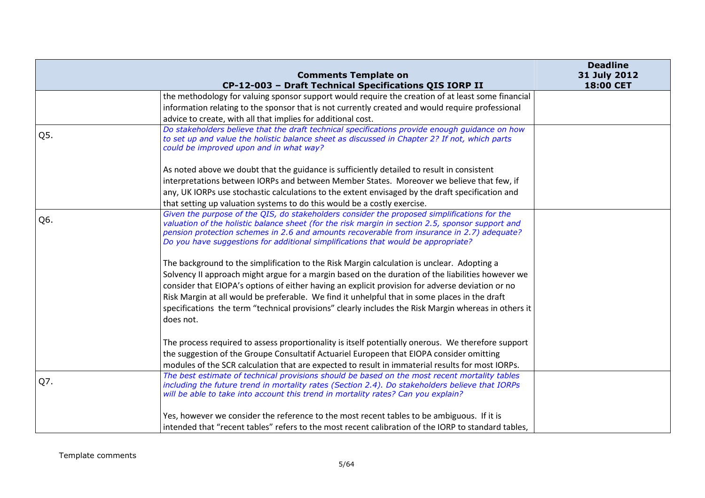|     | <b>Comments Template on</b>                                                                                                                                                                                                                                                                                                                                                        | <b>Deadline</b><br>31 July 2012 |
|-----|------------------------------------------------------------------------------------------------------------------------------------------------------------------------------------------------------------------------------------------------------------------------------------------------------------------------------------------------------------------------------------|---------------------------------|
|     | CP-12-003 - Draft Technical Specifications QIS IORP II                                                                                                                                                                                                                                                                                                                             | 18:00 CET                       |
|     | the methodology for valuing sponsor support would require the creation of at least some financial                                                                                                                                                                                                                                                                                  |                                 |
|     | information relating to the sponsor that is not currently created and would require professional                                                                                                                                                                                                                                                                                   |                                 |
|     | advice to create, with all that implies for additional cost.                                                                                                                                                                                                                                                                                                                       |                                 |
| Q5. | Do stakeholders believe that the draft technical specifications provide enough guidance on how<br>to set up and value the holistic balance sheet as discussed in Chapter 2? If not, which parts<br>could be improved upon and in what way?                                                                                                                                         |                                 |
|     | As noted above we doubt that the guidance is sufficiently detailed to result in consistent                                                                                                                                                                                                                                                                                         |                                 |
|     | interpretations between IORPs and between Member States. Moreover we believe that few, if                                                                                                                                                                                                                                                                                          |                                 |
|     | any, UK IORPs use stochastic calculations to the extent envisaged by the draft specification and                                                                                                                                                                                                                                                                                   |                                 |
|     | that setting up valuation systems to do this would be a costly exercise.                                                                                                                                                                                                                                                                                                           |                                 |
| Q6. | Given the purpose of the QIS, do stakeholders consider the proposed simplifications for the<br>valuation of the holistic balance sheet (for the risk margin in section 2.5, sponsor support and<br>pension protection schemes in 2.6 and amounts recoverable from insurance in 2.7) adequate?<br>Do you have suggestions for additional simplifications that would be appropriate? |                                 |
|     | The background to the simplification to the Risk Margin calculation is unclear. Adopting a                                                                                                                                                                                                                                                                                         |                                 |
|     | Solvency II approach might argue for a margin based on the duration of the liabilities however we                                                                                                                                                                                                                                                                                  |                                 |
|     | consider that EIOPA's options of either having an explicit provision for adverse deviation or no                                                                                                                                                                                                                                                                                   |                                 |
|     | Risk Margin at all would be preferable. We find it unhelpful that in some places in the draft                                                                                                                                                                                                                                                                                      |                                 |
|     | specifications the term "technical provisions" clearly includes the Risk Margin whereas in others it                                                                                                                                                                                                                                                                               |                                 |
|     | does not.                                                                                                                                                                                                                                                                                                                                                                          |                                 |
|     | The process required to assess proportionality is itself potentially onerous. We therefore support                                                                                                                                                                                                                                                                                 |                                 |
|     | the suggestion of the Groupe Consultatif Actuariel Europeen that EIOPA consider omitting                                                                                                                                                                                                                                                                                           |                                 |
|     | modules of the SCR calculation that are expected to result in immaterial results for most IORPs.                                                                                                                                                                                                                                                                                   |                                 |
|     | The best estimate of technical provisions should be based on the most recent mortality tables                                                                                                                                                                                                                                                                                      |                                 |
| Q7. | including the future trend in mortality rates (Section 2.4). Do stakeholders believe that IORPs                                                                                                                                                                                                                                                                                    |                                 |
|     | will be able to take into account this trend in mortality rates? Can you explain?                                                                                                                                                                                                                                                                                                  |                                 |
|     | Yes, however we consider the reference to the most recent tables to be ambiguous. If it is                                                                                                                                                                                                                                                                                         |                                 |
|     | intended that "recent tables" refers to the most recent calibration of the IORP to standard tables,                                                                                                                                                                                                                                                                                |                                 |
|     |                                                                                                                                                                                                                                                                                                                                                                                    |                                 |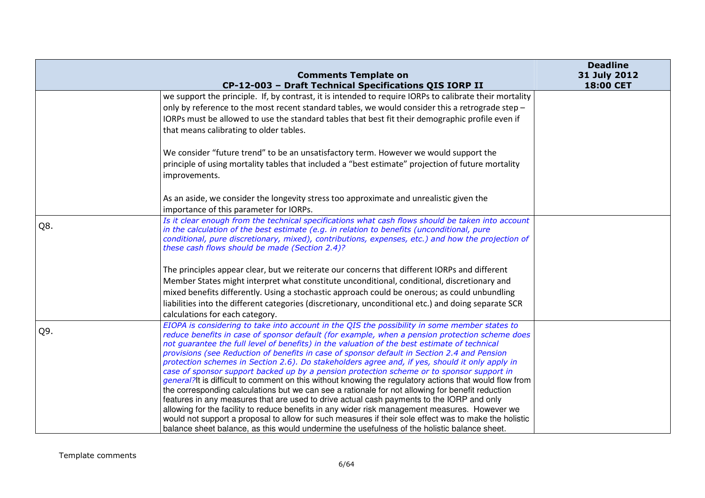|     | <b>Comments Template on</b>                                                                                                                                                                                                                                                                                                                                                                                                                                                                                                                                                                                                                                                                                                                                                                                 | <b>Deadline</b><br>31 July 2012 |
|-----|-------------------------------------------------------------------------------------------------------------------------------------------------------------------------------------------------------------------------------------------------------------------------------------------------------------------------------------------------------------------------------------------------------------------------------------------------------------------------------------------------------------------------------------------------------------------------------------------------------------------------------------------------------------------------------------------------------------------------------------------------------------------------------------------------------------|---------------------------------|
|     | CP-12-003 - Draft Technical Specifications QIS IORP II                                                                                                                                                                                                                                                                                                                                                                                                                                                                                                                                                                                                                                                                                                                                                      | 18:00 CET                       |
|     | we support the principle. If, by contrast, it is intended to require IORPs to calibrate their mortality<br>only by reference to the most recent standard tables, we would consider this a retrograde step -<br>IORPs must be allowed to use the standard tables that best fit their demographic profile even if<br>that means calibrating to older tables.                                                                                                                                                                                                                                                                                                                                                                                                                                                  |                                 |
|     | We consider "future trend" to be an unsatisfactory term. However we would support the<br>principle of using mortality tables that included a "best estimate" projection of future mortality<br>improvements.                                                                                                                                                                                                                                                                                                                                                                                                                                                                                                                                                                                                |                                 |
|     | As an aside, we consider the longevity stress too approximate and unrealistic given the<br>importance of this parameter for IORPs.                                                                                                                                                                                                                                                                                                                                                                                                                                                                                                                                                                                                                                                                          |                                 |
| Q8. | Is it clear enough from the technical specifications what cash flows should be taken into account<br>in the calculation of the best estimate (e.g. in relation to benefits (unconditional, pure<br>conditional, pure discretionary, mixed), contributions, expenses, etc.) and how the projection of<br>these cash flows should be made (Section 2.4)?                                                                                                                                                                                                                                                                                                                                                                                                                                                      |                                 |
|     | The principles appear clear, but we reiterate our concerns that different IORPs and different                                                                                                                                                                                                                                                                                                                                                                                                                                                                                                                                                                                                                                                                                                               |                                 |
|     | Member States might interpret what constitute unconditional, conditional, discretionary and                                                                                                                                                                                                                                                                                                                                                                                                                                                                                                                                                                                                                                                                                                                 |                                 |
|     | mixed benefits differently. Using a stochastic approach could be onerous; as could unbundling                                                                                                                                                                                                                                                                                                                                                                                                                                                                                                                                                                                                                                                                                                               |                                 |
|     | liabilities into the different categories (discretionary, unconditional etc.) and doing separate SCR<br>calculations for each category.                                                                                                                                                                                                                                                                                                                                                                                                                                                                                                                                                                                                                                                                     |                                 |
| Q9. | EIOPA is considering to take into account in the QIS the possibility in some member states to<br>reduce benefits in case of sponsor default (for example, when a pension protection scheme does<br>not guarantee the full level of benefits) in the valuation of the best estimate of technical<br>provisions (see Reduction of benefits in case of sponsor default in Section 2.4 and Pension<br>protection schemes in Section 2.6). Do stakeholders agree and, if yes, should it only apply in<br>case of sponsor support backed up by a pension protection scheme or to sponsor support in<br>general?It is difficult to comment on this without knowing the regulatory actions that would flow from<br>the corresponding calculations but we can see a rationale for not allowing for benefit reduction |                                 |
|     | features in any measures that are used to drive actual cash payments to the IORP and only<br>allowing for the facility to reduce benefits in any wider risk management measures. However we<br>would not support a proposal to allow for such measures if their sole effect was to make the holistic<br>balance sheet balance, as this would undermine the usefulness of the holistic balance sheet.                                                                                                                                                                                                                                                                                                                                                                                                        |                                 |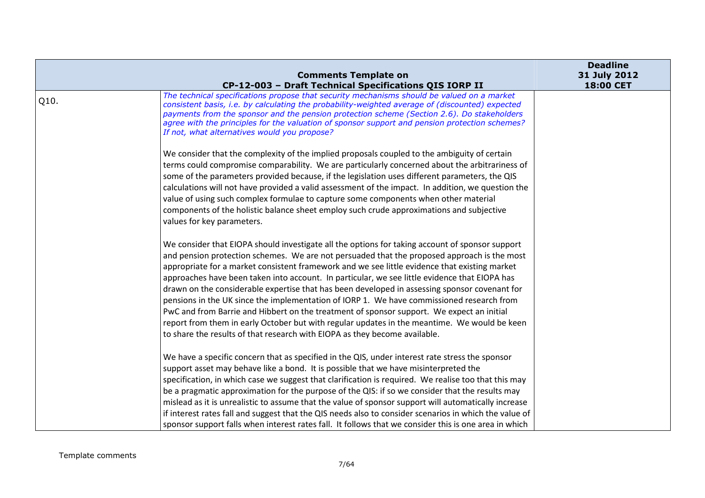|      | <b>Comments Template on</b><br>CP-12-003 - Draft Technical Specifications QIS IORP II                                                                                                                                                                                                                                                                                                                                                                                                                                                                                                                                                                                                                                                                                                                                                                                     | <b>Deadline</b><br>31 July 2012<br>18:00 CET |
|------|---------------------------------------------------------------------------------------------------------------------------------------------------------------------------------------------------------------------------------------------------------------------------------------------------------------------------------------------------------------------------------------------------------------------------------------------------------------------------------------------------------------------------------------------------------------------------------------------------------------------------------------------------------------------------------------------------------------------------------------------------------------------------------------------------------------------------------------------------------------------------|----------------------------------------------|
| Q10. | The technical specifications propose that security mechanisms should be valued on a market<br>consistent basis, i.e. by calculating the probability-weighted average of (discounted) expected<br>payments from the sponsor and the pension protection scheme (Section 2.6). Do stakeholders<br>agree with the principles for the valuation of sponsor support and pension protection schemes?<br>If not, what alternatives would you propose?                                                                                                                                                                                                                                                                                                                                                                                                                             |                                              |
|      | We consider that the complexity of the implied proposals coupled to the ambiguity of certain<br>terms could compromise comparability. We are particularly concerned about the arbitrariness of<br>some of the parameters provided because, if the legislation uses different parameters, the QIS<br>calculations will not have provided a valid assessment of the impact. In addition, we question the<br>value of using such complex formulae to capture some components when other material<br>components of the holistic balance sheet employ such crude approximations and subjective<br>values for key parameters.                                                                                                                                                                                                                                                   |                                              |
|      | We consider that EIOPA should investigate all the options for taking account of sponsor support<br>and pension protection schemes. We are not persuaded that the proposed approach is the most<br>appropriate for a market consistent framework and we see little evidence that existing market<br>approaches have been taken into account. In particular, we see little evidence that EIOPA has<br>drawn on the considerable expertise that has been developed in assessing sponsor covenant for<br>pensions in the UK since the implementation of IORP 1. We have commissioned research from<br>PwC and from Barrie and Hibbert on the treatment of sponsor support. We expect an initial<br>report from them in early October but with regular updates in the meantime. We would be keen<br>to share the results of that research with EIOPA as they become available. |                                              |
|      | We have a specific concern that as specified in the QIS, under interest rate stress the sponsor<br>support asset may behave like a bond. It is possible that we have misinterpreted the<br>specification, in which case we suggest that clarification is required. We realise too that this may<br>be a pragmatic approximation for the purpose of the QIS: if so we consider that the results may<br>mislead as it is unrealistic to assume that the value of sponsor support will automatically increase<br>if interest rates fall and suggest that the QIS needs also to consider scenarios in which the value of<br>sponsor support falls when interest rates fall. It follows that we consider this is one area in which                                                                                                                                             |                                              |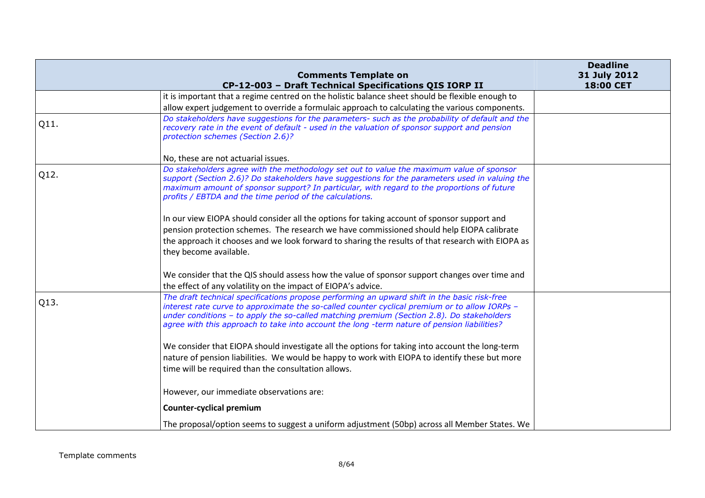|      | <b>Comments Template on</b>                                                                                                                                                                                                                                                                                                                                                               | <b>Deadline</b><br>31 July 2012 |
|------|-------------------------------------------------------------------------------------------------------------------------------------------------------------------------------------------------------------------------------------------------------------------------------------------------------------------------------------------------------------------------------------------|---------------------------------|
|      | CP-12-003 - Draft Technical Specifications QIS IORP II                                                                                                                                                                                                                                                                                                                                    | 18:00 CET                       |
|      | it is important that a regime centred on the holistic balance sheet should be flexible enough to                                                                                                                                                                                                                                                                                          |                                 |
|      | allow expert judgement to override a formulaic approach to calculating the various components.                                                                                                                                                                                                                                                                                            |                                 |
| Q11. | Do stakeholders have suggestions for the parameters- such as the probability of default and the<br>recovery rate in the event of default - used in the valuation of sponsor support and pension<br>protection schemes (Section 2.6)?                                                                                                                                                      |                                 |
|      | No, these are not actuarial issues.                                                                                                                                                                                                                                                                                                                                                       |                                 |
| Q12. | Do stakeholders agree with the methodology set out to value the maximum value of sponsor<br>support (Section 2.6)? Do stakeholders have suggestions for the parameters used in valuing the<br>maximum amount of sponsor support? In particular, with regard to the proportions of future<br>profits / EBTDA and the time period of the calculations.                                      |                                 |
|      | In our view EIOPA should consider all the options for taking account of sponsor support and                                                                                                                                                                                                                                                                                               |                                 |
|      | pension protection schemes. The research we have commissioned should help EIOPA calibrate                                                                                                                                                                                                                                                                                                 |                                 |
|      | the approach it chooses and we look forward to sharing the results of that research with EIOPA as                                                                                                                                                                                                                                                                                         |                                 |
|      | they become available.                                                                                                                                                                                                                                                                                                                                                                    |                                 |
|      | We consider that the QIS should assess how the value of sponsor support changes over time and<br>the effect of any volatility on the impact of EIOPA's advice.                                                                                                                                                                                                                            |                                 |
| Q13. | The draft technical specifications propose performing an upward shift in the basic risk-free<br>interest rate curve to approximate the so-called counter cyclical premium or to allow IORPs -<br>under conditions - to apply the so-called matching premium (Section 2.8). Do stakeholders<br>agree with this approach to take into account the long -term nature of pension liabilities? |                                 |
|      | We consider that EIOPA should investigate all the options for taking into account the long-term<br>nature of pension liabilities. We would be happy to work with EIOPA to identify these but more                                                                                                                                                                                         |                                 |
|      | time will be required than the consultation allows.                                                                                                                                                                                                                                                                                                                                       |                                 |
|      | However, our immediate observations are:                                                                                                                                                                                                                                                                                                                                                  |                                 |
|      | <b>Counter-cyclical premium</b>                                                                                                                                                                                                                                                                                                                                                           |                                 |
|      | The proposal/option seems to suggest a uniform adjustment (50bp) across all Member States. We                                                                                                                                                                                                                                                                                             |                                 |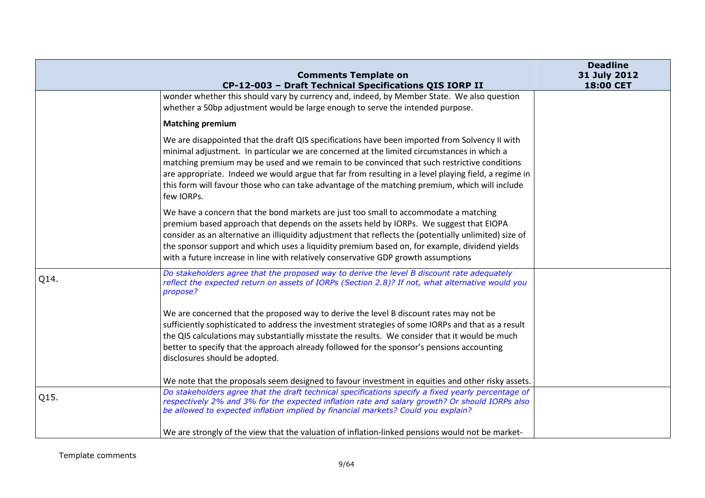|      | <b>Comments Template on</b><br>CP-12-003 - Draft Technical Specifications QIS IORP II                                                                                                                                                                                                                                                                                                                                                                                                                               | <b>Deadline</b><br>31 July 2012<br>18:00 CET |
|------|---------------------------------------------------------------------------------------------------------------------------------------------------------------------------------------------------------------------------------------------------------------------------------------------------------------------------------------------------------------------------------------------------------------------------------------------------------------------------------------------------------------------|----------------------------------------------|
|      | wonder whether this should vary by currency and, indeed, by Member State. We also question<br>whether a 50bp adjustment would be large enough to serve the intended purpose.                                                                                                                                                                                                                                                                                                                                        |                                              |
|      | <b>Matching premium</b>                                                                                                                                                                                                                                                                                                                                                                                                                                                                                             |                                              |
|      | We are disappointed that the draft QIS specifications have been imported from Solvency II with<br>minimal adjustment. In particular we are concerned at the limited circumstances in which a<br>matching premium may be used and we remain to be convinced that such restrictive conditions<br>are appropriate. Indeed we would argue that far from resulting in a level playing field, a regime in<br>this form will favour those who can take advantage of the matching premium, which will include<br>few IORPs. |                                              |
|      | We have a concern that the bond markets are just too small to accommodate a matching<br>premium based approach that depends on the assets held by IORPs. We suggest that EIOPA<br>consider as an alternative an illiquidity adjustment that reflects the (potentially unlimited) size of<br>the sponsor support and which uses a liquidity premium based on, for example, dividend yields<br>with a future increase in line with relatively conservative GDP growth assumptions                                     |                                              |
| Q14. | Do stakeholders agree that the proposed way to derive the level B discount rate adequately<br>reflect the expected return on assets of IORPs (Section 2.8)? If not, what alternative would you<br>propose?                                                                                                                                                                                                                                                                                                          |                                              |
|      | We are concerned that the proposed way to derive the level B discount rates may not be<br>sufficiently sophisticated to address the investment strategies of some IORPs and that as a result<br>the QIS calculations may substantially misstate the results. We consider that it would be much<br>better to specify that the approach already followed for the sponsor's pensions accounting<br>disclosures should be adopted.                                                                                      |                                              |
|      | We note that the proposals seem designed to favour investment in equities and other risky assets.                                                                                                                                                                                                                                                                                                                                                                                                                   |                                              |
| Q15. | Do stakeholders agree that the draft technical specifications specify a fixed yearly percentage of<br>respectively 2% and 3% for the expected inflation rate and salary growth? Or should IORPs also<br>be allowed to expected inflation implied by financial markets? Could you explain?                                                                                                                                                                                                                           |                                              |
|      | We are strongly of the view that the valuation of inflation-linked pensions would not be market-                                                                                                                                                                                                                                                                                                                                                                                                                    |                                              |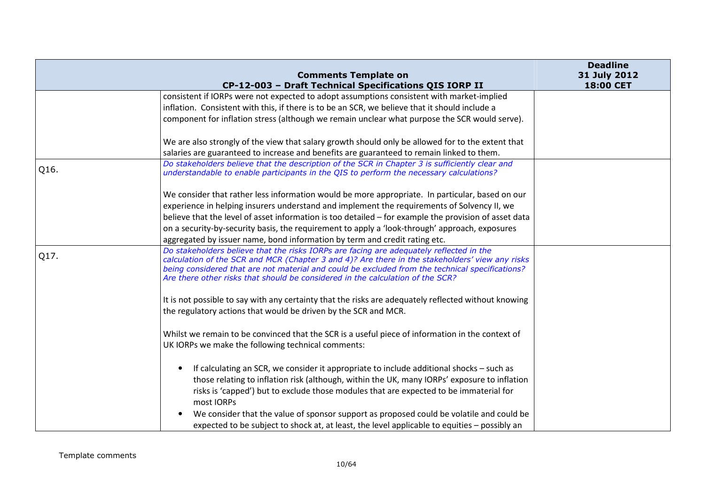|      |                                                                                                                                                                                                                                                                                                                                                                                 | <b>Deadline</b>           |
|------|---------------------------------------------------------------------------------------------------------------------------------------------------------------------------------------------------------------------------------------------------------------------------------------------------------------------------------------------------------------------------------|---------------------------|
|      | <b>Comments Template on</b><br>CP-12-003 - Draft Technical Specifications QIS IORP II                                                                                                                                                                                                                                                                                           | 31 July 2012<br>18:00 CET |
|      | consistent if IORPs were not expected to adopt assumptions consistent with market-implied                                                                                                                                                                                                                                                                                       |                           |
|      | inflation. Consistent with this, if there is to be an SCR, we believe that it should include a                                                                                                                                                                                                                                                                                  |                           |
|      | component for inflation stress (although we remain unclear what purpose the SCR would serve).                                                                                                                                                                                                                                                                                   |                           |
|      | We are also strongly of the view that salary growth should only be allowed for to the extent that                                                                                                                                                                                                                                                                               |                           |
|      | salaries are guaranteed to increase and benefits are guaranteed to remain linked to them.                                                                                                                                                                                                                                                                                       |                           |
| Q16. | Do stakeholders believe that the description of the SCR in Chapter 3 is sufficiently clear and<br>understandable to enable participants in the QIS to perform the necessary calculations?                                                                                                                                                                                       |                           |
|      | We consider that rather less information would be more appropriate. In particular, based on our                                                                                                                                                                                                                                                                                 |                           |
|      | experience in helping insurers understand and implement the requirements of Solvency II, we                                                                                                                                                                                                                                                                                     |                           |
|      | believe that the level of asset information is too detailed - for example the provision of asset data                                                                                                                                                                                                                                                                           |                           |
|      | on a security-by-security basis, the requirement to apply a 'look-through' approach, exposures                                                                                                                                                                                                                                                                                  |                           |
|      | aggregated by issuer name, bond information by term and credit rating etc.                                                                                                                                                                                                                                                                                                      |                           |
| Q17. | Do stakeholders believe that the risks IORPs are facing are adequately reflected in the<br>calculation of the SCR and MCR (Chapter 3 and 4)? Are there in the stakeholders' view any risks<br>being considered that are not material and could be excluded from the technical specifications?<br>Are there other risks that should be considered in the calculation of the SCR? |                           |
|      | It is not possible to say with any certainty that the risks are adequately reflected without knowing<br>the regulatory actions that would be driven by the SCR and MCR.                                                                                                                                                                                                         |                           |
|      | Whilst we remain to be convinced that the SCR is a useful piece of information in the context of<br>UK IORPs we make the following technical comments:                                                                                                                                                                                                                          |                           |
|      | If calculating an SCR, we consider it appropriate to include additional shocks – such as                                                                                                                                                                                                                                                                                        |                           |
|      | those relating to inflation risk (although, within the UK, many IORPs' exposure to inflation                                                                                                                                                                                                                                                                                    |                           |
|      | risks is 'capped') but to exclude those modules that are expected to be immaterial for<br>most IORPs                                                                                                                                                                                                                                                                            |                           |
|      | We consider that the value of sponsor support as proposed could be volatile and could be                                                                                                                                                                                                                                                                                        |                           |
|      | expected to be subject to shock at, at least, the level applicable to equities – possibly an                                                                                                                                                                                                                                                                                    |                           |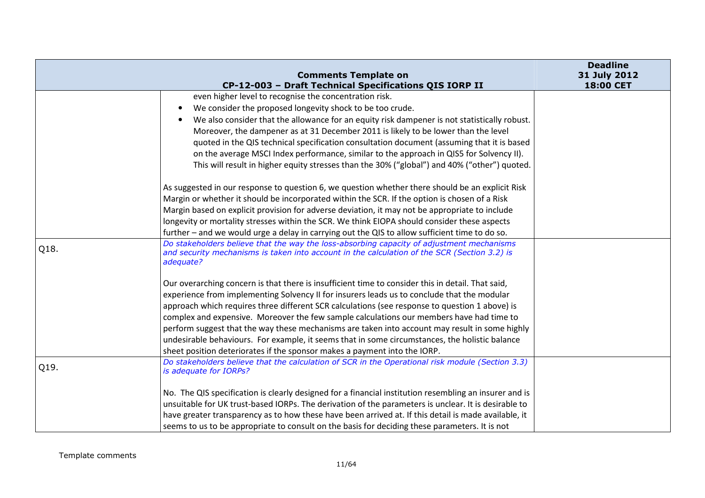|      |                                                                                                                                                                                                        | <b>Deadline</b>           |
|------|--------------------------------------------------------------------------------------------------------------------------------------------------------------------------------------------------------|---------------------------|
|      | <b>Comments Template on</b><br>CP-12-003 - Draft Technical Specifications QIS IORP II                                                                                                                  | 31 July 2012<br>18:00 CET |
|      | even higher level to recognise the concentration risk.                                                                                                                                                 |                           |
|      | We consider the proposed longevity shock to be too crude.                                                                                                                                              |                           |
|      | We also consider that the allowance for an equity risk dampener is not statistically robust.                                                                                                           |                           |
|      | Moreover, the dampener as at 31 December 2011 is likely to be lower than the level                                                                                                                     |                           |
|      | quoted in the QIS technical specification consultation document (assuming that it is based                                                                                                             |                           |
|      | on the average MSCI Index performance, similar to the approach in QIS5 for Solvency II).                                                                                                               |                           |
|      | This will result in higher equity stresses than the 30% ("global") and 40% ("other") quoted.                                                                                                           |                           |
|      | As suggested in our response to question 6, we question whether there should be an explicit Risk                                                                                                       |                           |
|      | Margin or whether it should be incorporated within the SCR. If the option is chosen of a Risk                                                                                                          |                           |
|      | Margin based on explicit provision for adverse deviation, it may not be appropriate to include                                                                                                         |                           |
|      | longevity or mortality stresses within the SCR. We think EIOPA should consider these aspects                                                                                                           |                           |
|      | further – and we would urge a delay in carrying out the QIS to allow sufficient time to do so.                                                                                                         |                           |
| Q18. | Do stakeholders believe that the way the loss-absorbing capacity of adjustment mechanisms<br>and security mechanisms is taken into account in the calculation of the SCR (Section 3.2) is<br>adequate? |                           |
|      | Our overarching concern is that there is insufficient time to consider this in detail. That said,                                                                                                      |                           |
|      | experience from implementing Solvency II for insurers leads us to conclude that the modular                                                                                                            |                           |
|      | approach which requires three different SCR calculations (see response to question 1 above) is                                                                                                         |                           |
|      | complex and expensive. Moreover the few sample calculations our members have had time to                                                                                                               |                           |
|      | perform suggest that the way these mechanisms are taken into account may result in some highly                                                                                                         |                           |
|      | undesirable behaviours. For example, it seems that in some circumstances, the holistic balance                                                                                                         |                           |
|      | sheet position deteriorates if the sponsor makes a payment into the IORP.                                                                                                                              |                           |
| Q19. | Do stakeholders believe that the calculation of SCR in the Operational risk module (Section 3.3)<br>is adequate for IORPs?                                                                             |                           |
|      | No. The QIS specification is clearly designed for a financial institution resembling an insurer and is                                                                                                 |                           |
|      | unsuitable for UK trust-based IORPs. The derivation of the parameters is unclear. It is desirable to                                                                                                   |                           |
|      | have greater transparency as to how these have been arrived at. If this detail is made available, it                                                                                                   |                           |
|      | seems to us to be appropriate to consult on the basis for deciding these parameters. It is not                                                                                                         |                           |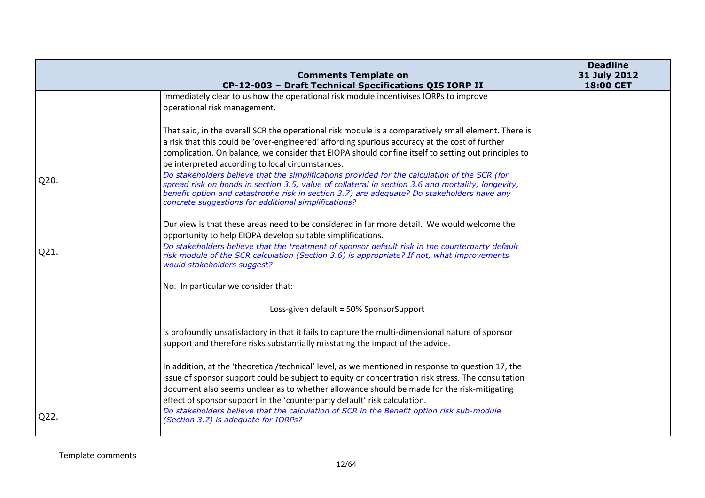|      | <b>Comments Template on</b>                                                                                                                                                                                                                                                                                                                                                                                  | <b>Deadline</b><br>31 July 2012 |
|------|--------------------------------------------------------------------------------------------------------------------------------------------------------------------------------------------------------------------------------------------------------------------------------------------------------------------------------------------------------------------------------------------------------------|---------------------------------|
|      | CP-12-003 - Draft Technical Specifications QIS IORP II                                                                                                                                                                                                                                                                                                                                                       | 18:00 CET                       |
|      | immediately clear to us how the operational risk module incentivises IORPs to improve<br>operational risk management.                                                                                                                                                                                                                                                                                        |                                 |
|      | That said, in the overall SCR the operational risk module is a comparatively small element. There is<br>a risk that this could be 'over-engineered' affording spurious accuracy at the cost of further<br>complication. On balance, we consider that EIOPA should confine itself to setting out principles to                                                                                                |                                 |
| Q20. | be interpreted according to local circumstances.<br>Do stakeholders believe that the simplifications provided for the calculation of the SCR (for<br>spread risk on bonds in section 3.5, value of collateral in section 3.6 and mortality, longevity,<br>benefit option and catastrophe risk in section 3.7) are adequate? Do stakeholders have any<br>concrete suggestions for additional simplifications? |                                 |
|      | Our view is that these areas need to be considered in far more detail. We would welcome the<br>opportunity to help EIOPA develop suitable simplifications.                                                                                                                                                                                                                                                   |                                 |
| Q21. | Do stakeholders believe that the treatment of sponsor default risk in the counterparty default<br>risk module of the SCR calculation (Section 3.6) is appropriate? If not, what improvements<br>would stakeholders suggest?                                                                                                                                                                                  |                                 |
|      | No. In particular we consider that:                                                                                                                                                                                                                                                                                                                                                                          |                                 |
|      | Loss-given default = 50% SponsorSupport                                                                                                                                                                                                                                                                                                                                                                      |                                 |
|      | is profoundly unsatisfactory in that it fails to capture the multi-dimensional nature of sponsor<br>support and therefore risks substantially misstating the impact of the advice.                                                                                                                                                                                                                           |                                 |
|      | In addition, at the 'theoretical/technical' level, as we mentioned in response to question 17, the<br>issue of sponsor support could be subject to equity or concentration risk stress. The consultation<br>document also seems unclear as to whether allowance should be made for the risk-mitigating<br>effect of sponsor support in the 'counterparty default' risk calculation.                          |                                 |
| Q22. | Do stakeholders believe that the calculation of SCR in the Benefit option risk sub-module<br>(Section 3.7) is adequate for IORPs?                                                                                                                                                                                                                                                                            |                                 |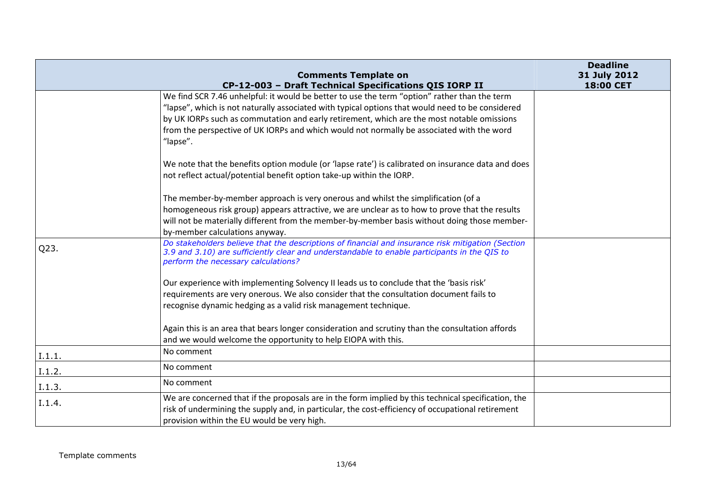|        | <b>Comments Template on</b>                                                                                                                                                                                                                                                                                                                                                                             | <b>Deadline</b><br>31 July 2012 |
|--------|---------------------------------------------------------------------------------------------------------------------------------------------------------------------------------------------------------------------------------------------------------------------------------------------------------------------------------------------------------------------------------------------------------|---------------------------------|
|        | CP-12-003 - Draft Technical Specifications QIS IORP II                                                                                                                                                                                                                                                                                                                                                  | 18:00 CET                       |
|        | We find SCR 7.46 unhelpful: it would be better to use the term "option" rather than the term<br>"lapse", which is not naturally associated with typical options that would need to be considered<br>by UK IORPs such as commutation and early retirement, which are the most notable omissions<br>from the perspective of UK IORPs and which would not normally be associated with the word<br>"lapse". |                                 |
|        | We note that the benefits option module (or 'lapse rate') is calibrated on insurance data and does<br>not reflect actual/potential benefit option take-up within the IORP.                                                                                                                                                                                                                              |                                 |
|        | The member-by-member approach is very onerous and whilst the simplification (of a                                                                                                                                                                                                                                                                                                                       |                                 |
|        | homogeneous risk group) appears attractive, we are unclear as to how to prove that the results                                                                                                                                                                                                                                                                                                          |                                 |
|        | will not be materially different from the member-by-member basis without doing those member-<br>by-member calculations anyway.                                                                                                                                                                                                                                                                          |                                 |
| Q23.   | Do stakeholders believe that the descriptions of financial and insurance risk mitigation (Section<br>3.9 and 3.10) are sufficiently clear and understandable to enable participants in the QIS to<br>perform the necessary calculations?                                                                                                                                                                |                                 |
|        | Our experience with implementing Solvency II leads us to conclude that the 'basis risk'                                                                                                                                                                                                                                                                                                                 |                                 |
|        | requirements are very onerous. We also consider that the consultation document fails to                                                                                                                                                                                                                                                                                                                 |                                 |
|        | recognise dynamic hedging as a valid risk management technique.                                                                                                                                                                                                                                                                                                                                         |                                 |
|        | Again this is an area that bears longer consideration and scrutiny than the consultation affords<br>and we would welcome the opportunity to help EIOPA with this.                                                                                                                                                                                                                                       |                                 |
| I.1.1. | No comment                                                                                                                                                                                                                                                                                                                                                                                              |                                 |
| I.1.2. | No comment                                                                                                                                                                                                                                                                                                                                                                                              |                                 |
| I.1.3. | No comment                                                                                                                                                                                                                                                                                                                                                                                              |                                 |
| I.1.4. | We are concerned that if the proposals are in the form implied by this technical specification, the<br>risk of undermining the supply and, in particular, the cost-efficiency of occupational retirement<br>provision within the EU would be very high.                                                                                                                                                 |                                 |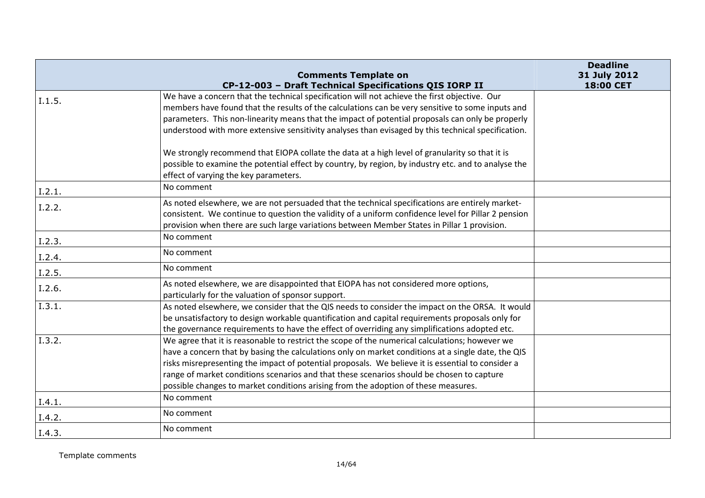|                      |                                                                                                                                                        | <b>Deadline</b> |
|----------------------|--------------------------------------------------------------------------------------------------------------------------------------------------------|-----------------|
|                      | <b>Comments Template on</b>                                                                                                                            | 31 July 2012    |
|                      | CP-12-003 - Draft Technical Specifications QIS IORP II<br>We have a concern that the technical specification will not achieve the first objective. Our | 18:00 CET       |
| 1.1.5.               | members have found that the results of the calculations can be very sensitive to some inputs and                                                       |                 |
|                      | parameters. This non-linearity means that the impact of potential proposals can only be properly                                                       |                 |
|                      | understood with more extensive sensitivity analyses than evisaged by this technical specification.                                                     |                 |
|                      |                                                                                                                                                        |                 |
|                      | We strongly recommend that EIOPA collate the data at a high level of granularity so that it is                                                         |                 |
|                      | possible to examine the potential effect by country, by region, by industry etc. and to analyse the                                                    |                 |
|                      | effect of varying the key parameters.                                                                                                                  |                 |
| I.2.1.               | No comment                                                                                                                                             |                 |
| I.2.2.               | As noted elsewhere, we are not persuaded that the technical specifications are entirely market-                                                        |                 |
|                      | consistent. We continue to question the validity of a uniform confidence level for Pillar 2 pension                                                    |                 |
|                      | provision when there are such large variations between Member States in Pillar 1 provision.                                                            |                 |
| I.2.3.               | No comment                                                                                                                                             |                 |
| I.2.4.               | No comment                                                                                                                                             |                 |
| I.2.5.               | No comment                                                                                                                                             |                 |
| I.2.6.               | As noted elsewhere, we are disappointed that EIOPA has not considered more options,                                                                    |                 |
|                      | particularly for the valuation of sponsor support.                                                                                                     |                 |
| $\overline{1.3.1}$ . | As noted elsewhere, we consider that the QIS needs to consider the impact on the ORSA. It would                                                        |                 |
|                      | be unsatisfactory to design workable quantification and capital requirements proposals only for                                                        |                 |
|                      | the governance requirements to have the effect of overriding any simplifications adopted etc.                                                          |                 |
| I.3.2.               | We agree that it is reasonable to restrict the scope of the numerical calculations; however we                                                         |                 |
|                      | have a concern that by basing the calculations only on market conditions at a single date, the QIS                                                     |                 |
|                      | risks misrepresenting the impact of potential proposals. We believe it is essential to consider a                                                      |                 |
|                      | range of market conditions scenarios and that these scenarios should be chosen to capture                                                              |                 |
|                      | possible changes to market conditions arising from the adoption of these measures.                                                                     |                 |
| I.4.1.               | No comment                                                                                                                                             |                 |
| I.4.2.               | No comment                                                                                                                                             |                 |
| I.4.3.               | No comment                                                                                                                                             |                 |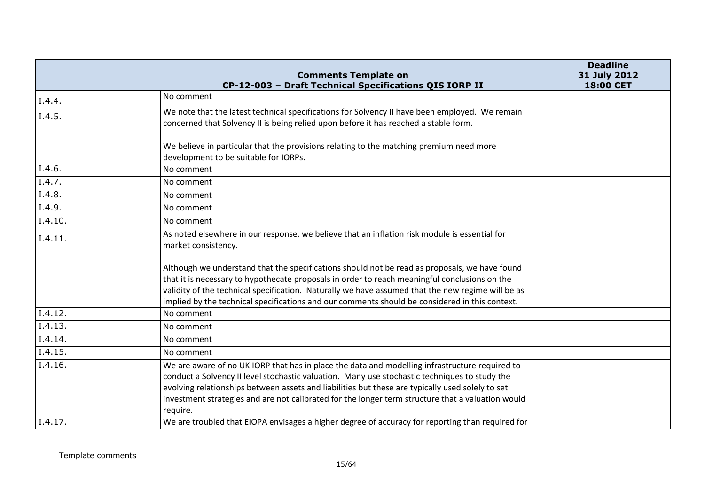|         | <b>Comments Template on</b>                                                                                                                                                                                                                                                                                                                                                                                          | <b>Deadline</b><br>31 July 2012 |
|---------|----------------------------------------------------------------------------------------------------------------------------------------------------------------------------------------------------------------------------------------------------------------------------------------------------------------------------------------------------------------------------------------------------------------------|---------------------------------|
|         | CP-12-003 - Draft Technical Specifications QIS IORP II                                                                                                                                                                                                                                                                                                                                                               | 18:00 CET                       |
| I.4.4.  | No comment                                                                                                                                                                                                                                                                                                                                                                                                           |                                 |
| I.4.5.  | We note that the latest technical specifications for Solvency II have been employed. We remain<br>concerned that Solvency II is being relied upon before it has reached a stable form.                                                                                                                                                                                                                               |                                 |
|         | We believe in particular that the provisions relating to the matching premium need more<br>development to be suitable for IORPs.                                                                                                                                                                                                                                                                                     |                                 |
| I.4.6.  | No comment                                                                                                                                                                                                                                                                                                                                                                                                           |                                 |
| I.4.7.  | No comment                                                                                                                                                                                                                                                                                                                                                                                                           |                                 |
| I.4.8.  | No comment                                                                                                                                                                                                                                                                                                                                                                                                           |                                 |
| I.4.9.  | No comment                                                                                                                                                                                                                                                                                                                                                                                                           |                                 |
| I.4.10. | No comment                                                                                                                                                                                                                                                                                                                                                                                                           |                                 |
| I.4.11. | As noted elsewhere in our response, we believe that an inflation risk module is essential for<br>market consistency.                                                                                                                                                                                                                                                                                                 |                                 |
|         | Although we understand that the specifications should not be read as proposals, we have found<br>that it is necessary to hypothecate proposals in order to reach meaningful conclusions on the<br>validity of the technical specification. Naturally we have assumed that the new regime will be as<br>implied by the technical specifications and our comments should be considered in this context.                |                                 |
| I.4.12. | No comment                                                                                                                                                                                                                                                                                                                                                                                                           |                                 |
| I.4.13. | No comment                                                                                                                                                                                                                                                                                                                                                                                                           |                                 |
| I.4.14. | No comment                                                                                                                                                                                                                                                                                                                                                                                                           |                                 |
| I.4.15. | No comment                                                                                                                                                                                                                                                                                                                                                                                                           |                                 |
| I.4.16. | We are aware of no UK IORP that has in place the data and modelling infrastructure required to<br>conduct a Solvency II level stochastic valuation. Many use stochastic techniques to study the<br>evolving relationships between assets and liabilities but these are typically used solely to set<br>investment strategies and are not calibrated for the longer term structure that a valuation would<br>require. |                                 |
| I.4.17. | We are troubled that EIOPA envisages a higher degree of accuracy for reporting than required for                                                                                                                                                                                                                                                                                                                     |                                 |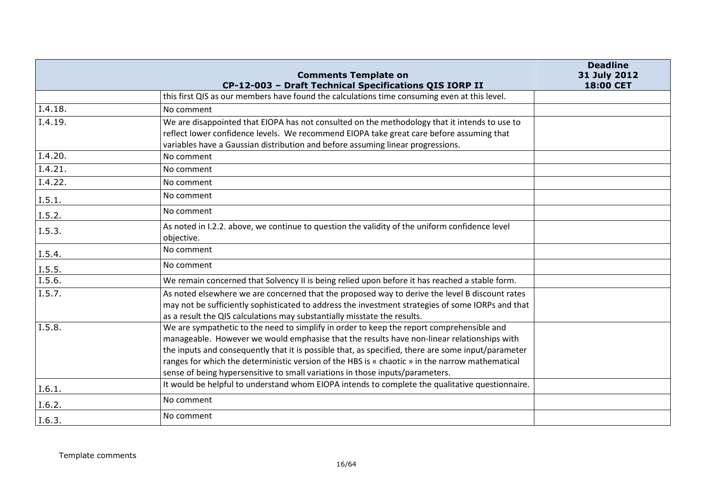|         | <b>Comments Template on</b><br>CP-12-003 - Draft Technical Specifications QIS IORP II                                                                                                                                                                                                                                                                                                                                                                                             | <b>Deadline</b><br>31 July 2012<br>18:00 CET |
|---------|-----------------------------------------------------------------------------------------------------------------------------------------------------------------------------------------------------------------------------------------------------------------------------------------------------------------------------------------------------------------------------------------------------------------------------------------------------------------------------------|----------------------------------------------|
|         | this first QIS as our members have found the calculations time consuming even at this level.                                                                                                                                                                                                                                                                                                                                                                                      |                                              |
| I.4.18. | No comment                                                                                                                                                                                                                                                                                                                                                                                                                                                                        |                                              |
| I.4.19. | We are disappointed that EIOPA has not consulted on the methodology that it intends to use to<br>reflect lower confidence levels. We recommend EIOPA take great care before assuming that<br>variables have a Gaussian distribution and before assuming linear progressions.                                                                                                                                                                                                      |                                              |
| I.4.20. | No comment                                                                                                                                                                                                                                                                                                                                                                                                                                                                        |                                              |
| I.4.21. | No comment                                                                                                                                                                                                                                                                                                                                                                                                                                                                        |                                              |
| I.4.22. | No comment                                                                                                                                                                                                                                                                                                                                                                                                                                                                        |                                              |
| I.5.1.  | No comment                                                                                                                                                                                                                                                                                                                                                                                                                                                                        |                                              |
| I.5.2.  | No comment                                                                                                                                                                                                                                                                                                                                                                                                                                                                        |                                              |
| I.5.3.  | As noted in I.2.2. above, we continue to question the validity of the uniform confidence level<br>objective.                                                                                                                                                                                                                                                                                                                                                                      |                                              |
| I.5.4.  | No comment                                                                                                                                                                                                                                                                                                                                                                                                                                                                        |                                              |
| I.5.5.  | No comment                                                                                                                                                                                                                                                                                                                                                                                                                                                                        |                                              |
| I.5.6.  | We remain concerned that Solvency II is being relied upon before it has reached a stable form.                                                                                                                                                                                                                                                                                                                                                                                    |                                              |
| I.5.7.  | As noted elsewhere we are concerned that the proposed way to derive the level B discount rates<br>may not be sufficiently sophisticated to address the investment strategies of some IORPs and that<br>as a result the QIS calculations may substantially misstate the results.                                                                                                                                                                                                   |                                              |
| I.5.8.  | We are sympathetic to the need to simplify in order to keep the report comprehensible and<br>manageable. However we would emphasise that the results have non-linear relationships with<br>the inputs and consequently that it is possible that, as specified, there are some input/parameter<br>ranges for which the deterministic version of the HBS is « chaotic » in the narrow mathematical<br>sense of being hypersensitive to small variations in those inputs/parameters. |                                              |
| I.6.1.  | It would be helpful to understand whom EIOPA intends to complete the qualitative questionnaire.                                                                                                                                                                                                                                                                                                                                                                                   |                                              |
| I.6.2.  | No comment                                                                                                                                                                                                                                                                                                                                                                                                                                                                        |                                              |
| I.6.3.  | No comment                                                                                                                                                                                                                                                                                                                                                                                                                                                                        |                                              |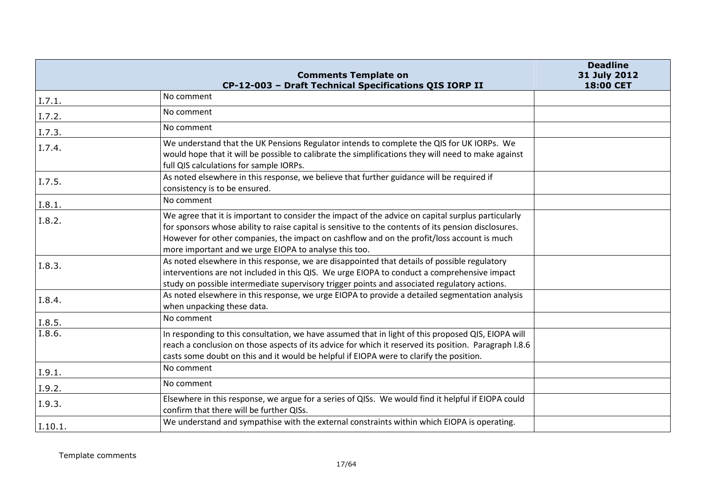|         | <b>Comments Template on</b><br>CP-12-003 - Draft Technical Specifications QIS IORP II                                                                                                                                                                                                                                                                             | <b>Deadline</b><br>31 July 2012<br>18:00 CET |
|---------|-------------------------------------------------------------------------------------------------------------------------------------------------------------------------------------------------------------------------------------------------------------------------------------------------------------------------------------------------------------------|----------------------------------------------|
| I.7.1.  | No comment                                                                                                                                                                                                                                                                                                                                                        |                                              |
| I.7.2.  | No comment                                                                                                                                                                                                                                                                                                                                                        |                                              |
| I.7.3   | No comment                                                                                                                                                                                                                                                                                                                                                        |                                              |
| I.7.4.  | We understand that the UK Pensions Regulator intends to complete the QIS for UK IORPs. We<br>would hope that it will be possible to calibrate the simplifications they will need to make against<br>full QIS calculations for sample IORPs.                                                                                                                       |                                              |
| I.7.5.  | As noted elsewhere in this response, we believe that further guidance will be required if<br>consistency is to be ensured.                                                                                                                                                                                                                                        |                                              |
| I.8.1.  | No comment                                                                                                                                                                                                                                                                                                                                                        |                                              |
| I.8.2.  | We agree that it is important to consider the impact of the advice on capital surplus particularly<br>for sponsors whose ability to raise capital is sensitive to the contents of its pension disclosures.<br>However for other companies, the impact on cashflow and on the profit/loss account is much<br>more important and we urge EIOPA to analyse this too. |                                              |
| I.8.3.  | As noted elsewhere in this response, we are disappointed that details of possible regulatory<br>interventions are not included in this QIS. We urge EIOPA to conduct a comprehensive impact<br>study on possible intermediate supervisory trigger points and associated regulatory actions.                                                                       |                                              |
| I.8.4.  | As noted elsewhere in this response, we urge EIOPA to provide a detailed segmentation analysis<br>when unpacking these data.                                                                                                                                                                                                                                      |                                              |
| I.8.5.  | No comment                                                                                                                                                                                                                                                                                                                                                        |                                              |
| I.8.6.  | In responding to this consultation, we have assumed that in light of this proposed QIS, EIOPA will<br>reach a conclusion on those aspects of its advice for which it reserved its position. Paragraph I.8.6<br>casts some doubt on this and it would be helpful if EIOPA were to clarify the position.                                                            |                                              |
| I.9.1.  | No comment                                                                                                                                                                                                                                                                                                                                                        |                                              |
| I.9.2.  | No comment                                                                                                                                                                                                                                                                                                                                                        |                                              |
| I.9.3.  | Elsewhere in this response, we argue for a series of QISs. We would find it helpful if EIOPA could<br>confirm that there will be further QISs.                                                                                                                                                                                                                    |                                              |
| I.10.1. | We understand and sympathise with the external constraints within which EIOPA is operating.                                                                                                                                                                                                                                                                       |                                              |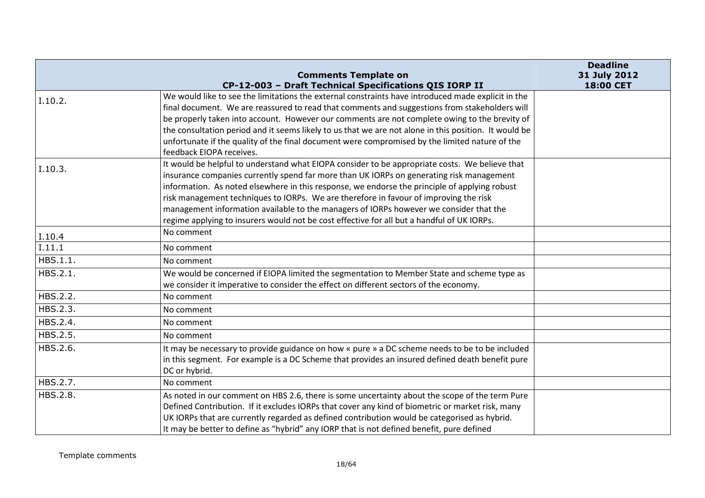|          |                                                                                                                            | <b>Deadline</b> |
|----------|----------------------------------------------------------------------------------------------------------------------------|-----------------|
|          | <b>Comments Template on</b>                                                                                                | 31 July 2012    |
|          | CP-12-003 - Draft Technical Specifications QIS IORP II                                                                     | 18:00 CET       |
| I.10.2.  | We would like to see the limitations the external constraints have introduced made explicit in the                         |                 |
|          | final document. We are reassured to read that comments and suggestions from stakeholders will                              |                 |
|          | be properly taken into account. However our comments are not complete owing to the brevity of                              |                 |
|          | the consultation period and it seems likely to us that we are not alone in this position. It would be                      |                 |
|          | unfortunate if the quality of the final document were compromised by the limited nature of the<br>feedback EIOPA receives. |                 |
|          | It would be helpful to understand what EIOPA consider to be appropriate costs. We believe that                             |                 |
| I.10.3.  | insurance companies currently spend far more than UK IORPs on generating risk management                                   |                 |
|          | information. As noted elsewhere in this response, we endorse the principle of applying robust                              |                 |
|          | risk management techniques to IORPs. We are therefore in favour of improving the risk                                      |                 |
|          | management information available to the managers of IORPs however we consider that the                                     |                 |
|          | regime applying to insurers would not be cost effective for all but a handful of UK IORPs.                                 |                 |
| I.10.4   | No comment                                                                                                                 |                 |
| I.11.1   | No comment                                                                                                                 |                 |
| HBS.1.1. | No comment                                                                                                                 |                 |
| HBS.2.1. | We would be concerned if EIOPA limited the segmentation to Member State and scheme type as                                 |                 |
|          | we consider it imperative to consider the effect on different sectors of the economy.                                      |                 |
| HBS.2.2. | No comment                                                                                                                 |                 |
| HBS.2.3. | No comment                                                                                                                 |                 |
| HBS.2.4. | No comment                                                                                                                 |                 |
| HBS.2.5. | No comment                                                                                                                 |                 |
| HBS.2.6. | It may be necessary to provide guidance on how « pure » a DC scheme needs to be to be included                             |                 |
|          | in this segment. For example is a DC Scheme that provides an insured defined death benefit pure                            |                 |
|          | DC or hybrid.                                                                                                              |                 |
| HBS.2.7. | No comment                                                                                                                 |                 |
| HBS.2.8. | As noted in our comment on HBS 2.6, there is some uncertainty about the scope of the term Pure                             |                 |
|          | Defined Contribution. If it excludes IORPs that cover any kind of biometric or market risk, many                           |                 |
|          | UK IORPs that are currently regarded as defined contribution would be categorised as hybrid.                               |                 |
|          | It may be better to define as "hybrid" any IORP that is not defined benefit, pure defined                                  |                 |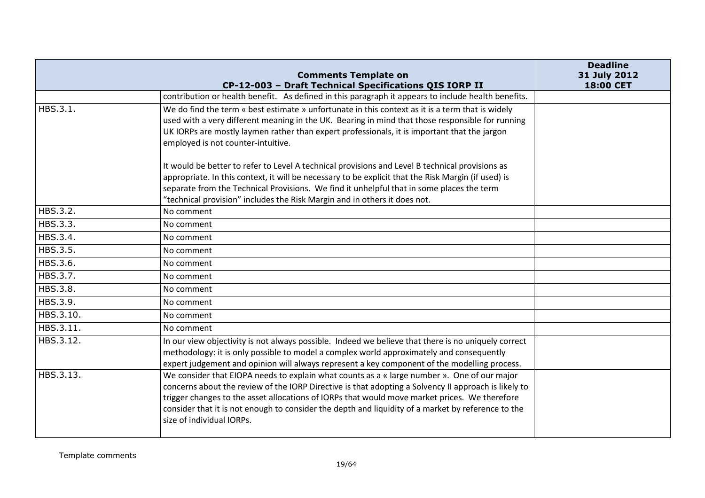|           | <b>Comments Template on</b>                                                                                                                                                                         | <b>Deadline</b><br>31 July 2012 |
|-----------|-----------------------------------------------------------------------------------------------------------------------------------------------------------------------------------------------------|---------------------------------|
|           | CP-12-003 - Draft Technical Specifications QIS IORP II<br>contribution or health benefit. As defined in this paragraph it appears to include health benefits.                                       | 18:00 CET                       |
| HBS.3.1.  | We do find the term « best estimate » unfortunate in this context as it is a term that is widely                                                                                                    |                                 |
|           | used with a very different meaning in the UK. Bearing in mind that those responsible for running                                                                                                    |                                 |
|           | UK IORPs are mostly laymen rather than expert professionals, it is important that the jargon                                                                                                        |                                 |
|           | employed is not counter-intuitive.                                                                                                                                                                  |                                 |
|           | It would be better to refer to Level A technical provisions and Level B technical provisions as                                                                                                     |                                 |
|           | appropriate. In this context, it will be necessary to be explicit that the Risk Margin (if used) is                                                                                                 |                                 |
|           | separate from the Technical Provisions. We find it unhelpful that in some places the term                                                                                                           |                                 |
|           | "technical provision" includes the Risk Margin and in others it does not.                                                                                                                           |                                 |
| HBS.3.2.  | No comment                                                                                                                                                                                          |                                 |
| HBS.3.3.  | No comment                                                                                                                                                                                          |                                 |
| HBS.3.4.  | No comment                                                                                                                                                                                          |                                 |
| HBS.3.5.  | No comment                                                                                                                                                                                          |                                 |
| HBS.3.6.  | No comment                                                                                                                                                                                          |                                 |
| HBS.3.7.  | No comment                                                                                                                                                                                          |                                 |
| HBS.3.8.  | No comment                                                                                                                                                                                          |                                 |
| HBS.3.9.  | No comment                                                                                                                                                                                          |                                 |
| HBS.3.10. | No comment                                                                                                                                                                                          |                                 |
| HBS.3.11. | No comment                                                                                                                                                                                          |                                 |
| HBS.3.12. | In our view objectivity is not always possible. Indeed we believe that there is no uniquely correct                                                                                                 |                                 |
|           | methodology: it is only possible to model a complex world approximately and consequently                                                                                                            |                                 |
|           | expert judgement and opinion will always represent a key component of the modelling process.                                                                                                        |                                 |
| HBS.3.13. | We consider that EIOPA needs to explain what counts as a « large number ». One of our major<br>concerns about the review of the IORP Directive is that adopting a Solvency II approach is likely to |                                 |
|           | trigger changes to the asset allocations of IORPs that would move market prices. We therefore                                                                                                       |                                 |
|           | consider that it is not enough to consider the depth and liquidity of a market by reference to the                                                                                                  |                                 |
|           | size of individual IORPs.                                                                                                                                                                           |                                 |
|           |                                                                                                                                                                                                     |                                 |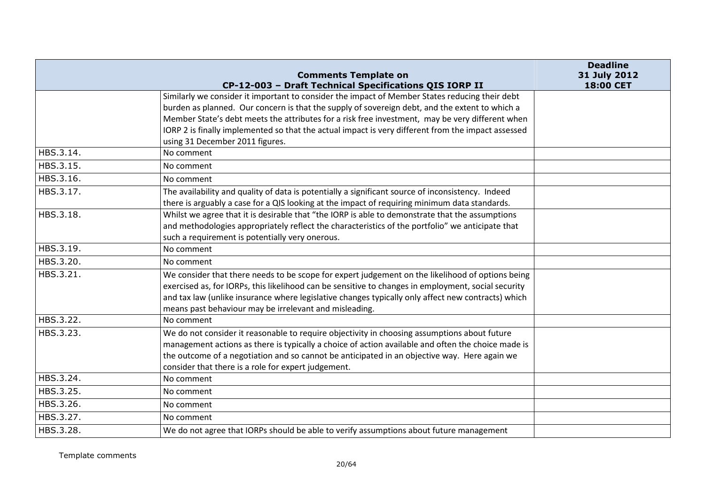|           | <b>Comments Template on</b>                                                                                                                                                                                                                                                                                                                                                                                                                                         | <b>Deadline</b><br>31 July 2012 |
|-----------|---------------------------------------------------------------------------------------------------------------------------------------------------------------------------------------------------------------------------------------------------------------------------------------------------------------------------------------------------------------------------------------------------------------------------------------------------------------------|---------------------------------|
|           | CP-12-003 - Draft Technical Specifications QIS IORP II<br>Similarly we consider it important to consider the impact of Member States reducing their debt<br>burden as planned. Our concern is that the supply of sovereign debt, and the extent to which a<br>Member State's debt meets the attributes for a risk free investment, may be very different when<br>IORP 2 is finally implemented so that the actual impact is very different from the impact assessed | 18:00 CET                       |
|           | using 31 December 2011 figures.                                                                                                                                                                                                                                                                                                                                                                                                                                     |                                 |
| HBS.3.14. | No comment                                                                                                                                                                                                                                                                                                                                                                                                                                                          |                                 |
| HBS.3.15. | No comment                                                                                                                                                                                                                                                                                                                                                                                                                                                          |                                 |
| HBS.3.16. | No comment                                                                                                                                                                                                                                                                                                                                                                                                                                                          |                                 |
| HBS.3.17. | The availability and quality of data is potentially a significant source of inconsistency. Indeed<br>there is arguably a case for a QIS looking at the impact of requiring minimum data standards.                                                                                                                                                                                                                                                                  |                                 |
| HBS.3.18. | Whilst we agree that it is desirable that "the IORP is able to demonstrate that the assumptions<br>and methodologies appropriately reflect the characteristics of the portfolio" we anticipate that<br>such a requirement is potentially very onerous.                                                                                                                                                                                                              |                                 |
| HBS.3.19. | No comment                                                                                                                                                                                                                                                                                                                                                                                                                                                          |                                 |
| HBS.3.20. | No comment                                                                                                                                                                                                                                                                                                                                                                                                                                                          |                                 |
| HBS.3.21. | We consider that there needs to be scope for expert judgement on the likelihood of options being<br>exercised as, for IORPs, this likelihood can be sensitive to changes in employment, social security<br>and tax law (unlike insurance where legislative changes typically only affect new contracts) which<br>means past behaviour may be irrelevant and misleading.                                                                                             |                                 |
| HBS.3.22. | No comment                                                                                                                                                                                                                                                                                                                                                                                                                                                          |                                 |
| HBS.3.23. | We do not consider it reasonable to require objectivity in choosing assumptions about future<br>management actions as there is typically a choice of action available and often the choice made is<br>the outcome of a negotiation and so cannot be anticipated in an objective way. Here again we<br>consider that there is a role for expert judgement.                                                                                                           |                                 |
| HBS.3.24. | No comment                                                                                                                                                                                                                                                                                                                                                                                                                                                          |                                 |
| HBS.3.25. | No comment                                                                                                                                                                                                                                                                                                                                                                                                                                                          |                                 |
| HBS.3.26. | No comment                                                                                                                                                                                                                                                                                                                                                                                                                                                          |                                 |
| HBS.3.27. | No comment                                                                                                                                                                                                                                                                                                                                                                                                                                                          |                                 |
| HBS.3.28. | We do not agree that IORPs should be able to verify assumptions about future management                                                                                                                                                                                                                                                                                                                                                                             |                                 |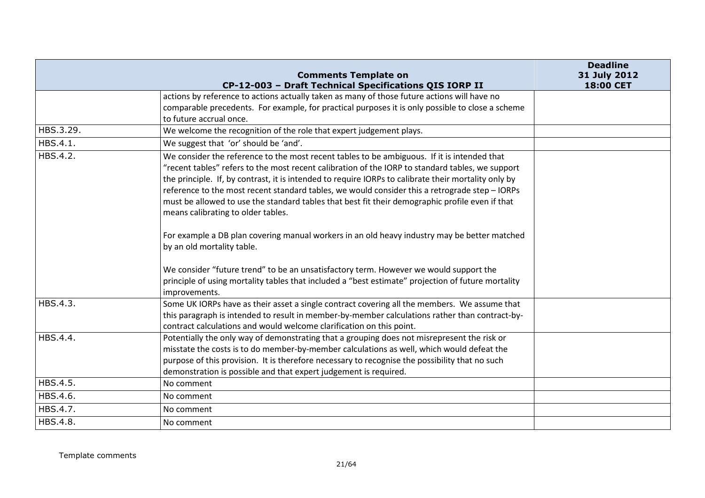|           | <b>Comments Template on</b>                                                                          | <b>Deadline</b><br>31 July 2012 |
|-----------|------------------------------------------------------------------------------------------------------|---------------------------------|
|           | CP-12-003 - Draft Technical Specifications QIS IORP II                                               | 18:00 CET                       |
|           | actions by reference to actions actually taken as many of those future actions will have no          |                                 |
|           | comparable precedents. For example, for practical purposes it is only possible to close a scheme     |                                 |
|           | to future accrual once.                                                                              |                                 |
| HBS.3.29. | We welcome the recognition of the role that expert judgement plays.                                  |                                 |
| HBS.4.1.  | We suggest that 'or' should be 'and'.                                                                |                                 |
| HBS.4.2.  | We consider the reference to the most recent tables to be ambiguous. If it is intended that          |                                 |
|           | "recent tables" refers to the most recent calibration of the IORP to standard tables, we support     |                                 |
|           | the principle. If, by contrast, it is intended to require IORPs to calibrate their mortality only by |                                 |
|           | reference to the most recent standard tables, we would consider this a retrograde step - IORPs       |                                 |
|           | must be allowed to use the standard tables that best fit their demographic profile even if that      |                                 |
|           | means calibrating to older tables.                                                                   |                                 |
|           |                                                                                                      |                                 |
|           | For example a DB plan covering manual workers in an old heavy industry may be better matched         |                                 |
|           | by an old mortality table.                                                                           |                                 |
|           | We consider "future trend" to be an unsatisfactory term. However we would support the                |                                 |
|           | principle of using mortality tables that included a "best estimate" projection of future mortality   |                                 |
|           | improvements.                                                                                        |                                 |
| HBS.4.3.  | Some UK IORPs have as their asset a single contract covering all the members. We assume that         |                                 |
|           | this paragraph is intended to result in member-by-member calculations rather than contract-by-       |                                 |
|           | contract calculations and would welcome clarification on this point.                                 |                                 |
| HBS.4.4.  | Potentially the only way of demonstrating that a grouping does not misrepresent the risk or          |                                 |
|           | misstate the costs is to do member-by-member calculations as well, which would defeat the            |                                 |
|           | purpose of this provision. It is therefore necessary to recognise the possibility that no such       |                                 |
|           | demonstration is possible and that expert judgement is required.                                     |                                 |
| HBS.4.5.  | No comment                                                                                           |                                 |
| HBS.4.6.  | No comment                                                                                           |                                 |
| HBS.4.7.  | No comment                                                                                           |                                 |
| HBS.4.8.  | No comment                                                                                           |                                 |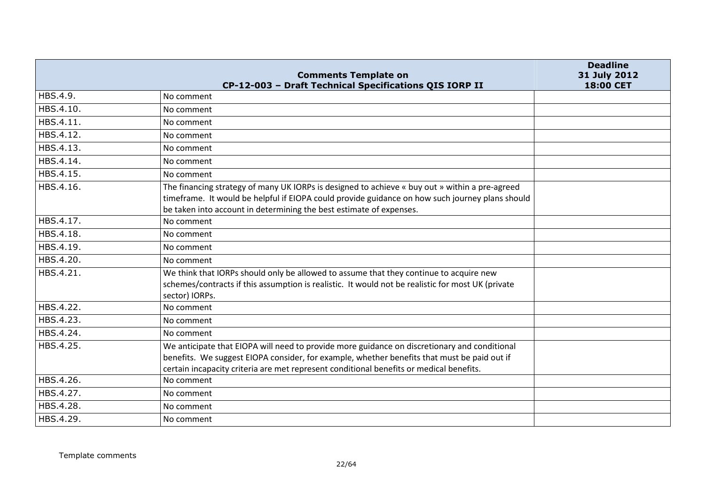|           | <b>Comments Template on</b>                                                                                                                                                                                                                                                            | <b>Deadline</b><br>31 July 2012 |
|-----------|----------------------------------------------------------------------------------------------------------------------------------------------------------------------------------------------------------------------------------------------------------------------------------------|---------------------------------|
|           | CP-12-003 - Draft Technical Specifications QIS IORP II                                                                                                                                                                                                                                 | <b>18:00 CET</b>                |
| HBS.4.9.  | No comment                                                                                                                                                                                                                                                                             |                                 |
| HBS.4.10. | No comment                                                                                                                                                                                                                                                                             |                                 |
| HBS.4.11. | No comment                                                                                                                                                                                                                                                                             |                                 |
| HBS.4.12. | No comment                                                                                                                                                                                                                                                                             |                                 |
| HBS.4.13. | No comment                                                                                                                                                                                                                                                                             |                                 |
| HBS.4.14. | No comment                                                                                                                                                                                                                                                                             |                                 |
| HBS.4.15. | No comment                                                                                                                                                                                                                                                                             |                                 |
| HBS.4.16. | The financing strategy of many UK IORPs is designed to achieve « buy out » within a pre-agreed<br>timeframe. It would be helpful if EIOPA could provide guidance on how such journey plans should<br>be taken into account in determining the best estimate of expenses.               |                                 |
| HBS.4.17. | No comment                                                                                                                                                                                                                                                                             |                                 |
| HBS.4.18. | No comment                                                                                                                                                                                                                                                                             |                                 |
| HBS.4.19. | No comment                                                                                                                                                                                                                                                                             |                                 |
| HBS.4.20. | No comment                                                                                                                                                                                                                                                                             |                                 |
| HBS.4.21. | We think that IORPs should only be allowed to assume that they continue to acquire new<br>schemes/contracts if this assumption is realistic. It would not be realistic for most UK (private<br>sector) IORPs.                                                                          |                                 |
| HBS.4.22. | No comment                                                                                                                                                                                                                                                                             |                                 |
| HBS.4.23. | No comment                                                                                                                                                                                                                                                                             |                                 |
| HBS.4.24. | No comment                                                                                                                                                                                                                                                                             |                                 |
| HBS.4.25. | We anticipate that EIOPA will need to provide more guidance on discretionary and conditional<br>benefits. We suggest EIOPA consider, for example, whether benefits that must be paid out if<br>certain incapacity criteria are met represent conditional benefits or medical benefits. |                                 |
| HBS.4.26. | No comment                                                                                                                                                                                                                                                                             |                                 |
| HBS.4.27. | No comment                                                                                                                                                                                                                                                                             |                                 |
| HBS.4.28. | No comment                                                                                                                                                                                                                                                                             |                                 |
| HBS.4.29. | No comment                                                                                                                                                                                                                                                                             |                                 |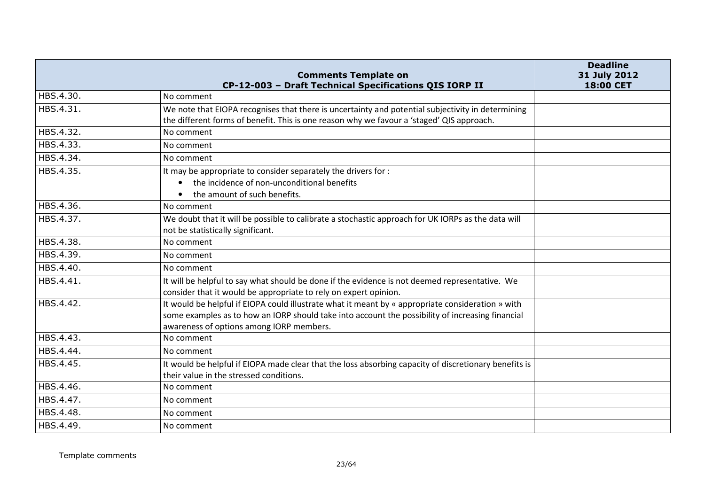|           | <b>Comments Template on</b><br>CP-12-003 - Draft Technical Specifications QIS IORP II                                                                                                                                                             | <b>Deadline</b><br>31 July 2012<br>18:00 CET |
|-----------|---------------------------------------------------------------------------------------------------------------------------------------------------------------------------------------------------------------------------------------------------|----------------------------------------------|
| HBS.4.30. | No comment                                                                                                                                                                                                                                        |                                              |
| HBS.4.31. | We note that EIOPA recognises that there is uncertainty and potential subjectivity in determining<br>the different forms of benefit. This is one reason why we favour a 'staged' QIS approach.                                                    |                                              |
| HBS.4.32. | No comment                                                                                                                                                                                                                                        |                                              |
| HBS.4.33. | No comment                                                                                                                                                                                                                                        |                                              |
| HBS.4.34. | No comment                                                                                                                                                                                                                                        |                                              |
| HBS.4.35. | It may be appropriate to consider separately the drivers for :<br>the incidence of non-unconditional benefits<br>the amount of such benefits.                                                                                                     |                                              |
| HBS.4.36. | No comment                                                                                                                                                                                                                                        |                                              |
| HBS.4.37. | We doubt that it will be possible to calibrate a stochastic approach for UK IORPs as the data will<br>not be statistically significant.                                                                                                           |                                              |
| HBS.4.38. | No comment                                                                                                                                                                                                                                        |                                              |
| HBS.4.39. | No comment                                                                                                                                                                                                                                        |                                              |
| HBS.4.40. | No comment                                                                                                                                                                                                                                        |                                              |
| HBS.4.41. | It will be helpful to say what should be done if the evidence is not deemed representative. We<br>consider that it would be appropriate to rely on expert opinion.                                                                                |                                              |
| HBS.4.42. | It would be helpful if EIOPA could illustrate what it meant by « appropriate consideration » with<br>some examples as to how an IORP should take into account the possibility of increasing financial<br>awareness of options among IORP members. |                                              |
| HBS.4.43. | No comment                                                                                                                                                                                                                                        |                                              |
| HBS.4.44. | No comment                                                                                                                                                                                                                                        |                                              |
| HBS.4.45. | It would be helpful if EIOPA made clear that the loss absorbing capacity of discretionary benefits is<br>their value in the stressed conditions.                                                                                                  |                                              |
| HBS.4.46. | No comment                                                                                                                                                                                                                                        |                                              |
| HBS.4.47. | No comment                                                                                                                                                                                                                                        |                                              |
| HBS.4.48. | No comment                                                                                                                                                                                                                                        |                                              |
| HBS.4.49. | No comment                                                                                                                                                                                                                                        |                                              |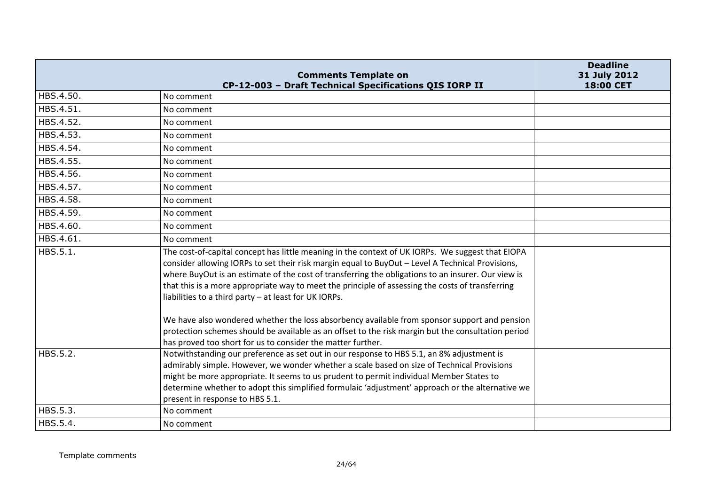|           | <b>Comments Template on</b>                                                                                                                                                                                                                                                                                                                                                                                                                                             | <b>Deadline</b><br>31 July 2012 |
|-----------|-------------------------------------------------------------------------------------------------------------------------------------------------------------------------------------------------------------------------------------------------------------------------------------------------------------------------------------------------------------------------------------------------------------------------------------------------------------------------|---------------------------------|
| HBS.4.50. | CP-12-003 - Draft Technical Specifications QIS IORP II<br>No comment                                                                                                                                                                                                                                                                                                                                                                                                    | 18:00 CET                       |
| HBS.4.51. | No comment                                                                                                                                                                                                                                                                                                                                                                                                                                                              |                                 |
| HBS.4.52. | No comment                                                                                                                                                                                                                                                                                                                                                                                                                                                              |                                 |
| HBS.4.53. | No comment                                                                                                                                                                                                                                                                                                                                                                                                                                                              |                                 |
| HBS.4.54. |                                                                                                                                                                                                                                                                                                                                                                                                                                                                         |                                 |
|           | No comment                                                                                                                                                                                                                                                                                                                                                                                                                                                              |                                 |
| HBS.4.55. | No comment                                                                                                                                                                                                                                                                                                                                                                                                                                                              |                                 |
| HBS.4.56. | No comment                                                                                                                                                                                                                                                                                                                                                                                                                                                              |                                 |
| HBS.4.57. | No comment                                                                                                                                                                                                                                                                                                                                                                                                                                                              |                                 |
| HBS.4.58. | No comment                                                                                                                                                                                                                                                                                                                                                                                                                                                              |                                 |
| HBS.4.59. | No comment                                                                                                                                                                                                                                                                                                                                                                                                                                                              |                                 |
| HBS.4.60. | No comment                                                                                                                                                                                                                                                                                                                                                                                                                                                              |                                 |
| HBS.4.61. | No comment                                                                                                                                                                                                                                                                                                                                                                                                                                                              |                                 |
| HBS.5.1.  | The cost-of-capital concept has little meaning in the context of UK IORPs. We suggest that EIOPA<br>consider allowing IORPs to set their risk margin equal to BuyOut - Level A Technical Provisions,<br>where BuyOut is an estimate of the cost of transferring the obligations to an insurer. Our view is<br>that this is a more appropriate way to meet the principle of assessing the costs of transferring<br>liabilities to a third party - at least for UK IORPs. |                                 |
|           | We have also wondered whether the loss absorbency available from sponsor support and pension<br>protection schemes should be available as an offset to the risk margin but the consultation period<br>has proved too short for us to consider the matter further.                                                                                                                                                                                                       |                                 |
| HBS.5.2.  | Notwithstanding our preference as set out in our response to HBS 5.1, an 8% adjustment is<br>admirably simple. However, we wonder whether a scale based on size of Technical Provisions<br>might be more appropriate. It seems to us prudent to permit individual Member States to<br>determine whether to adopt this simplified formulaic 'adjustment' approach or the alternative we<br>present in response to HBS 5.1.                                               |                                 |
| HBS.5.3.  | No comment                                                                                                                                                                                                                                                                                                                                                                                                                                                              |                                 |
| HBS.5.4.  | No comment                                                                                                                                                                                                                                                                                                                                                                                                                                                              |                                 |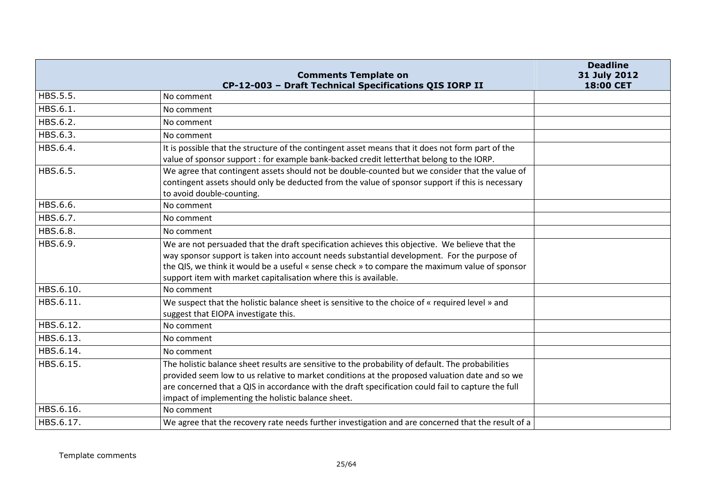|           | <b>Comments Template on</b><br>CP-12-003 - Draft Technical Specifications QIS IORP II                                                                                                                                                                                                                                                                               | <b>Deadline</b><br>31 July 2012<br>18:00 CET |
|-----------|---------------------------------------------------------------------------------------------------------------------------------------------------------------------------------------------------------------------------------------------------------------------------------------------------------------------------------------------------------------------|----------------------------------------------|
| HBS.5.5.  | No comment                                                                                                                                                                                                                                                                                                                                                          |                                              |
| HBS.6.1.  | No comment                                                                                                                                                                                                                                                                                                                                                          |                                              |
| HBS.6.2.  | No comment                                                                                                                                                                                                                                                                                                                                                          |                                              |
| HBS.6.3.  | No comment                                                                                                                                                                                                                                                                                                                                                          |                                              |
| HBS.6.4.  | It is possible that the structure of the contingent asset means that it does not form part of the<br>value of sponsor support : for example bank-backed credit letterthat belong to the IORP.                                                                                                                                                                       |                                              |
| HBS.6.5.  | We agree that contingent assets should not be double-counted but we consider that the value of<br>contingent assets should only be deducted from the value of sponsor support if this is necessary<br>to avoid double-counting.                                                                                                                                     |                                              |
| HBS.6.6.  | No comment                                                                                                                                                                                                                                                                                                                                                          |                                              |
| HBS.6.7.  | No comment                                                                                                                                                                                                                                                                                                                                                          |                                              |
| HBS.6.8.  | No comment                                                                                                                                                                                                                                                                                                                                                          |                                              |
| HBS.6.9.  | We are not persuaded that the draft specification achieves this objective. We believe that the<br>way sponsor support is taken into account needs substantial development. For the purpose of<br>the QIS, we think it would be a useful « sense check » to compare the maximum value of sponsor<br>support item with market capitalisation where this is available. |                                              |
| HBS.6.10. | No comment                                                                                                                                                                                                                                                                                                                                                          |                                              |
| HBS.6.11. | We suspect that the holistic balance sheet is sensitive to the choice of « required level » and<br>suggest that EIOPA investigate this.                                                                                                                                                                                                                             |                                              |
| HBS.6.12. | No comment                                                                                                                                                                                                                                                                                                                                                          |                                              |
| HBS.6.13. | No comment                                                                                                                                                                                                                                                                                                                                                          |                                              |
| HBS.6.14. | No comment                                                                                                                                                                                                                                                                                                                                                          |                                              |
| HBS.6.15. | The holistic balance sheet results are sensitive to the probability of default. The probabilities<br>provided seem low to us relative to market conditions at the proposed valuation date and so we<br>are concerned that a QIS in accordance with the draft specification could fail to capture the full<br>impact of implementing the holistic balance sheet.     |                                              |
| HBS.6.16. | No comment                                                                                                                                                                                                                                                                                                                                                          |                                              |
| HBS.6.17. | We agree that the recovery rate needs further investigation and are concerned that the result of a                                                                                                                                                                                                                                                                  |                                              |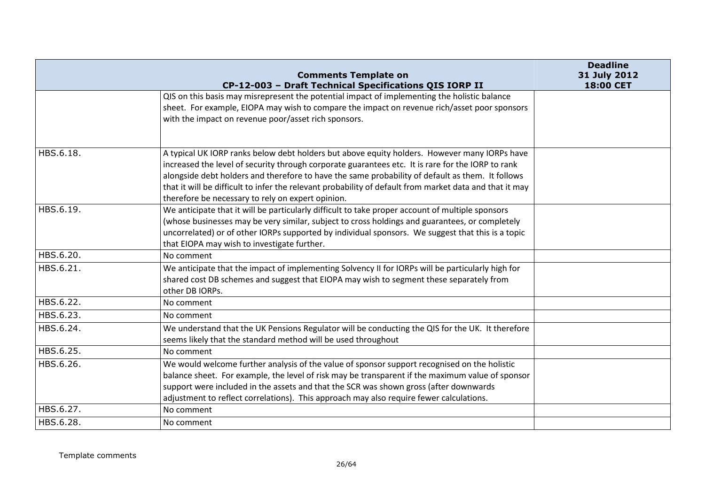|           | <b>Comments Template on</b>                                                                                                                                                                                                                                                                                                                                                                                                                                           | <b>Deadline</b><br>31 July 2012 |
|-----------|-----------------------------------------------------------------------------------------------------------------------------------------------------------------------------------------------------------------------------------------------------------------------------------------------------------------------------------------------------------------------------------------------------------------------------------------------------------------------|---------------------------------|
|           | CP-12-003 - Draft Technical Specifications QIS IORP II                                                                                                                                                                                                                                                                                                                                                                                                                | 18:00 CET                       |
|           | QIS on this basis may misrepresent the potential impact of implementing the holistic balance<br>sheet. For example, EIOPA may wish to compare the impact on revenue rich/asset poor sponsors<br>with the impact on revenue poor/asset rich sponsors.                                                                                                                                                                                                                  |                                 |
| HBS.6.18. | A typical UK IORP ranks below debt holders but above equity holders. However many IORPs have<br>increased the level of security through corporate guarantees etc. It is rare for the IORP to rank<br>alongside debt holders and therefore to have the same probability of default as them. It follows<br>that it will be difficult to infer the relevant probability of default from market data and that it may<br>therefore be necessary to rely on expert opinion. |                                 |
| HBS.6.19. | We anticipate that it will be particularly difficult to take proper account of multiple sponsors<br>(whose businesses may be very similar, subject to cross holdings and guarantees, or completely<br>uncorrelated) or of other IORPs supported by individual sponsors. We suggest that this is a topic<br>that EIOPA may wish to investigate further.                                                                                                                |                                 |
| HBS.6.20. | No comment                                                                                                                                                                                                                                                                                                                                                                                                                                                            |                                 |
| HBS.6.21. | We anticipate that the impact of implementing Solvency II for IORPs will be particularly high for<br>shared cost DB schemes and suggest that EIOPA may wish to segment these separately from<br>other DB IORPs.                                                                                                                                                                                                                                                       |                                 |
| HBS.6.22. | No comment                                                                                                                                                                                                                                                                                                                                                                                                                                                            |                                 |
| HBS.6.23. | No comment                                                                                                                                                                                                                                                                                                                                                                                                                                                            |                                 |
| HBS.6.24. | We understand that the UK Pensions Regulator will be conducting the QIS for the UK. It therefore<br>seems likely that the standard method will be used throughout                                                                                                                                                                                                                                                                                                     |                                 |
| HBS.6.25. | No comment                                                                                                                                                                                                                                                                                                                                                                                                                                                            |                                 |
| HBS.6.26. | We would welcome further analysis of the value of sponsor support recognised on the holistic<br>balance sheet. For example, the level of risk may be transparent if the maximum value of sponsor<br>support were included in the assets and that the SCR was shown gross (after downwards<br>adjustment to reflect correlations). This approach may also require fewer calculations.                                                                                  |                                 |
| HBS.6.27. | No comment                                                                                                                                                                                                                                                                                                                                                                                                                                                            |                                 |
| HBS.6.28. | No comment                                                                                                                                                                                                                                                                                                                                                                                                                                                            |                                 |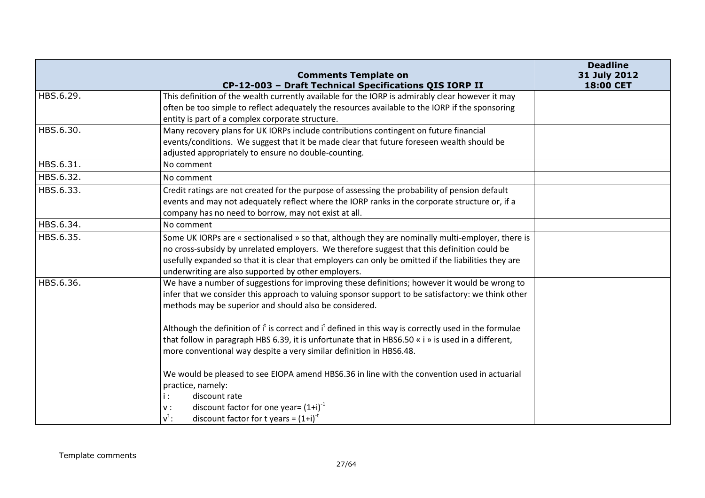|           | <b>Comments Template on</b>                                                                           | <b>Deadline</b><br>31 July 2012 |
|-----------|-------------------------------------------------------------------------------------------------------|---------------------------------|
|           | CP-12-003 - Draft Technical Specifications QIS IORP II                                                | 18:00 CET                       |
| HBS.6.29. | This definition of the wealth currently available for the IORP is admirably clear however it may      |                                 |
|           | often be too simple to reflect adequately the resources available to the IORP if the sponsoring       |                                 |
|           | entity is part of a complex corporate structure.                                                      |                                 |
| HBS.6.30. | Many recovery plans for UK IORPs include contributions contingent on future financial                 |                                 |
|           | events/conditions. We suggest that it be made clear that future foreseen wealth should be             |                                 |
|           | adjusted appropriately to ensure no double-counting.                                                  |                                 |
| HBS.6.31. | No comment                                                                                            |                                 |
| HBS.6.32. | No comment                                                                                            |                                 |
| HBS.6.33. | Credit ratings are not created for the purpose of assessing the probability of pension default        |                                 |
|           | events and may not adequately reflect where the IORP ranks in the corporate structure or, if a        |                                 |
|           | company has no need to borrow, may not exist at all.                                                  |                                 |
| HBS.6.34. | No comment                                                                                            |                                 |
| HBS.6.35. | Some UK IORPs are « sectionalised » so that, although they are nominally multi-employer, there is     |                                 |
|           | no cross-subsidy by unrelated employers. We therefore suggest that this definition could be           |                                 |
|           | usefully expanded so that it is clear that employers can only be omitted if the liabilities they are  |                                 |
|           | underwriting are also supported by other employers.                                                   |                                 |
| HBS.6.36. | We have a number of suggestions for improving these definitions; however it would be wrong to         |                                 |
|           | infer that we consider this approach to valuing sponsor support to be satisfactory: we think other    |                                 |
|           | methods may be superior and should also be considered.                                                |                                 |
|           | Although the definition of it is correct and it defined in this way is correctly used in the formulae |                                 |
|           | that follow in paragraph HBS 6.39, it is unfortunate that in HBS6.50 « i » is used in a different,    |                                 |
|           | more conventional way despite a very similar definition in HBS6.48.                                   |                                 |
|           |                                                                                                       |                                 |
|           | We would be pleased to see EIOPA amend HBS6.36 in line with the convention used in actuarial          |                                 |
|           | practice, namely:                                                                                     |                                 |
|           | i:<br>discount rate                                                                                   |                                 |
|           | discount factor for one year= $(1+i)^{-1}$<br>${\sf v}$ :                                             |                                 |
|           | $v^t$ :<br>discount factor for t years = $(1+i)^{-t}$                                                 |                                 |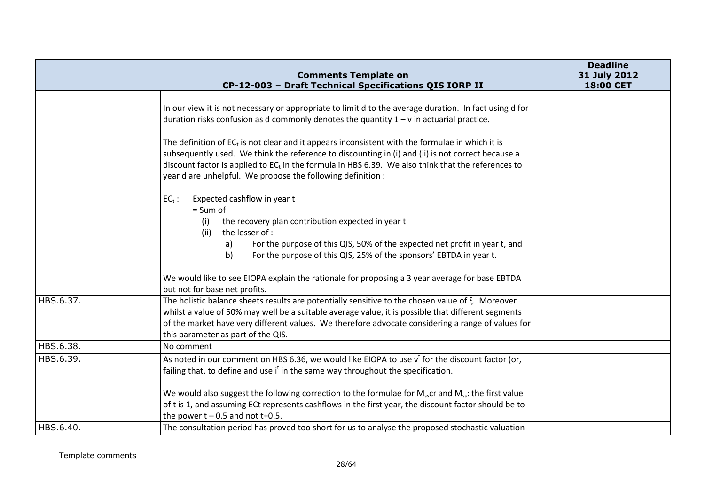|           | <b>Comments Template on</b>                                                                                                                                                                                                                                                                                                                                                     | <b>Deadline</b><br>31 July 2012 |
|-----------|---------------------------------------------------------------------------------------------------------------------------------------------------------------------------------------------------------------------------------------------------------------------------------------------------------------------------------------------------------------------------------|---------------------------------|
|           | CP-12-003 - Draft Technical Specifications QIS IORP II                                                                                                                                                                                                                                                                                                                          | 18:00 CET                       |
|           | In our view it is not necessary or appropriate to limit d to the average duration. In fact using d for<br>duration risks confusion as d commonly denotes the quantity $1 - v$ in actuarial practice.                                                                                                                                                                            |                                 |
|           | The definition of $EC_t$ is not clear and it appears inconsistent with the formulae in which it is<br>subsequently used. We think the reference to discounting in (i) and (ii) is not correct because a<br>discount factor is applied to $EC_t$ in the formula in HBS 6.39. We also think that the references to<br>year d are unhelpful. We propose the following definition : |                                 |
|           | $EC_t$ :<br>Expected cashflow in year t<br>$= Sum of$                                                                                                                                                                                                                                                                                                                           |                                 |
|           | the recovery plan contribution expected in year t<br>(i)<br>(ii)<br>the lesser of :                                                                                                                                                                                                                                                                                             |                                 |
|           | For the purpose of this QIS, 50% of the expected net profit in year t, and<br>a)<br>For the purpose of this QIS, 25% of the sponsors' EBTDA in year t.<br>b)                                                                                                                                                                                                                    |                                 |
|           | We would like to see EIOPA explain the rationale for proposing a 3 year average for base EBTDA<br>but not for base net profits.                                                                                                                                                                                                                                                 |                                 |
| HBS.6.37. | The holistic balance sheets results are potentially sensitive to the chosen value of $\xi$ . Moreover<br>whilst a value of 50% may well be a suitable average value, it is possible that different segments<br>of the market have very different values. We therefore advocate considering a range of values for<br>this parameter as part of the QIS.                          |                                 |
| HBS.6.38. | No comment                                                                                                                                                                                                                                                                                                                                                                      |                                 |
| HBS.6.39. | As noted in our comment on HBS 6.36, we would like EIOPA to use $v^t$ for the discount factor (or,<br>failing that, to define and use i <sup>t</sup> in the same way throughout the specification.                                                                                                                                                                              |                                 |
|           | We would also suggest the following correction to the formulae for $M_{ss}$ cr and $M_{ss}$ : the first value<br>of t is 1, and assuming ECt represents cashflows in the first year, the discount factor should be to<br>the power $t - 0.5$ and not $t + 0.5$ .                                                                                                                |                                 |
| HBS.6.40. | The consultation period has proved too short for us to analyse the proposed stochastic valuation                                                                                                                                                                                                                                                                                |                                 |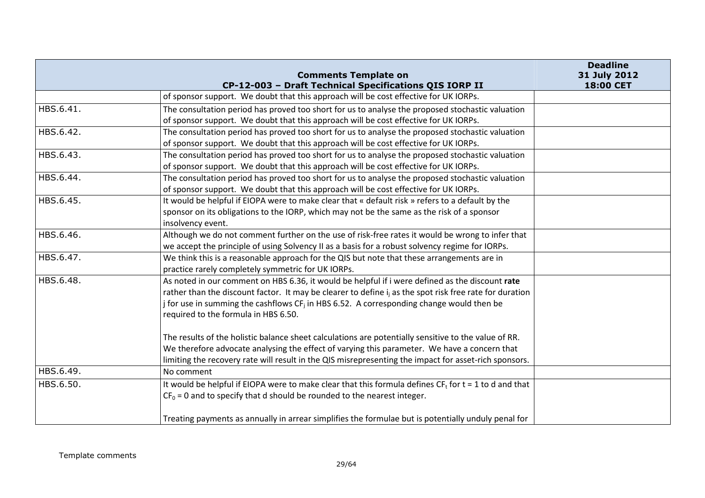|           | <b>Comments Template on</b>                                                                                         | <b>Deadline</b><br>31 July 2012 |
|-----------|---------------------------------------------------------------------------------------------------------------------|---------------------------------|
|           | CP-12-003 - Draft Technical Specifications QIS IORP II                                                              | 18:00 CET                       |
|           | of sponsor support. We doubt that this approach will be cost effective for UK IORPs.                                |                                 |
| HBS.6.41. | The consultation period has proved too short for us to analyse the proposed stochastic valuation                    |                                 |
|           | of sponsor support. We doubt that this approach will be cost effective for UK IORPs.                                |                                 |
| HBS.6.42. | The consultation period has proved too short for us to analyse the proposed stochastic valuation                    |                                 |
|           | of sponsor support. We doubt that this approach will be cost effective for UK IORPs.                                |                                 |
| HBS.6.43. | The consultation period has proved too short for us to analyse the proposed stochastic valuation                    |                                 |
|           | of sponsor support. We doubt that this approach will be cost effective for UK IORPs.                                |                                 |
| HBS.6.44. | The consultation period has proved too short for us to analyse the proposed stochastic valuation                    |                                 |
|           | of sponsor support. We doubt that this approach will be cost effective for UK IORPs.                                |                                 |
| HBS.6.45. | It would be helpful if EIOPA were to make clear that « default risk » refers to a default by the                    |                                 |
|           | sponsor on its obligations to the IORP, which may not be the same as the risk of a sponsor                          |                                 |
|           | insolvency event.                                                                                                   |                                 |
| HBS.6.46. | Although we do not comment further on the use of risk-free rates it would be wrong to infer that                    |                                 |
|           | we accept the principle of using Solvency II as a basis for a robust solvency regime for IORPs.                     |                                 |
| HBS.6.47. | We think this is a reasonable approach for the QIS but note that these arrangements are in                          |                                 |
|           | practice rarely completely symmetric for UK IORPs.                                                                  |                                 |
| HBS.6.48. | As noted in our comment on HBS 6.36, it would be helpful if i were defined as the discount rate                     |                                 |
|           | rather than the discount factor. It may be clearer to define i <sub>i</sub> as the spot risk free rate for duration |                                 |
|           | j for use in summing the cashflows CF <sub>i</sub> in HBS 6.52. A corresponding change would then be                |                                 |
|           | required to the formula in HBS 6.50.                                                                                |                                 |
|           |                                                                                                                     |                                 |
|           | The results of the holistic balance sheet calculations are potentially sensitive to the value of RR.                |                                 |
|           | We therefore advocate analysing the effect of varying this parameter. We have a concern that                        |                                 |
|           | limiting the recovery rate will result in the QIS misrepresenting the impact for asset-rich sponsors.               |                                 |
| HBS.6.49. | No comment                                                                                                          |                                 |
| HBS.6.50. | It would be helpful if EIOPA were to make clear that this formula defines $CFf$ for $t = 1$ to d and that           |                                 |
|           | $CF0 = 0$ and to specify that d should be rounded to the nearest integer.                                           |                                 |
|           | Treating payments as annually in arrear simplifies the formulae but is potentially unduly penal for                 |                                 |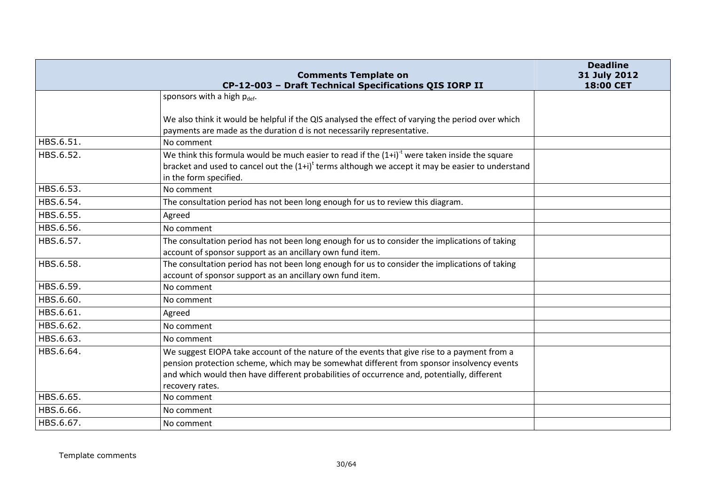|           | <b>Comments Template on</b>                                                                          | <b>Deadline</b><br>31 July 2012 |
|-----------|------------------------------------------------------------------------------------------------------|---------------------------------|
|           | CP-12-003 - Draft Technical Specifications QIS IORP II                                               | 18:00 CET                       |
|           | sponsors with a high pdef.                                                                           |                                 |
|           |                                                                                                      |                                 |
|           | We also think it would be helpful if the QIS analysed the effect of varying the period over which    |                                 |
|           | payments are made as the duration d is not necessarily representative.                               |                                 |
| HBS.6.51. | No comment                                                                                           |                                 |
| HBS.6.52. | We think this formula would be much easier to read if the $(1+i)^{t}$ were taken inside the square   |                                 |
|           | bracket and used to cancel out the $(1+i)^t$ terms although we accept it may be easier to understand |                                 |
|           | in the form specified.                                                                               |                                 |
| HBS.6.53. | No comment                                                                                           |                                 |
| HBS.6.54. | The consultation period has not been long enough for us to review this diagram.                      |                                 |
| HBS.6.55. | Agreed                                                                                               |                                 |
| HBS.6.56. | No comment                                                                                           |                                 |
| HBS.6.57. | The consultation period has not been long enough for us to consider the implications of taking       |                                 |
|           | account of sponsor support as an ancillary own fund item.                                            |                                 |
| HBS.6.58. | The consultation period has not been long enough for us to consider the implications of taking       |                                 |
|           | account of sponsor support as an ancillary own fund item.                                            |                                 |
| HBS.6.59. | No comment                                                                                           |                                 |
| HBS.6.60. | No comment                                                                                           |                                 |
| HBS.6.61. | Agreed                                                                                               |                                 |
| HBS.6.62. | No comment                                                                                           |                                 |
| HBS.6.63. | No comment                                                                                           |                                 |
| HBS.6.64. | We suggest EIOPA take account of the nature of the events that give rise to a payment from a         |                                 |
|           | pension protection scheme, which may be somewhat different from sponsor insolvency events            |                                 |
|           | and which would then have different probabilities of occurrence and, potentially, different          |                                 |
|           | recovery rates.                                                                                      |                                 |
| HBS.6.65. | No comment                                                                                           |                                 |
| HBS.6.66. | No comment                                                                                           |                                 |
| HBS.6.67. | No comment                                                                                           |                                 |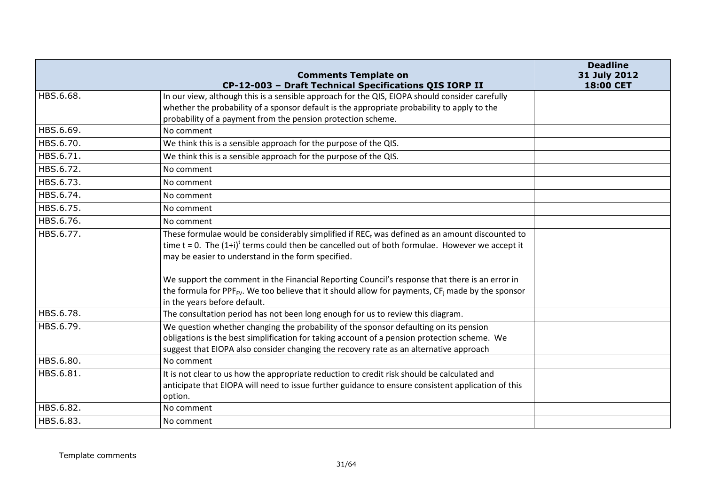|           | <b>Comments Template on</b><br>CP-12-003 - Draft Technical Specifications QIS IORP II                                                                                                                                                                                                                                                                                       | <b>Deadline</b><br>31 July 2012<br>18:00 CET |
|-----------|-----------------------------------------------------------------------------------------------------------------------------------------------------------------------------------------------------------------------------------------------------------------------------------------------------------------------------------------------------------------------------|----------------------------------------------|
| HBS.6.68. | In our view, although this is a sensible approach for the QIS, EIOPA should consider carefully<br>whether the probability of a sponsor default is the appropriate probability to apply to the<br>probability of a payment from the pension protection scheme.                                                                                                               |                                              |
| HBS.6.69. | No comment                                                                                                                                                                                                                                                                                                                                                                  |                                              |
| HBS.6.70. | We think this is a sensible approach for the purpose of the QIS.                                                                                                                                                                                                                                                                                                            |                                              |
| HBS.6.71. | We think this is a sensible approach for the purpose of the QIS.                                                                                                                                                                                                                                                                                                            |                                              |
| HBS.6.72. | No comment                                                                                                                                                                                                                                                                                                                                                                  |                                              |
| HBS.6.73. | No comment                                                                                                                                                                                                                                                                                                                                                                  |                                              |
| HBS.6.74. | No comment                                                                                                                                                                                                                                                                                                                                                                  |                                              |
| HBS.6.75. | No comment                                                                                                                                                                                                                                                                                                                                                                  |                                              |
| HBS.6.76. | No comment                                                                                                                                                                                                                                                                                                                                                                  |                                              |
| HBS.6.77. | These formulae would be considerably simplified if REC <sub>t</sub> was defined as an amount discounted to<br>time $t = 0$ . The $(1+i)^t$ terms could then be cancelled out of both formulae. However we accept it<br>may be easier to understand in the form specified.<br>We support the comment in the Financial Reporting Council's response that there is an error in |                                              |
|           | the formula for PPF <sub>FV</sub> . We too believe that it should allow for payments, $CF_i$ made by the sponsor<br>in the years before default.                                                                                                                                                                                                                            |                                              |
| HBS.6.78. | The consultation period has not been long enough for us to review this diagram.                                                                                                                                                                                                                                                                                             |                                              |
| HBS.6.79. | We question whether changing the probability of the sponsor defaulting on its pension<br>obligations is the best simplification for taking account of a pension protection scheme. We<br>suggest that EIOPA also consider changing the recovery rate as an alternative approach                                                                                             |                                              |
| HBS.6.80. | No comment                                                                                                                                                                                                                                                                                                                                                                  |                                              |
| HBS.6.81. | It is not clear to us how the appropriate reduction to credit risk should be calculated and<br>anticipate that EIOPA will need to issue further guidance to ensure consistent application of this<br>option.                                                                                                                                                                |                                              |
| HBS.6.82. | No comment                                                                                                                                                                                                                                                                                                                                                                  |                                              |
| HBS.6.83. | No comment                                                                                                                                                                                                                                                                                                                                                                  |                                              |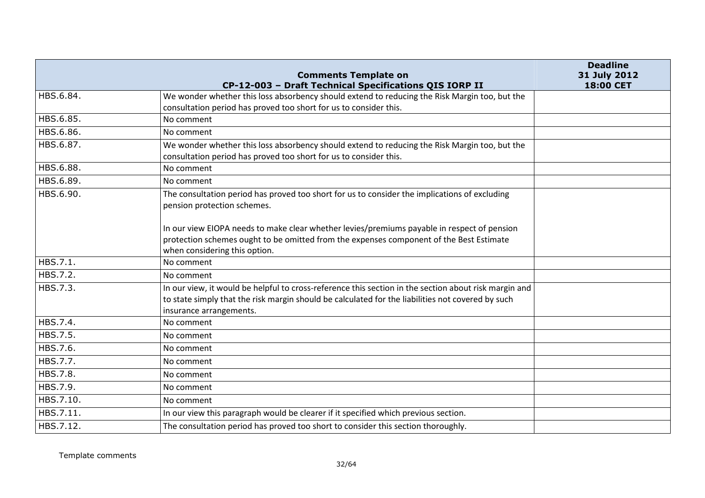|           | <b>Comments Template on</b><br>CP-12-003 - Draft Technical Specifications QIS IORP II                                                                                                                                                 | <b>Deadline</b><br>31 July 2012<br>18:00 CET |
|-----------|---------------------------------------------------------------------------------------------------------------------------------------------------------------------------------------------------------------------------------------|----------------------------------------------|
| HBS.6.84. | We wonder whether this loss absorbency should extend to reducing the Risk Margin too, but the                                                                                                                                         |                                              |
|           | consultation period has proved too short for us to consider this.                                                                                                                                                                     |                                              |
| HBS.6.85. | No comment                                                                                                                                                                                                                            |                                              |
| HBS.6.86. | No comment                                                                                                                                                                                                                            |                                              |
| HBS.6.87. | We wonder whether this loss absorbency should extend to reducing the Risk Margin too, but the<br>consultation period has proved too short for us to consider this.                                                                    |                                              |
| HBS.6.88. | No comment                                                                                                                                                                                                                            |                                              |
| HBS.6.89. | No comment                                                                                                                                                                                                                            |                                              |
| HBS.6.90. | The consultation period has proved too short for us to consider the implications of excluding<br>pension protection schemes.                                                                                                          |                                              |
|           | In our view EIOPA needs to make clear whether levies/premiums payable in respect of pension<br>protection schemes ought to be omitted from the expenses component of the Best Estimate<br>when considering this option.               |                                              |
| HBS.7.1.  | No comment                                                                                                                                                                                                                            |                                              |
| HBS.7.2.  | No comment                                                                                                                                                                                                                            |                                              |
| HBS.7.3.  | In our view, it would be helpful to cross-reference this section in the section about risk margin and<br>to state simply that the risk margin should be calculated for the liabilities not covered by such<br>insurance arrangements. |                                              |
| HBS.7.4.  | No comment                                                                                                                                                                                                                            |                                              |
| HBS.7.5.  | No comment                                                                                                                                                                                                                            |                                              |
| HBS.7.6.  | No comment                                                                                                                                                                                                                            |                                              |
| HBS.7.7.  | No comment                                                                                                                                                                                                                            |                                              |
| HBS.7.8.  | No comment                                                                                                                                                                                                                            |                                              |
| HBS.7.9.  | No comment                                                                                                                                                                                                                            |                                              |
| HBS.7.10. | No comment                                                                                                                                                                                                                            |                                              |
| HBS.7.11. | In our view this paragraph would be clearer if it specified which previous section.                                                                                                                                                   |                                              |
| HBS.7.12. | The consultation period has proved too short to consider this section thoroughly.                                                                                                                                                     |                                              |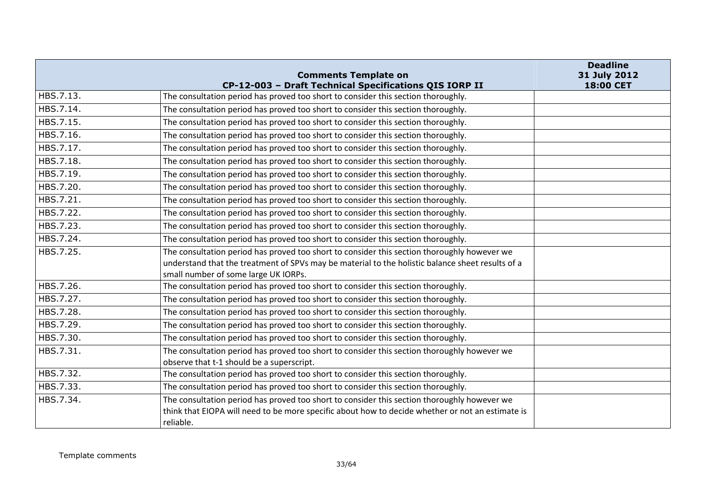|           | <b>Comments Template on</b>                                                                                                                                                                                                             | <b>Deadline</b><br>31 July 2012 |
|-----------|-----------------------------------------------------------------------------------------------------------------------------------------------------------------------------------------------------------------------------------------|---------------------------------|
|           | CP-12-003 - Draft Technical Specifications QIS IORP II                                                                                                                                                                                  | 18:00 CET                       |
| HBS.7.13. | The consultation period has proved too short to consider this section thoroughly.                                                                                                                                                       |                                 |
| HBS.7.14. | The consultation period has proved too short to consider this section thoroughly.                                                                                                                                                       |                                 |
| HBS.7.15. | The consultation period has proved too short to consider this section thoroughly.                                                                                                                                                       |                                 |
| HBS.7.16. | The consultation period has proved too short to consider this section thoroughly.                                                                                                                                                       |                                 |
| HBS.7.17. | The consultation period has proved too short to consider this section thoroughly.                                                                                                                                                       |                                 |
| HBS.7.18. | The consultation period has proved too short to consider this section thoroughly.                                                                                                                                                       |                                 |
| HBS.7.19. | The consultation period has proved too short to consider this section thoroughly.                                                                                                                                                       |                                 |
| HBS.7.20. | The consultation period has proved too short to consider this section thoroughly.                                                                                                                                                       |                                 |
| HBS.7.21. | The consultation period has proved too short to consider this section thoroughly.                                                                                                                                                       |                                 |
| HBS.7.22. | The consultation period has proved too short to consider this section thoroughly.                                                                                                                                                       |                                 |
| HBS.7.23. | The consultation period has proved too short to consider this section thoroughly.                                                                                                                                                       |                                 |
| HBS.7.24. | The consultation period has proved too short to consider this section thoroughly.                                                                                                                                                       |                                 |
| HBS.7.25. | The consultation period has proved too short to consider this section thoroughly however we<br>understand that the treatment of SPVs may be material to the holistic balance sheet results of a<br>small number of some large UK IORPs. |                                 |
| HBS.7.26. | The consultation period has proved too short to consider this section thoroughly.                                                                                                                                                       |                                 |
| HBS.7.27. | The consultation period has proved too short to consider this section thoroughly.                                                                                                                                                       |                                 |
| HBS.7.28. | The consultation period has proved too short to consider this section thoroughly.                                                                                                                                                       |                                 |
| HBS.7.29. | The consultation period has proved too short to consider this section thoroughly.                                                                                                                                                       |                                 |
| HBS.7.30. | The consultation period has proved too short to consider this section thoroughly.                                                                                                                                                       |                                 |
| HBS.7.31. | The consultation period has proved too short to consider this section thoroughly however we<br>observe that t-1 should be a superscript.                                                                                                |                                 |
| HBS.7.32. | The consultation period has proved too short to consider this section thoroughly.                                                                                                                                                       |                                 |
| HBS.7.33. | The consultation period has proved too short to consider this section thoroughly.                                                                                                                                                       |                                 |
| HBS.7.34. | The consultation period has proved too short to consider this section thoroughly however we<br>think that EIOPA will need to be more specific about how to decide whether or not an estimate is<br>reliable.                            |                                 |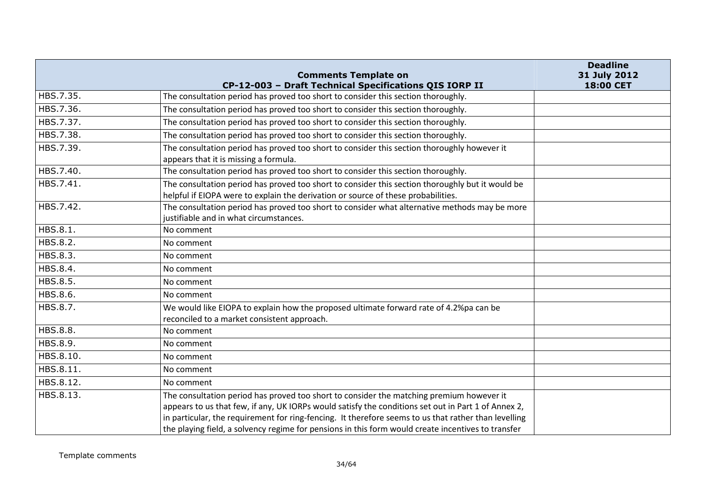|           | <b>Comments Template on</b>                                                                          | <b>Deadline</b><br>31 July 2012 |
|-----------|------------------------------------------------------------------------------------------------------|---------------------------------|
|           | CP-12-003 - Draft Technical Specifications QIS IORP II                                               | 18:00 CET                       |
| HBS.7.35. | The consultation period has proved too short to consider this section thoroughly.                    |                                 |
| HBS.7.36. | The consultation period has proved too short to consider this section thoroughly.                    |                                 |
| HBS.7.37. | The consultation period has proved too short to consider this section thoroughly.                    |                                 |
| HBS.7.38. | The consultation period has proved too short to consider this section thoroughly.                    |                                 |
| HBS.7.39. | The consultation period has proved too short to consider this section thoroughly however it          |                                 |
|           | appears that it is missing a formula.                                                                |                                 |
| HBS.7.40. | The consultation period has proved too short to consider this section thoroughly.                    |                                 |
| HBS.7.41. | The consultation period has proved too short to consider this section thoroughly but it would be     |                                 |
|           | helpful if EIOPA were to explain the derivation or source of these probabilities.                    |                                 |
| HBS.7.42. | The consultation period has proved too short to consider what alternative methods may be more        |                                 |
|           | justifiable and in what circumstances.                                                               |                                 |
| HBS.8.1.  | No comment                                                                                           |                                 |
| HBS.8.2.  | No comment                                                                                           |                                 |
| HBS.8.3.  | No comment                                                                                           |                                 |
| HBS.8.4.  | No comment                                                                                           |                                 |
| HBS.8.5.  | No comment                                                                                           |                                 |
| HBS.8.6.  | No comment                                                                                           |                                 |
| HBS.8.7.  | We would like EIOPA to explain how the proposed ultimate forward rate of 4.2%pa can be               |                                 |
|           | reconciled to a market consistent approach.                                                          |                                 |
| HBS.8.8.  | No comment                                                                                           |                                 |
| HBS.8.9.  | No comment                                                                                           |                                 |
| HBS.8.10. | No comment                                                                                           |                                 |
| HBS.8.11. | No comment                                                                                           |                                 |
| HBS.8.12. | No comment                                                                                           |                                 |
| HBS.8.13. | The consultation period has proved too short to consider the matching premium however it             |                                 |
|           | appears to us that few, if any, UK IORPs would satisfy the conditions set out in Part 1 of Annex 2,  |                                 |
|           | in particular, the requirement for ring-fencing. It therefore seems to us that rather than levelling |                                 |
|           | the playing field, a solvency regime for pensions in this form would create incentives to transfer   |                                 |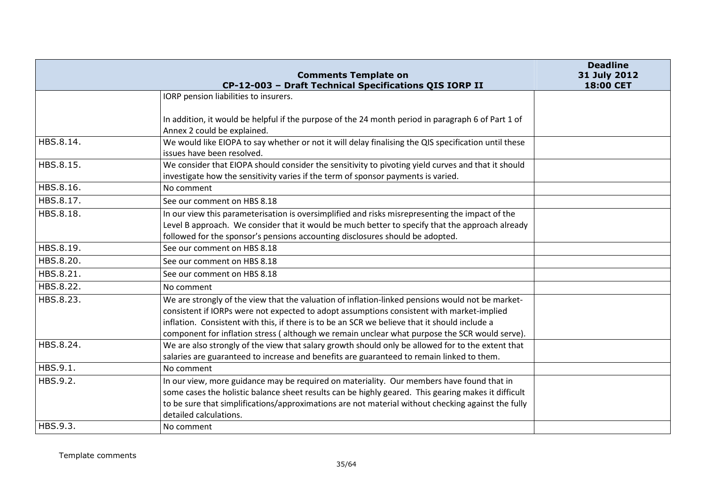|           | <b>Comments Template on</b><br>CP-12-003 - Draft Technical Specifications QIS IORP II                                                                                                                                                                                                                                                                                                           | <b>Deadline</b><br>31 July 2012<br>18:00 CET |
|-----------|-------------------------------------------------------------------------------------------------------------------------------------------------------------------------------------------------------------------------------------------------------------------------------------------------------------------------------------------------------------------------------------------------|----------------------------------------------|
|           | IORP pension liabilities to insurers.                                                                                                                                                                                                                                                                                                                                                           |                                              |
|           | In addition, it would be helpful if the purpose of the 24 month period in paragraph 6 of Part 1 of<br>Annex 2 could be explained.                                                                                                                                                                                                                                                               |                                              |
| HBS.8.14. | We would like EIOPA to say whether or not it will delay finalising the QIS specification until these<br>issues have been resolved.                                                                                                                                                                                                                                                              |                                              |
| HBS.8.15. | We consider that EIOPA should consider the sensitivity to pivoting yield curves and that it should<br>investigate how the sensitivity varies if the term of sponsor payments is varied.                                                                                                                                                                                                         |                                              |
| HBS.8.16. | No comment                                                                                                                                                                                                                                                                                                                                                                                      |                                              |
| HBS.8.17. | See our comment on HBS 8.18                                                                                                                                                                                                                                                                                                                                                                     |                                              |
| HBS.8.18. | In our view this parameterisation is oversimplified and risks misrepresenting the impact of the<br>Level B approach. We consider that it would be much better to specify that the approach already<br>followed for the sponsor's pensions accounting disclosures should be adopted.                                                                                                             |                                              |
| HBS.8.19. | See our comment on HBS 8.18                                                                                                                                                                                                                                                                                                                                                                     |                                              |
| HBS.8.20. | See our comment on HBS 8.18                                                                                                                                                                                                                                                                                                                                                                     |                                              |
| HBS.8.21. | See our comment on HBS 8.18                                                                                                                                                                                                                                                                                                                                                                     |                                              |
| HBS.8.22. | No comment                                                                                                                                                                                                                                                                                                                                                                                      |                                              |
| HBS.8.23. | We are strongly of the view that the valuation of inflation-linked pensions would not be market-<br>consistent if IORPs were not expected to adopt assumptions consistent with market-implied<br>inflation. Consistent with this, if there is to be an SCR we believe that it should include a<br>component for inflation stress (although we remain unclear what purpose the SCR would serve). |                                              |
| HBS.8.24. | We are also strongly of the view that salary growth should only be allowed for to the extent that<br>salaries are guaranteed to increase and benefits are guaranteed to remain linked to them.                                                                                                                                                                                                  |                                              |
| HBS.9.1.  | No comment                                                                                                                                                                                                                                                                                                                                                                                      |                                              |
| HBS.9.2.  | In our view, more guidance may be required on materiality. Our members have found that in<br>some cases the holistic balance sheet results can be highly geared. This gearing makes it difficult<br>to be sure that simplifications/approximations are not material without checking against the fully<br>detailed calculations.                                                                |                                              |
| HBS.9.3.  | No comment                                                                                                                                                                                                                                                                                                                                                                                      |                                              |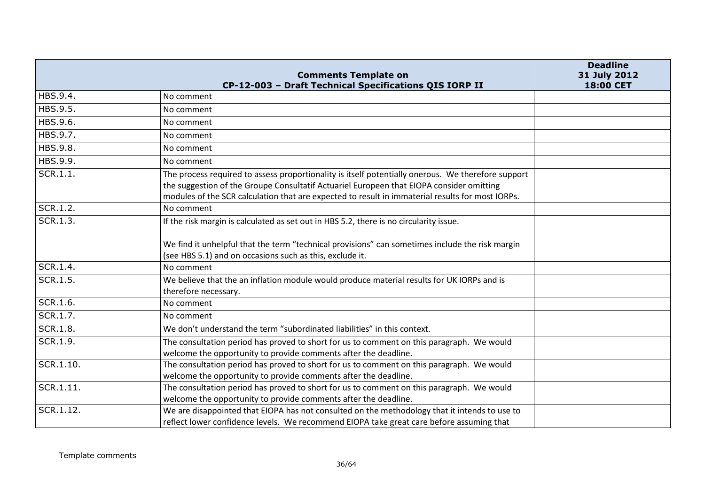|           |                                                                                                                                                                                                                                                                                                    | <b>Deadline</b>           |
|-----------|----------------------------------------------------------------------------------------------------------------------------------------------------------------------------------------------------------------------------------------------------------------------------------------------------|---------------------------|
|           | <b>Comments Template on</b><br>CP-12-003 - Draft Technical Specifications QIS IORP II                                                                                                                                                                                                              | 31 July 2012<br>18:00 CET |
| HBS.9.4.  | No comment                                                                                                                                                                                                                                                                                         |                           |
| HBS.9.5.  | No comment                                                                                                                                                                                                                                                                                         |                           |
| HBS.9.6.  | No comment                                                                                                                                                                                                                                                                                         |                           |
| HBS.9.7.  | No comment                                                                                                                                                                                                                                                                                         |                           |
| HBS.9.8.  | No comment                                                                                                                                                                                                                                                                                         |                           |
| HBS.9.9.  | No comment                                                                                                                                                                                                                                                                                         |                           |
| SCR.1.1.  | The process required to assess proportionality is itself potentially onerous. We therefore support<br>the suggestion of the Groupe Consultatif Actuariel Europeen that EIOPA consider omitting<br>modules of the SCR calculation that are expected to result in immaterial results for most IORPs. |                           |
| SCR.1.2.  | No comment                                                                                                                                                                                                                                                                                         |                           |
| SCR.1.3.  | If the risk margin is calculated as set out in HBS 5.2, there is no circularity issue.<br>We find it unhelpful that the term "technical provisions" can sometimes include the risk margin<br>(see HBS 5.1) and on occasions such as this, exclude it.                                              |                           |
| SCR.1.4.  | No comment                                                                                                                                                                                                                                                                                         |                           |
| SCR.1.5.  | We believe that the an inflation module would produce material results for UK IORPs and is<br>therefore necessary.                                                                                                                                                                                 |                           |
| SCR.1.6.  | No comment                                                                                                                                                                                                                                                                                         |                           |
| SCR.1.7.  | No comment                                                                                                                                                                                                                                                                                         |                           |
| SCR.1.8.  | We don't understand the term "subordinated liabilities" in this context.                                                                                                                                                                                                                           |                           |
| SCR.1.9.  | The consultation period has proved to short for us to comment on this paragraph. We would<br>welcome the opportunity to provide comments after the deadline.                                                                                                                                       |                           |
| SCR.1.10. | The consultation period has proved to short for us to comment on this paragraph. We would<br>welcome the opportunity to provide comments after the deadline.                                                                                                                                       |                           |
| SCR.1.11. | The consultation period has proved to short for us to comment on this paragraph. We would<br>welcome the opportunity to provide comments after the deadline.                                                                                                                                       |                           |
| SCR.1.12. | We are disappointed that EIOPA has not consulted on the methodology that it intends to use to<br>reflect lower confidence levels. We recommend EIOPA take great care before assuming that                                                                                                          |                           |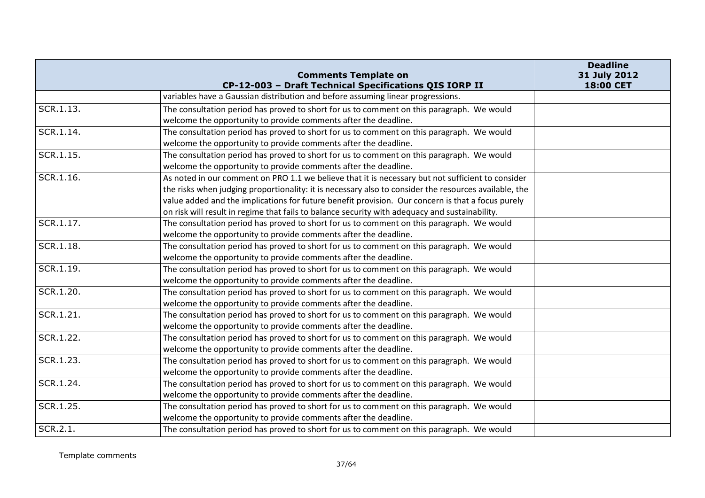|           | <b>Comments Template on</b>                                                                           | <b>Deadline</b><br>31 July 2012 |
|-----------|-------------------------------------------------------------------------------------------------------|---------------------------------|
|           | CP-12-003 - Draft Technical Specifications QIS IORP II                                                | 18:00 CET                       |
|           | variables have a Gaussian distribution and before assuming linear progressions.                       |                                 |
| SCR.1.13. | The consultation period has proved to short for us to comment on this paragraph. We would             |                                 |
|           | welcome the opportunity to provide comments after the deadline.                                       |                                 |
| SCR.1.14. | The consultation period has proved to short for us to comment on this paragraph. We would             |                                 |
|           | welcome the opportunity to provide comments after the deadline.                                       |                                 |
| SCR.1.15. | The consultation period has proved to short for us to comment on this paragraph. We would             |                                 |
|           | welcome the opportunity to provide comments after the deadline.                                       |                                 |
| SCR.1.16. | As noted in our comment on PRO 1.1 we believe that it is necessary but not sufficient to consider     |                                 |
|           | the risks when judging proportionality: it is necessary also to consider the resources available, the |                                 |
|           | value added and the implications for future benefit provision. Our concern is that a focus purely     |                                 |
|           | on risk will result in regime that fails to balance security with adequacy and sustainability.        |                                 |
| SCR.1.17. | The consultation period has proved to short for us to comment on this paragraph. We would             |                                 |
|           | welcome the opportunity to provide comments after the deadline.                                       |                                 |
| SCR.1.18. | The consultation period has proved to short for us to comment on this paragraph. We would             |                                 |
|           | welcome the opportunity to provide comments after the deadline.                                       |                                 |
| SCR.1.19. | The consultation period has proved to short for us to comment on this paragraph. We would             |                                 |
|           | welcome the opportunity to provide comments after the deadline.                                       |                                 |
| SCR.1.20. | The consultation period has proved to short for us to comment on this paragraph. We would             |                                 |
|           | welcome the opportunity to provide comments after the deadline.                                       |                                 |
| SCR.1.21. | The consultation period has proved to short for us to comment on this paragraph. We would             |                                 |
|           | welcome the opportunity to provide comments after the deadline.                                       |                                 |
| SCR.1.22. | The consultation period has proved to short for us to comment on this paragraph. We would             |                                 |
|           | welcome the opportunity to provide comments after the deadline.                                       |                                 |
| SCR.1.23. | The consultation period has proved to short for us to comment on this paragraph. We would             |                                 |
|           | welcome the opportunity to provide comments after the deadline.                                       |                                 |
| SCR.1.24. | The consultation period has proved to short for us to comment on this paragraph. We would             |                                 |
|           | welcome the opportunity to provide comments after the deadline.                                       |                                 |
| SCR.1.25. | The consultation period has proved to short for us to comment on this paragraph. We would             |                                 |
|           | welcome the opportunity to provide comments after the deadline.                                       |                                 |
| SCR.2.1.  | The consultation period has proved to short for us to comment on this paragraph. We would             |                                 |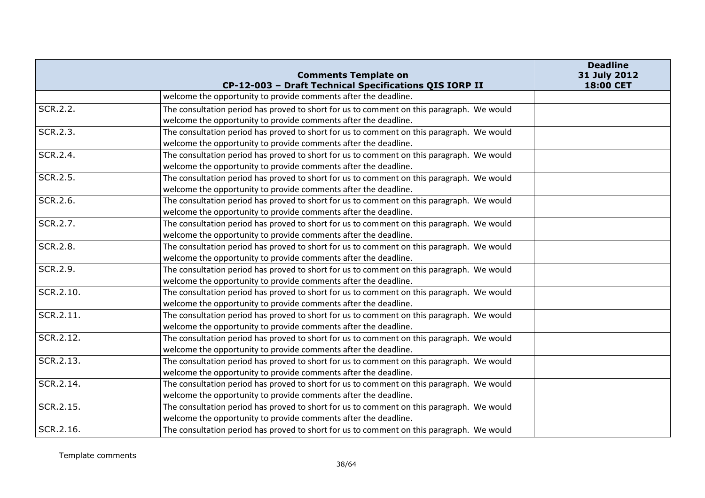|           | <b>Comments Template on</b><br>CP-12-003 - Draft Technical Specifications QIS IORP II     | <b>Deadline</b><br>31 July 2012<br>18:00 CET |
|-----------|-------------------------------------------------------------------------------------------|----------------------------------------------|
|           | welcome the opportunity to provide comments after the deadline.                           |                                              |
| SCR.2.2.  | The consultation period has proved to short for us to comment on this paragraph. We would |                                              |
|           | welcome the opportunity to provide comments after the deadline.                           |                                              |
| SCR.2.3.  | The consultation period has proved to short for us to comment on this paragraph. We would |                                              |
|           | welcome the opportunity to provide comments after the deadline.                           |                                              |
| SCR.2.4.  | The consultation period has proved to short for us to comment on this paragraph. We would |                                              |
|           | welcome the opportunity to provide comments after the deadline.                           |                                              |
| SCR.2.5.  | The consultation period has proved to short for us to comment on this paragraph. We would |                                              |
|           | welcome the opportunity to provide comments after the deadline.                           |                                              |
| SCR.2.6.  | The consultation period has proved to short for us to comment on this paragraph. We would |                                              |
|           | welcome the opportunity to provide comments after the deadline.                           |                                              |
| SCR.2.7.  | The consultation period has proved to short for us to comment on this paragraph. We would |                                              |
|           | welcome the opportunity to provide comments after the deadline.                           |                                              |
| SCR.2.8.  | The consultation period has proved to short for us to comment on this paragraph. We would |                                              |
|           | welcome the opportunity to provide comments after the deadline.                           |                                              |
| SCR.2.9.  | The consultation period has proved to short for us to comment on this paragraph. We would |                                              |
|           | welcome the opportunity to provide comments after the deadline.                           |                                              |
| SCR.2.10. | The consultation period has proved to short for us to comment on this paragraph. We would |                                              |
|           | welcome the opportunity to provide comments after the deadline.                           |                                              |
| SCR.2.11. | The consultation period has proved to short for us to comment on this paragraph. We would |                                              |
|           | welcome the opportunity to provide comments after the deadline.                           |                                              |
| SCR.2.12. | The consultation period has proved to short for us to comment on this paragraph. We would |                                              |
|           | welcome the opportunity to provide comments after the deadline.                           |                                              |
| SCR.2.13. | The consultation period has proved to short for us to comment on this paragraph. We would |                                              |
|           | welcome the opportunity to provide comments after the deadline.                           |                                              |
| SCR.2.14. | The consultation period has proved to short for us to comment on this paragraph. We would |                                              |
|           | welcome the opportunity to provide comments after the deadline.                           |                                              |
| SCR.2.15. | The consultation period has proved to short for us to comment on this paragraph. We would |                                              |
|           | welcome the opportunity to provide comments after the deadline.                           |                                              |
| SCR.2.16. | The consultation period has proved to short for us to comment on this paragraph. We would |                                              |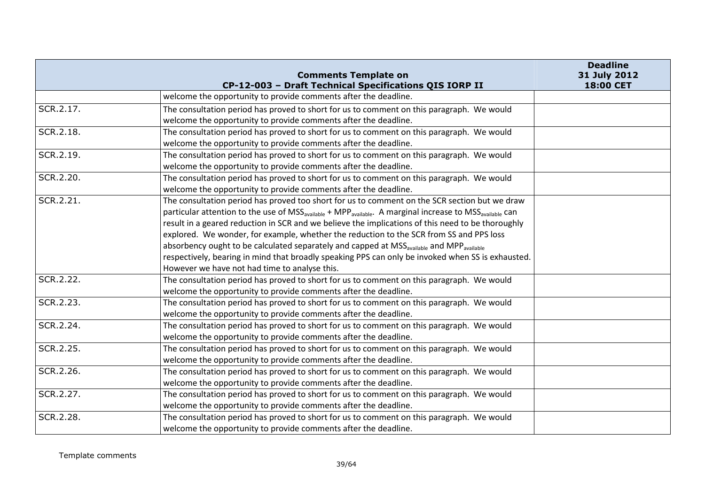|           | <b>Comments Template on</b>                                                                                                                  | <b>Deadline</b><br>31 July 2012 |
|-----------|----------------------------------------------------------------------------------------------------------------------------------------------|---------------------------------|
|           | CP-12-003 - Draft Technical Specifications QIS IORP II                                                                                       | 18:00 CET                       |
|           | welcome the opportunity to provide comments after the deadline.                                                                              |                                 |
| SCR.2.17. | The consultation period has proved to short for us to comment on this paragraph. We would                                                    |                                 |
|           | welcome the opportunity to provide comments after the deadline.                                                                              |                                 |
| SCR.2.18. | The consultation period has proved to short for us to comment on this paragraph. We would                                                    |                                 |
|           | welcome the opportunity to provide comments after the deadline.                                                                              |                                 |
| SCR.2.19. | The consultation period has proved to short for us to comment on this paragraph. We would                                                    |                                 |
|           | welcome the opportunity to provide comments after the deadline.                                                                              |                                 |
| SCR.2.20. | The consultation period has proved to short for us to comment on this paragraph. We would                                                    |                                 |
|           | welcome the opportunity to provide comments after the deadline.                                                                              |                                 |
| SCR.2.21. | The consultation period has proved too short for us to comment on the SCR section but we draw                                                |                                 |
|           | particular attention to the use of MSS <sub>available</sub> + MPP <sub>available</sub> . A marginal increase to MSS <sub>available</sub> can |                                 |
|           | result in a geared reduction in SCR and we believe the implications of this need to be thoroughly                                            |                                 |
|           | explored. We wonder, for example, whether the reduction to the SCR from SS and PPS loss                                                      |                                 |
|           | absorbency ought to be calculated separately and capped at MSS <sub>available</sub> and MPP <sub>available</sub>                             |                                 |
|           | respectively, bearing in mind that broadly speaking PPS can only be invoked when SS is exhausted.                                            |                                 |
|           | However we have not had time to analyse this.                                                                                                |                                 |
| SCR.2.22. | The consultation period has proved to short for us to comment on this paragraph. We would                                                    |                                 |
|           | welcome the opportunity to provide comments after the deadline.                                                                              |                                 |
| SCR.2.23. | The consultation period has proved to short for us to comment on this paragraph. We would                                                    |                                 |
|           | welcome the opportunity to provide comments after the deadline.                                                                              |                                 |
| SCR.2.24. | The consultation period has proved to short for us to comment on this paragraph. We would                                                    |                                 |
|           | welcome the opportunity to provide comments after the deadline.                                                                              |                                 |
| SCR.2.25. | The consultation period has proved to short for us to comment on this paragraph. We would                                                    |                                 |
|           | welcome the opportunity to provide comments after the deadline.                                                                              |                                 |
| SCR.2.26. | The consultation period has proved to short for us to comment on this paragraph. We would                                                    |                                 |
|           | welcome the opportunity to provide comments after the deadline.                                                                              |                                 |
| SCR.2.27. | The consultation period has proved to short for us to comment on this paragraph. We would                                                    |                                 |
|           | welcome the opportunity to provide comments after the deadline.                                                                              |                                 |
| SCR.2.28. | The consultation period has proved to short for us to comment on this paragraph. We would                                                    |                                 |
|           | welcome the opportunity to provide comments after the deadline.                                                                              |                                 |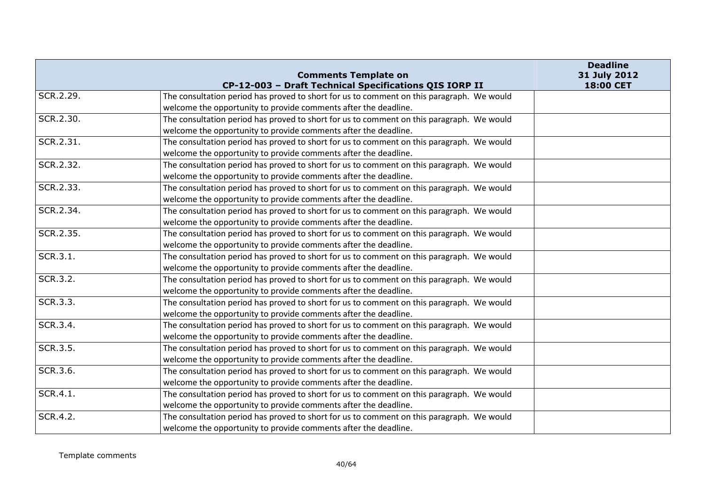|           | <b>Comments Template on</b>                                                               | <b>Deadline</b><br>31 July 2012 |
|-----------|-------------------------------------------------------------------------------------------|---------------------------------|
|           | CP-12-003 - Draft Technical Specifications QIS IORP II                                    | 18:00 CET                       |
| SCR.2.29. | The consultation period has proved to short for us to comment on this paragraph. We would |                                 |
|           | welcome the opportunity to provide comments after the deadline.                           |                                 |
| SCR.2.30. | The consultation period has proved to short for us to comment on this paragraph. We would |                                 |
|           | welcome the opportunity to provide comments after the deadline.                           |                                 |
| SCR.2.31. | The consultation period has proved to short for us to comment on this paragraph. We would |                                 |
|           | welcome the opportunity to provide comments after the deadline.                           |                                 |
| SCR.2.32. | The consultation period has proved to short for us to comment on this paragraph. We would |                                 |
|           | welcome the opportunity to provide comments after the deadline.                           |                                 |
| SCR.2.33. | The consultation period has proved to short for us to comment on this paragraph. We would |                                 |
|           | welcome the opportunity to provide comments after the deadline.                           |                                 |
| SCR.2.34. | The consultation period has proved to short for us to comment on this paragraph. We would |                                 |
|           | welcome the opportunity to provide comments after the deadline.                           |                                 |
| SCR.2.35. | The consultation period has proved to short for us to comment on this paragraph. We would |                                 |
|           | welcome the opportunity to provide comments after the deadline.                           |                                 |
| SCR.3.1.  | The consultation period has proved to short for us to comment on this paragraph. We would |                                 |
|           | welcome the opportunity to provide comments after the deadline.                           |                                 |
| SCR.3.2.  | The consultation period has proved to short for us to comment on this paragraph. We would |                                 |
|           | welcome the opportunity to provide comments after the deadline.                           |                                 |
| SCR.3.3.  | The consultation period has proved to short for us to comment on this paragraph. We would |                                 |
|           | welcome the opportunity to provide comments after the deadline.                           |                                 |
| SCR.3.4.  | The consultation period has proved to short for us to comment on this paragraph. We would |                                 |
|           | welcome the opportunity to provide comments after the deadline.                           |                                 |
| SCR.3.5.  | The consultation period has proved to short for us to comment on this paragraph. We would |                                 |
|           | welcome the opportunity to provide comments after the deadline.                           |                                 |
| SCR.3.6.  | The consultation period has proved to short for us to comment on this paragraph. We would |                                 |
|           | welcome the opportunity to provide comments after the deadline.                           |                                 |
| SCR.4.1.  | The consultation period has proved to short for us to comment on this paragraph. We would |                                 |
|           | welcome the opportunity to provide comments after the deadline.                           |                                 |
| SCR.4.2.  | The consultation period has proved to short for us to comment on this paragraph. We would |                                 |
|           | welcome the opportunity to provide comments after the deadline.                           |                                 |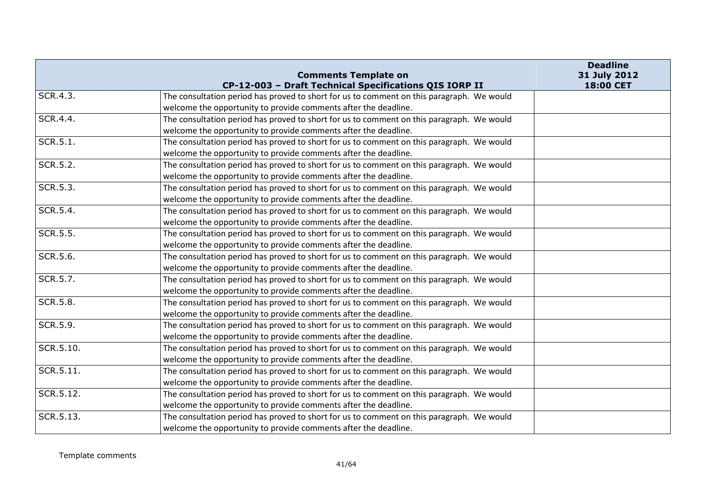|           | <b>Comments Template on</b>                                                                                                                         | <b>Deadline</b><br>31 July 2012 |
|-----------|-----------------------------------------------------------------------------------------------------------------------------------------------------|---------------------------------|
| SCR.4.3.  | CP-12-003 - Draft Technical Specifications QIS IORP II<br>The consultation period has proved to short for us to comment on this paragraph. We would | 18:00 CET                       |
|           |                                                                                                                                                     |                                 |
| SCR.4.4.  | welcome the opportunity to provide comments after the deadline.                                                                                     |                                 |
|           | The consultation period has proved to short for us to comment on this paragraph. We would                                                           |                                 |
|           | welcome the opportunity to provide comments after the deadline.                                                                                     |                                 |
| SCR.5.1.  | The consultation period has proved to short for us to comment on this paragraph. We would                                                           |                                 |
|           | welcome the opportunity to provide comments after the deadline.                                                                                     |                                 |
| SCR.5.2.  | The consultation period has proved to short for us to comment on this paragraph. We would                                                           |                                 |
|           | welcome the opportunity to provide comments after the deadline.                                                                                     |                                 |
| SCR.5.3.  | The consultation period has proved to short for us to comment on this paragraph. We would                                                           |                                 |
|           | welcome the opportunity to provide comments after the deadline.                                                                                     |                                 |
| SCR.5.4.  | The consultation period has proved to short for us to comment on this paragraph. We would                                                           |                                 |
|           | welcome the opportunity to provide comments after the deadline.                                                                                     |                                 |
| SCR.5.5.  | The consultation period has proved to short for us to comment on this paragraph. We would                                                           |                                 |
|           | welcome the opportunity to provide comments after the deadline.                                                                                     |                                 |
| SCR.5.6.  | The consultation period has proved to short for us to comment on this paragraph. We would                                                           |                                 |
|           | welcome the opportunity to provide comments after the deadline.                                                                                     |                                 |
| SCR.5.7.  | The consultation period has proved to short for us to comment on this paragraph. We would                                                           |                                 |
|           | welcome the opportunity to provide comments after the deadline.                                                                                     |                                 |
| SCR.5.8.  | The consultation period has proved to short for us to comment on this paragraph. We would                                                           |                                 |
|           | welcome the opportunity to provide comments after the deadline.                                                                                     |                                 |
| SCR.5.9.  | The consultation period has proved to short for us to comment on this paragraph. We would                                                           |                                 |
|           | welcome the opportunity to provide comments after the deadline.                                                                                     |                                 |
| SCR.5.10. | The consultation period has proved to short for us to comment on this paragraph. We would                                                           |                                 |
|           | welcome the opportunity to provide comments after the deadline.                                                                                     |                                 |
| SCR.5.11. | The consultation period has proved to short for us to comment on this paragraph. We would                                                           |                                 |
|           | welcome the opportunity to provide comments after the deadline.                                                                                     |                                 |
| SCR.5.12. | The consultation period has proved to short for us to comment on this paragraph. We would                                                           |                                 |
|           | welcome the opportunity to provide comments after the deadline.                                                                                     |                                 |
| SCR.5.13. | The consultation period has proved to short for us to comment on this paragraph. We would                                                           |                                 |
|           | welcome the opportunity to provide comments after the deadline.                                                                                     |                                 |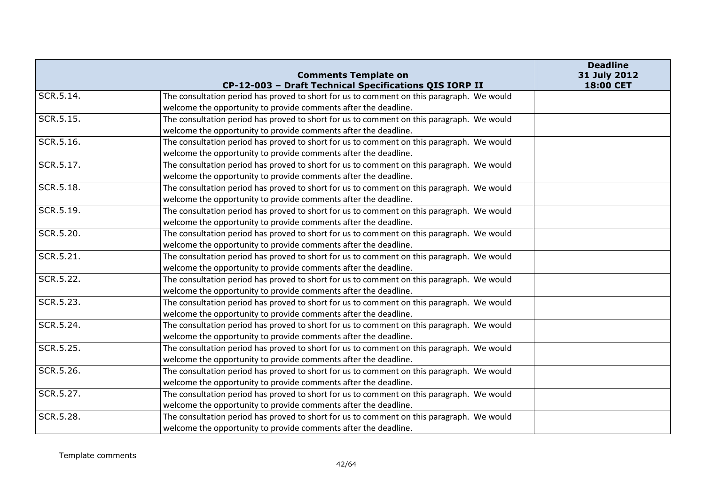|           | <b>Comments Template on</b><br>CP-12-003 - Draft Technical Specifications QIS IORP II     | <b>Deadline</b><br>31 July 2012<br>18:00 CET |
|-----------|-------------------------------------------------------------------------------------------|----------------------------------------------|
| SCR.5.14. | The consultation period has proved to short for us to comment on this paragraph. We would |                                              |
|           | welcome the opportunity to provide comments after the deadline.                           |                                              |
| SCR.5.15. | The consultation period has proved to short for us to comment on this paragraph. We would |                                              |
|           | welcome the opportunity to provide comments after the deadline.                           |                                              |
| SCR.5.16. | The consultation period has proved to short for us to comment on this paragraph. We would |                                              |
|           | welcome the opportunity to provide comments after the deadline.                           |                                              |
| SCR.5.17. | The consultation period has proved to short for us to comment on this paragraph. We would |                                              |
|           | welcome the opportunity to provide comments after the deadline.                           |                                              |
| SCR.5.18. | The consultation period has proved to short for us to comment on this paragraph. We would |                                              |
|           | welcome the opportunity to provide comments after the deadline.                           |                                              |
| SCR.5.19. | The consultation period has proved to short for us to comment on this paragraph. We would |                                              |
|           | welcome the opportunity to provide comments after the deadline.                           |                                              |
| SCR.5.20. | The consultation period has proved to short for us to comment on this paragraph. We would |                                              |
|           | welcome the opportunity to provide comments after the deadline.                           |                                              |
| SCR.5.21. | The consultation period has proved to short for us to comment on this paragraph. We would |                                              |
|           | welcome the opportunity to provide comments after the deadline.                           |                                              |
| SCR.5.22. | The consultation period has proved to short for us to comment on this paragraph. We would |                                              |
|           | welcome the opportunity to provide comments after the deadline.                           |                                              |
| SCR.5.23. | The consultation period has proved to short for us to comment on this paragraph. We would |                                              |
|           | welcome the opportunity to provide comments after the deadline.                           |                                              |
| SCR.5.24. | The consultation period has proved to short for us to comment on this paragraph. We would |                                              |
|           | welcome the opportunity to provide comments after the deadline.                           |                                              |
| SCR.5.25. | The consultation period has proved to short for us to comment on this paragraph. We would |                                              |
|           | welcome the opportunity to provide comments after the deadline.                           |                                              |
| SCR.5.26. | The consultation period has proved to short for us to comment on this paragraph. We would |                                              |
|           | welcome the opportunity to provide comments after the deadline.                           |                                              |
| SCR.5.27. | The consultation period has proved to short for us to comment on this paragraph. We would |                                              |
|           | welcome the opportunity to provide comments after the deadline.                           |                                              |
| SCR.5.28. | The consultation period has proved to short for us to comment on this paragraph. We would |                                              |
|           | welcome the opportunity to provide comments after the deadline.                           |                                              |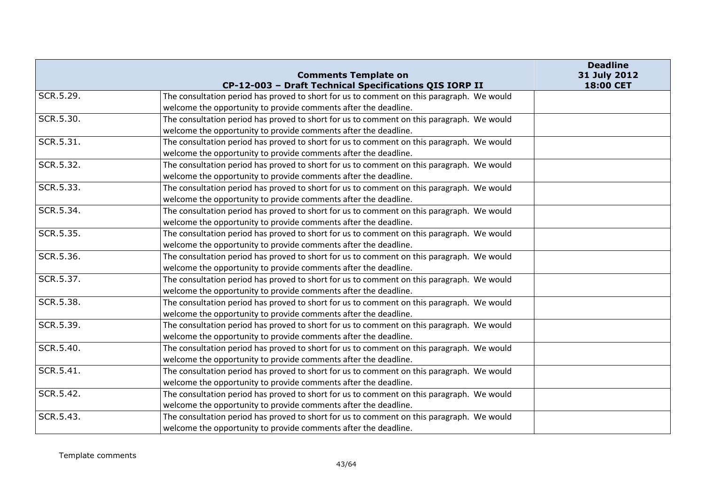|           | <b>Comments Template on</b>                                                               | <b>Deadline</b><br>31 July 2012 |
|-----------|-------------------------------------------------------------------------------------------|---------------------------------|
|           | CP-12-003 - Draft Technical Specifications QIS IORP II                                    | 18:00 CET                       |
| SCR.5.29. | The consultation period has proved to short for us to comment on this paragraph. We would |                                 |
|           | welcome the opportunity to provide comments after the deadline.                           |                                 |
| SCR.5.30. | The consultation period has proved to short for us to comment on this paragraph. We would |                                 |
|           | welcome the opportunity to provide comments after the deadline.                           |                                 |
| SCR.5.31. | The consultation period has proved to short for us to comment on this paragraph. We would |                                 |
|           | welcome the opportunity to provide comments after the deadline.                           |                                 |
| SCR.5.32. | The consultation period has proved to short for us to comment on this paragraph. We would |                                 |
|           | welcome the opportunity to provide comments after the deadline.                           |                                 |
| SCR.5.33. | The consultation period has proved to short for us to comment on this paragraph. We would |                                 |
|           | welcome the opportunity to provide comments after the deadline.                           |                                 |
| SCR.5.34. | The consultation period has proved to short for us to comment on this paragraph. We would |                                 |
|           | welcome the opportunity to provide comments after the deadline.                           |                                 |
| SCR.5.35. | The consultation period has proved to short for us to comment on this paragraph. We would |                                 |
|           | welcome the opportunity to provide comments after the deadline.                           |                                 |
| SCR.5.36. | The consultation period has proved to short for us to comment on this paragraph. We would |                                 |
|           | welcome the opportunity to provide comments after the deadline.                           |                                 |
| SCR.5.37. | The consultation period has proved to short for us to comment on this paragraph. We would |                                 |
|           | welcome the opportunity to provide comments after the deadline.                           |                                 |
| SCR.5.38. | The consultation period has proved to short for us to comment on this paragraph. We would |                                 |
|           | welcome the opportunity to provide comments after the deadline.                           |                                 |
| SCR.5.39. | The consultation period has proved to short for us to comment on this paragraph. We would |                                 |
|           | welcome the opportunity to provide comments after the deadline.                           |                                 |
| SCR.5.40. | The consultation period has proved to short for us to comment on this paragraph. We would |                                 |
|           | welcome the opportunity to provide comments after the deadline.                           |                                 |
| SCR.5.41. | The consultation period has proved to short for us to comment on this paragraph. We would |                                 |
|           | welcome the opportunity to provide comments after the deadline.                           |                                 |
| SCR.5.42. | The consultation period has proved to short for us to comment on this paragraph. We would |                                 |
|           | welcome the opportunity to provide comments after the deadline.                           |                                 |
| SCR.5.43. | The consultation period has proved to short for us to comment on this paragraph. We would |                                 |
|           | welcome the opportunity to provide comments after the deadline.                           |                                 |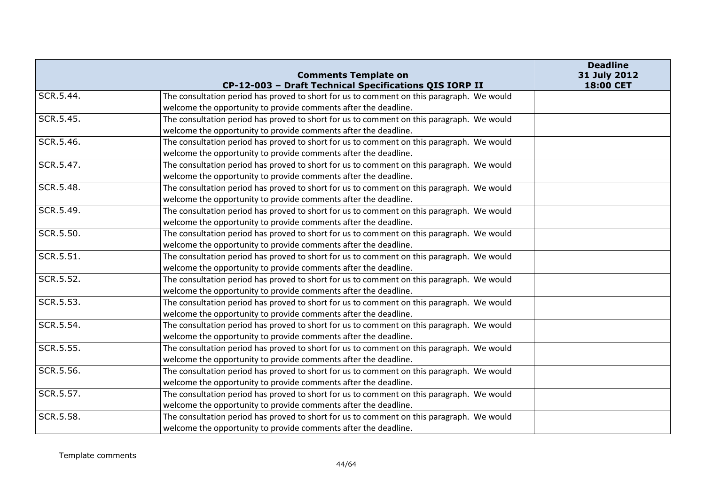|           | <b>Comments Template on</b>                                                               | <b>Deadline</b><br>31 July 2012 |
|-----------|-------------------------------------------------------------------------------------------|---------------------------------|
|           | CP-12-003 - Draft Technical Specifications QIS IORP II                                    | 18:00 CET                       |
| SCR.5.44. | The consultation period has proved to short for us to comment on this paragraph. We would |                                 |
|           | welcome the opportunity to provide comments after the deadline.                           |                                 |
| SCR.5.45. | The consultation period has proved to short for us to comment on this paragraph. We would |                                 |
|           | welcome the opportunity to provide comments after the deadline.                           |                                 |
| SCR.5.46. | The consultation period has proved to short for us to comment on this paragraph. We would |                                 |
|           | welcome the opportunity to provide comments after the deadline.                           |                                 |
| SCR.5.47. | The consultation period has proved to short for us to comment on this paragraph. We would |                                 |
|           | welcome the opportunity to provide comments after the deadline.                           |                                 |
| SCR.5.48. | The consultation period has proved to short for us to comment on this paragraph. We would |                                 |
|           | welcome the opportunity to provide comments after the deadline.                           |                                 |
| SCR.5.49. | The consultation period has proved to short for us to comment on this paragraph. We would |                                 |
|           | welcome the opportunity to provide comments after the deadline.                           |                                 |
| SCR.5.50. | The consultation period has proved to short for us to comment on this paragraph. We would |                                 |
|           | welcome the opportunity to provide comments after the deadline.                           |                                 |
| SCR.5.51. | The consultation period has proved to short for us to comment on this paragraph. We would |                                 |
|           | welcome the opportunity to provide comments after the deadline.                           |                                 |
| SCR.5.52. | The consultation period has proved to short for us to comment on this paragraph. We would |                                 |
|           | welcome the opportunity to provide comments after the deadline.                           |                                 |
| SCR.5.53. | The consultation period has proved to short for us to comment on this paragraph. We would |                                 |
|           | welcome the opportunity to provide comments after the deadline.                           |                                 |
| SCR.5.54. | The consultation period has proved to short for us to comment on this paragraph. We would |                                 |
|           | welcome the opportunity to provide comments after the deadline.                           |                                 |
| SCR.5.55. | The consultation period has proved to short for us to comment on this paragraph. We would |                                 |
|           | welcome the opportunity to provide comments after the deadline.                           |                                 |
| SCR.5.56. | The consultation period has proved to short for us to comment on this paragraph. We would |                                 |
|           | welcome the opportunity to provide comments after the deadline.                           |                                 |
| SCR.5.57. | The consultation period has proved to short for us to comment on this paragraph. We would |                                 |
|           | welcome the opportunity to provide comments after the deadline.                           |                                 |
| SCR.5.58. | The consultation period has proved to short for us to comment on this paragraph. We would |                                 |
|           | welcome the opportunity to provide comments after the deadline.                           |                                 |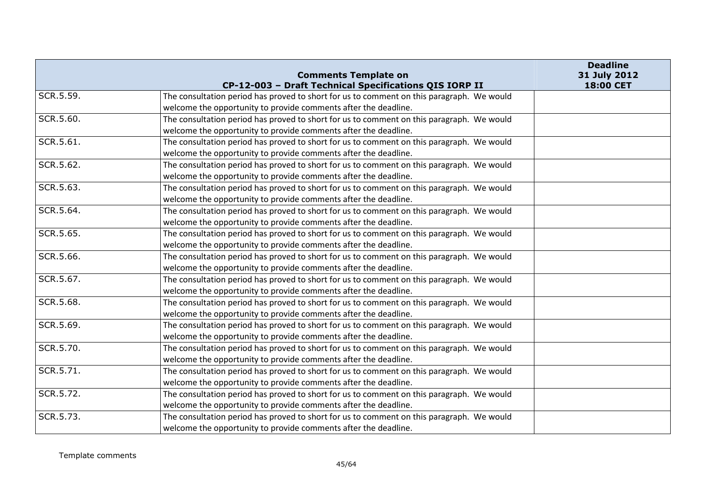|           | <b>Comments Template on</b>                                                               | <b>Deadline</b><br>31 July 2012 |
|-----------|-------------------------------------------------------------------------------------------|---------------------------------|
|           | CP-12-003 - Draft Technical Specifications QIS IORP II                                    | 18:00 CET                       |
| SCR.5.59. | The consultation period has proved to short for us to comment on this paragraph. We would |                                 |
|           | welcome the opportunity to provide comments after the deadline.                           |                                 |
| SCR.5.60. | The consultation period has proved to short for us to comment on this paragraph. We would |                                 |
|           | welcome the opportunity to provide comments after the deadline.                           |                                 |
| SCR.5.61. | The consultation period has proved to short for us to comment on this paragraph. We would |                                 |
|           | welcome the opportunity to provide comments after the deadline.                           |                                 |
| SCR.5.62. | The consultation period has proved to short for us to comment on this paragraph. We would |                                 |
|           | welcome the opportunity to provide comments after the deadline.                           |                                 |
| SCR.5.63. | The consultation period has proved to short for us to comment on this paragraph. We would |                                 |
|           | welcome the opportunity to provide comments after the deadline.                           |                                 |
| SCR.5.64. | The consultation period has proved to short for us to comment on this paragraph. We would |                                 |
|           | welcome the opportunity to provide comments after the deadline.                           |                                 |
| SCR.5.65. | The consultation period has proved to short for us to comment on this paragraph. We would |                                 |
|           | welcome the opportunity to provide comments after the deadline.                           |                                 |
| SCR.5.66. | The consultation period has proved to short for us to comment on this paragraph. We would |                                 |
|           | welcome the opportunity to provide comments after the deadline.                           |                                 |
| SCR.5.67. | The consultation period has proved to short for us to comment on this paragraph. We would |                                 |
|           | welcome the opportunity to provide comments after the deadline.                           |                                 |
| SCR.5.68. | The consultation period has proved to short for us to comment on this paragraph. We would |                                 |
|           | welcome the opportunity to provide comments after the deadline.                           |                                 |
| SCR.5.69. | The consultation period has proved to short for us to comment on this paragraph. We would |                                 |
|           | welcome the opportunity to provide comments after the deadline.                           |                                 |
| SCR.5.70. | The consultation period has proved to short for us to comment on this paragraph. We would |                                 |
|           | welcome the opportunity to provide comments after the deadline.                           |                                 |
| SCR.5.71. | The consultation period has proved to short for us to comment on this paragraph. We would |                                 |
|           | welcome the opportunity to provide comments after the deadline.                           |                                 |
| SCR.5.72. | The consultation period has proved to short for us to comment on this paragraph. We would |                                 |
|           | welcome the opportunity to provide comments after the deadline.                           |                                 |
| SCR.5.73. | The consultation period has proved to short for us to comment on this paragraph. We would |                                 |
|           | welcome the opportunity to provide comments after the deadline.                           |                                 |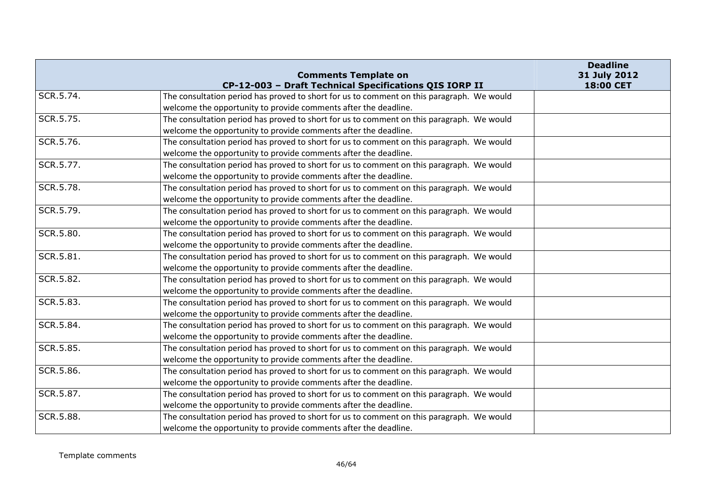|           | <b>Comments Template on</b><br>CP-12-003 - Draft Technical Specifications QIS IORP II     | <b>Deadline</b><br>31 July 2012<br>18:00 CET |
|-----------|-------------------------------------------------------------------------------------------|----------------------------------------------|
| SCR.5.74. | The consultation period has proved to short for us to comment on this paragraph. We would |                                              |
|           | welcome the opportunity to provide comments after the deadline.                           |                                              |
| SCR.5.75. | The consultation period has proved to short for us to comment on this paragraph. We would |                                              |
|           | welcome the opportunity to provide comments after the deadline.                           |                                              |
| SCR.5.76. | The consultation period has proved to short for us to comment on this paragraph. We would |                                              |
|           | welcome the opportunity to provide comments after the deadline.                           |                                              |
| SCR.5.77. | The consultation period has proved to short for us to comment on this paragraph. We would |                                              |
|           | welcome the opportunity to provide comments after the deadline.                           |                                              |
| SCR.5.78. | The consultation period has proved to short for us to comment on this paragraph. We would |                                              |
|           | welcome the opportunity to provide comments after the deadline.                           |                                              |
| SCR.5.79. | The consultation period has proved to short for us to comment on this paragraph. We would |                                              |
|           | welcome the opportunity to provide comments after the deadline.                           |                                              |
| SCR.5.80. | The consultation period has proved to short for us to comment on this paragraph. We would |                                              |
|           | welcome the opportunity to provide comments after the deadline.                           |                                              |
| SCR.5.81. | The consultation period has proved to short for us to comment on this paragraph. We would |                                              |
|           | welcome the opportunity to provide comments after the deadline.                           |                                              |
| SCR.5.82. | The consultation period has proved to short for us to comment on this paragraph. We would |                                              |
|           | welcome the opportunity to provide comments after the deadline.                           |                                              |
| SCR.5.83. | The consultation period has proved to short for us to comment on this paragraph. We would |                                              |
|           | welcome the opportunity to provide comments after the deadline.                           |                                              |
| SCR.5.84. | The consultation period has proved to short for us to comment on this paragraph. We would |                                              |
|           | welcome the opportunity to provide comments after the deadline.                           |                                              |
| SCR.5.85. | The consultation period has proved to short for us to comment on this paragraph. We would |                                              |
|           | welcome the opportunity to provide comments after the deadline.                           |                                              |
| SCR.5.86. | The consultation period has proved to short for us to comment on this paragraph. We would |                                              |
|           | welcome the opportunity to provide comments after the deadline.                           |                                              |
| SCR.5.87. | The consultation period has proved to short for us to comment on this paragraph. We would |                                              |
|           | welcome the opportunity to provide comments after the deadline.                           |                                              |
| SCR.5.88. | The consultation period has proved to short for us to comment on this paragraph. We would |                                              |
|           | welcome the opportunity to provide comments after the deadline.                           |                                              |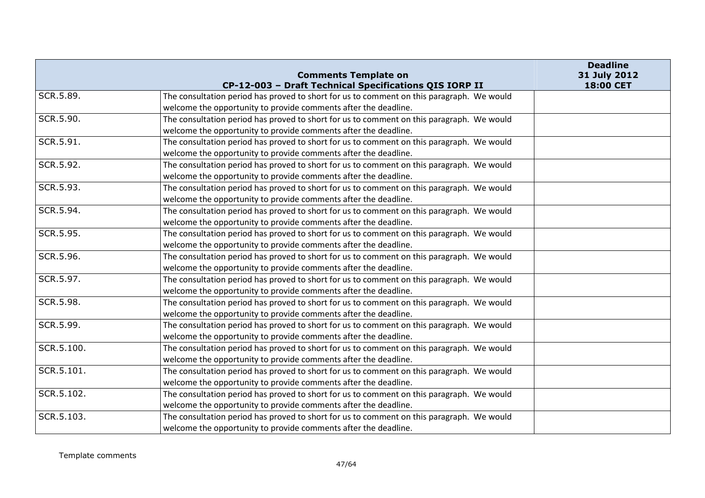|            | <b>Comments Template on</b>                                                               | <b>Deadline</b><br>31 July 2012 |
|------------|-------------------------------------------------------------------------------------------|---------------------------------|
|            | CP-12-003 - Draft Technical Specifications QIS IORP II                                    | 18:00 CET                       |
| SCR.5.89.  | The consultation period has proved to short for us to comment on this paragraph. We would |                                 |
|            | welcome the opportunity to provide comments after the deadline.                           |                                 |
| SCR.5.90.  | The consultation period has proved to short for us to comment on this paragraph. We would |                                 |
|            | welcome the opportunity to provide comments after the deadline.                           |                                 |
| SCR.5.91.  | The consultation period has proved to short for us to comment on this paragraph. We would |                                 |
|            | welcome the opportunity to provide comments after the deadline.                           |                                 |
| SCR.5.92.  | The consultation period has proved to short for us to comment on this paragraph. We would |                                 |
|            | welcome the opportunity to provide comments after the deadline.                           |                                 |
| SCR.5.93.  | The consultation period has proved to short for us to comment on this paragraph. We would |                                 |
|            | welcome the opportunity to provide comments after the deadline.                           |                                 |
| SCR.5.94.  | The consultation period has proved to short for us to comment on this paragraph. We would |                                 |
|            | welcome the opportunity to provide comments after the deadline.                           |                                 |
| SCR.5.95.  | The consultation period has proved to short for us to comment on this paragraph. We would |                                 |
|            | welcome the opportunity to provide comments after the deadline.                           |                                 |
| SCR.5.96.  | The consultation period has proved to short for us to comment on this paragraph. We would |                                 |
|            | welcome the opportunity to provide comments after the deadline.                           |                                 |
| SCR.5.97.  | The consultation period has proved to short for us to comment on this paragraph. We would |                                 |
|            | welcome the opportunity to provide comments after the deadline.                           |                                 |
| SCR.5.98.  | The consultation period has proved to short for us to comment on this paragraph. We would |                                 |
|            | welcome the opportunity to provide comments after the deadline.                           |                                 |
| SCR.5.99.  | The consultation period has proved to short for us to comment on this paragraph. We would |                                 |
|            | welcome the opportunity to provide comments after the deadline.                           |                                 |
| SCR.5.100. | The consultation period has proved to short for us to comment on this paragraph. We would |                                 |
|            | welcome the opportunity to provide comments after the deadline.                           |                                 |
| SCR.5.101. | The consultation period has proved to short for us to comment on this paragraph. We would |                                 |
|            | welcome the opportunity to provide comments after the deadline.                           |                                 |
| SCR.5.102. | The consultation period has proved to short for us to comment on this paragraph. We would |                                 |
|            | welcome the opportunity to provide comments after the deadline.                           |                                 |
| SCR.5.103. | The consultation period has proved to short for us to comment on this paragraph. We would |                                 |
|            | welcome the opportunity to provide comments after the deadline.                           |                                 |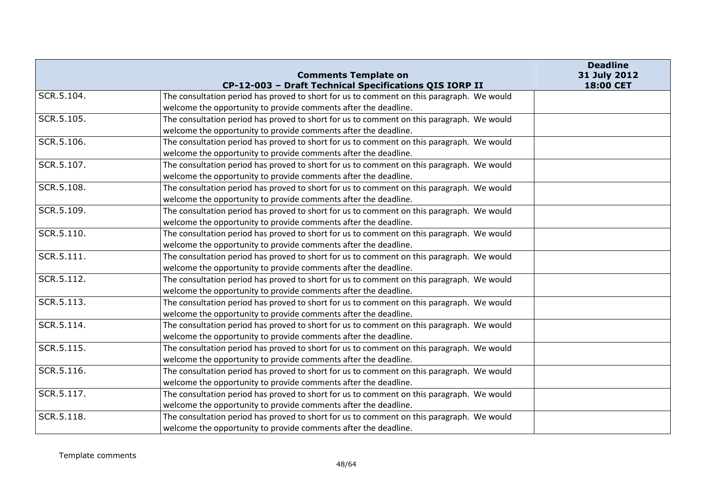|            | <b>Comments Template on</b>                                                               | <b>Deadline</b><br>31 July 2012 |
|------------|-------------------------------------------------------------------------------------------|---------------------------------|
|            | CP-12-003 - Draft Technical Specifications QIS IORP II                                    | 18:00 CET                       |
| SCR.5.104. | The consultation period has proved to short for us to comment on this paragraph. We would |                                 |
|            | welcome the opportunity to provide comments after the deadline.                           |                                 |
| SCR.5.105. | The consultation period has proved to short for us to comment on this paragraph. We would |                                 |
|            | welcome the opportunity to provide comments after the deadline.                           |                                 |
| SCR.5.106. | The consultation period has proved to short for us to comment on this paragraph. We would |                                 |
|            | welcome the opportunity to provide comments after the deadline.                           |                                 |
| SCR.5.107. | The consultation period has proved to short for us to comment on this paragraph. We would |                                 |
|            | welcome the opportunity to provide comments after the deadline.                           |                                 |
| SCR.5.108. | The consultation period has proved to short for us to comment on this paragraph. We would |                                 |
|            | welcome the opportunity to provide comments after the deadline.                           |                                 |
| SCR.5.109. | The consultation period has proved to short for us to comment on this paragraph. We would |                                 |
|            | welcome the opportunity to provide comments after the deadline.                           |                                 |
| SCR.5.110. | The consultation period has proved to short for us to comment on this paragraph. We would |                                 |
|            | welcome the opportunity to provide comments after the deadline.                           |                                 |
| SCR.5.111. | The consultation period has proved to short for us to comment on this paragraph. We would |                                 |
|            | welcome the opportunity to provide comments after the deadline.                           |                                 |
| SCR.5.112. | The consultation period has proved to short for us to comment on this paragraph. We would |                                 |
|            | welcome the opportunity to provide comments after the deadline.                           |                                 |
| SCR.5.113. | The consultation period has proved to short for us to comment on this paragraph. We would |                                 |
|            | welcome the opportunity to provide comments after the deadline.                           |                                 |
| SCR.5.114. | The consultation period has proved to short for us to comment on this paragraph. We would |                                 |
|            | welcome the opportunity to provide comments after the deadline.                           |                                 |
| SCR.5.115. | The consultation period has proved to short for us to comment on this paragraph. We would |                                 |
|            | welcome the opportunity to provide comments after the deadline.                           |                                 |
| SCR.5.116. | The consultation period has proved to short for us to comment on this paragraph. We would |                                 |
|            | welcome the opportunity to provide comments after the deadline.                           |                                 |
| SCR.5.117. | The consultation period has proved to short for us to comment on this paragraph. We would |                                 |
|            | welcome the opportunity to provide comments after the deadline.                           |                                 |
| SCR.5.118. | The consultation period has proved to short for us to comment on this paragraph. We would |                                 |
|            | welcome the opportunity to provide comments after the deadline.                           |                                 |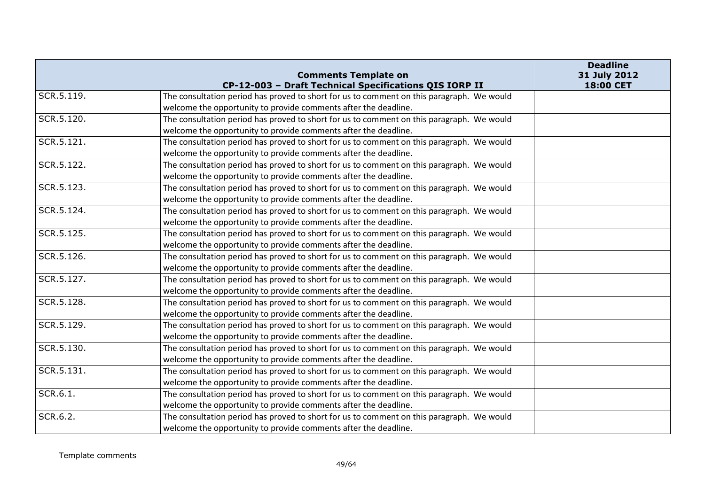|            | <b>Comments Template on</b>                                                               | <b>Deadline</b><br>31 July 2012 |
|------------|-------------------------------------------------------------------------------------------|---------------------------------|
|            | CP-12-003 - Draft Technical Specifications QIS IORP II                                    | 18:00 CET                       |
| SCR.5.119. | The consultation period has proved to short for us to comment on this paragraph. We would |                                 |
|            | welcome the opportunity to provide comments after the deadline.                           |                                 |
| SCR.5.120. | The consultation period has proved to short for us to comment on this paragraph. We would |                                 |
|            | welcome the opportunity to provide comments after the deadline.                           |                                 |
| SCR.5.121. | The consultation period has proved to short for us to comment on this paragraph. We would |                                 |
|            | welcome the opportunity to provide comments after the deadline.                           |                                 |
| SCR.5.122. | The consultation period has proved to short for us to comment on this paragraph. We would |                                 |
|            | welcome the opportunity to provide comments after the deadline.                           |                                 |
| SCR.5.123. | The consultation period has proved to short for us to comment on this paragraph. We would |                                 |
|            | welcome the opportunity to provide comments after the deadline.                           |                                 |
| SCR.5.124. | The consultation period has proved to short for us to comment on this paragraph. We would |                                 |
|            | welcome the opportunity to provide comments after the deadline.                           |                                 |
| SCR.5.125. | The consultation period has proved to short for us to comment on this paragraph. We would |                                 |
|            | welcome the opportunity to provide comments after the deadline.                           |                                 |
| SCR.5.126. | The consultation period has proved to short for us to comment on this paragraph. We would |                                 |
|            | welcome the opportunity to provide comments after the deadline.                           |                                 |
| SCR.5.127. | The consultation period has proved to short for us to comment on this paragraph. We would |                                 |
|            | welcome the opportunity to provide comments after the deadline.                           |                                 |
| SCR.5.128. | The consultation period has proved to short for us to comment on this paragraph. We would |                                 |
|            | welcome the opportunity to provide comments after the deadline.                           |                                 |
| SCR.5.129. | The consultation period has proved to short for us to comment on this paragraph. We would |                                 |
|            | welcome the opportunity to provide comments after the deadline.                           |                                 |
| SCR.5.130. | The consultation period has proved to short for us to comment on this paragraph. We would |                                 |
|            | welcome the opportunity to provide comments after the deadline.                           |                                 |
| SCR.5.131. | The consultation period has proved to short for us to comment on this paragraph. We would |                                 |
|            | welcome the opportunity to provide comments after the deadline.                           |                                 |
| SCR.6.1.   | The consultation period has proved to short for us to comment on this paragraph. We would |                                 |
|            | welcome the opportunity to provide comments after the deadline.                           |                                 |
| SCR.6.2.   | The consultation period has proved to short for us to comment on this paragraph. We would |                                 |
|            | welcome the opportunity to provide comments after the deadline.                           |                                 |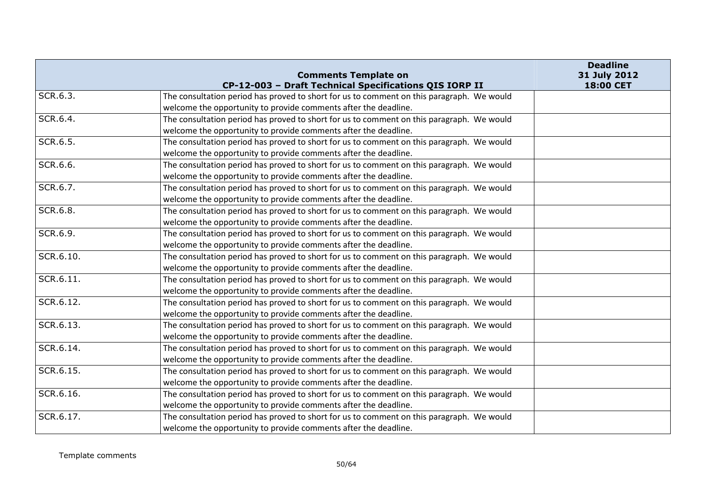|           | <b>Comments Template on</b>                                                               | <b>Deadline</b><br>31 July 2012 |
|-----------|-------------------------------------------------------------------------------------------|---------------------------------|
|           | CP-12-003 - Draft Technical Specifications QIS IORP II                                    | 18:00 CET                       |
| SCR.6.3.  | The consultation period has proved to short for us to comment on this paragraph. We would |                                 |
|           | welcome the opportunity to provide comments after the deadline.                           |                                 |
| SCR.6.4.  | The consultation period has proved to short for us to comment on this paragraph. We would |                                 |
|           | welcome the opportunity to provide comments after the deadline.                           |                                 |
| SCR.6.5.  | The consultation period has proved to short for us to comment on this paragraph. We would |                                 |
|           | welcome the opportunity to provide comments after the deadline.                           |                                 |
| SCR.6.6.  | The consultation period has proved to short for us to comment on this paragraph. We would |                                 |
|           | welcome the opportunity to provide comments after the deadline.                           |                                 |
| SCR.6.7.  | The consultation period has proved to short for us to comment on this paragraph. We would |                                 |
|           | welcome the opportunity to provide comments after the deadline.                           |                                 |
| SCR.6.8.  | The consultation period has proved to short for us to comment on this paragraph. We would |                                 |
|           | welcome the opportunity to provide comments after the deadline.                           |                                 |
| SCR.6.9.  | The consultation period has proved to short for us to comment on this paragraph. We would |                                 |
|           | welcome the opportunity to provide comments after the deadline.                           |                                 |
| SCR.6.10. | The consultation period has proved to short for us to comment on this paragraph. We would |                                 |
|           | welcome the opportunity to provide comments after the deadline.                           |                                 |
| SCR.6.11. | The consultation period has proved to short for us to comment on this paragraph. We would |                                 |
|           | welcome the opportunity to provide comments after the deadline.                           |                                 |
| SCR.6.12. | The consultation period has proved to short for us to comment on this paragraph. We would |                                 |
|           | welcome the opportunity to provide comments after the deadline.                           |                                 |
| SCR.6.13. | The consultation period has proved to short for us to comment on this paragraph. We would |                                 |
|           | welcome the opportunity to provide comments after the deadline.                           |                                 |
| SCR.6.14. | The consultation period has proved to short for us to comment on this paragraph. We would |                                 |
|           | welcome the opportunity to provide comments after the deadline.                           |                                 |
| SCR.6.15. | The consultation period has proved to short for us to comment on this paragraph. We would |                                 |
|           | welcome the opportunity to provide comments after the deadline.                           |                                 |
| SCR.6.16. | The consultation period has proved to short for us to comment on this paragraph. We would |                                 |
|           | welcome the opportunity to provide comments after the deadline.                           |                                 |
| SCR.6.17. | The consultation period has proved to short for us to comment on this paragraph. We would |                                 |
|           | welcome the opportunity to provide comments after the deadline.                           |                                 |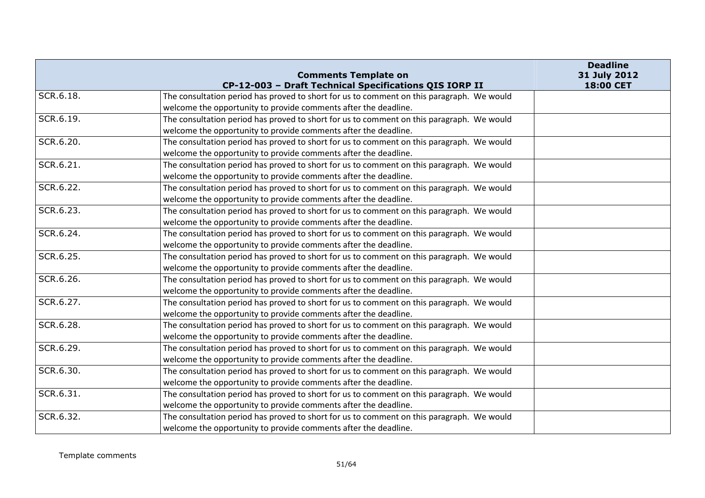|           | <b>Comments Template on</b>                                                               | <b>Deadline</b><br>31 July 2012 |
|-----------|-------------------------------------------------------------------------------------------|---------------------------------|
|           | CP-12-003 - Draft Technical Specifications QIS IORP II                                    | 18:00 CET                       |
| SCR.6.18. | The consultation period has proved to short for us to comment on this paragraph. We would |                                 |
|           | welcome the opportunity to provide comments after the deadline.                           |                                 |
| SCR.6.19. | The consultation period has proved to short for us to comment on this paragraph. We would |                                 |
|           | welcome the opportunity to provide comments after the deadline.                           |                                 |
| SCR.6.20. | The consultation period has proved to short for us to comment on this paragraph. We would |                                 |
|           | welcome the opportunity to provide comments after the deadline.                           |                                 |
| SCR.6.21. | The consultation period has proved to short for us to comment on this paragraph. We would |                                 |
|           | welcome the opportunity to provide comments after the deadline.                           |                                 |
| SCR.6.22. | The consultation period has proved to short for us to comment on this paragraph. We would |                                 |
|           | welcome the opportunity to provide comments after the deadline.                           |                                 |
| SCR.6.23. | The consultation period has proved to short for us to comment on this paragraph. We would |                                 |
|           | welcome the opportunity to provide comments after the deadline.                           |                                 |
| SCR.6.24. | The consultation period has proved to short for us to comment on this paragraph. We would |                                 |
|           | welcome the opportunity to provide comments after the deadline.                           |                                 |
| SCR.6.25. | The consultation period has proved to short for us to comment on this paragraph. We would |                                 |
|           | welcome the opportunity to provide comments after the deadline.                           |                                 |
| SCR.6.26. | The consultation period has proved to short for us to comment on this paragraph. We would |                                 |
|           | welcome the opportunity to provide comments after the deadline.                           |                                 |
| SCR.6.27. | The consultation period has proved to short for us to comment on this paragraph. We would |                                 |
|           | welcome the opportunity to provide comments after the deadline.                           |                                 |
| SCR.6.28. | The consultation period has proved to short for us to comment on this paragraph. We would |                                 |
|           | welcome the opportunity to provide comments after the deadline.                           |                                 |
| SCR.6.29. | The consultation period has proved to short for us to comment on this paragraph. We would |                                 |
|           | welcome the opportunity to provide comments after the deadline.                           |                                 |
| SCR.6.30. | The consultation period has proved to short for us to comment on this paragraph. We would |                                 |
|           | welcome the opportunity to provide comments after the deadline.                           |                                 |
| SCR.6.31. | The consultation period has proved to short for us to comment on this paragraph. We would |                                 |
|           | welcome the opportunity to provide comments after the deadline.                           |                                 |
| SCR.6.32. | The consultation period has proved to short for us to comment on this paragraph. We would |                                 |
|           | welcome the opportunity to provide comments after the deadline.                           |                                 |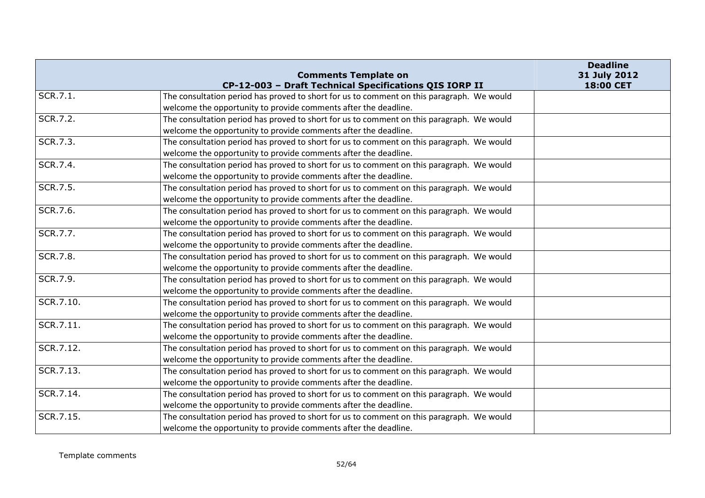|           | <b>Comments Template on</b>                                                               | <b>Deadline</b><br>31 July 2012 |
|-----------|-------------------------------------------------------------------------------------------|---------------------------------|
| SCR.7.1.  | CP-12-003 - Draft Technical Specifications QIS IORP II                                    | 18:00 CET                       |
|           | The consultation period has proved to short for us to comment on this paragraph. We would |                                 |
|           | welcome the opportunity to provide comments after the deadline.                           |                                 |
| SCR.7.2.  | The consultation period has proved to short for us to comment on this paragraph. We would |                                 |
|           | welcome the opportunity to provide comments after the deadline.                           |                                 |
| SCR.7.3.  | The consultation period has proved to short for us to comment on this paragraph. We would |                                 |
|           | welcome the opportunity to provide comments after the deadline.                           |                                 |
| SCR.7.4.  | The consultation period has proved to short for us to comment on this paragraph. We would |                                 |
|           | welcome the opportunity to provide comments after the deadline.                           |                                 |
| SCR.7.5.  | The consultation period has proved to short for us to comment on this paragraph. We would |                                 |
|           | welcome the opportunity to provide comments after the deadline.                           |                                 |
| SCR.7.6.  | The consultation period has proved to short for us to comment on this paragraph. We would |                                 |
|           | welcome the opportunity to provide comments after the deadline.                           |                                 |
| SCR.7.7.  | The consultation period has proved to short for us to comment on this paragraph. We would |                                 |
|           | welcome the opportunity to provide comments after the deadline.                           |                                 |
| SCR.7.8.  | The consultation period has proved to short for us to comment on this paragraph. We would |                                 |
|           | welcome the opportunity to provide comments after the deadline.                           |                                 |
| SCR.7.9.  | The consultation period has proved to short for us to comment on this paragraph. We would |                                 |
|           | welcome the opportunity to provide comments after the deadline.                           |                                 |
| SCR.7.10. | The consultation period has proved to short for us to comment on this paragraph. We would |                                 |
|           | welcome the opportunity to provide comments after the deadline.                           |                                 |
| SCR.7.11. | The consultation period has proved to short for us to comment on this paragraph. We would |                                 |
|           | welcome the opportunity to provide comments after the deadline.                           |                                 |
| SCR.7.12. | The consultation period has proved to short for us to comment on this paragraph. We would |                                 |
|           | welcome the opportunity to provide comments after the deadline.                           |                                 |
| SCR.7.13. | The consultation period has proved to short for us to comment on this paragraph. We would |                                 |
|           | welcome the opportunity to provide comments after the deadline.                           |                                 |
| SCR.7.14. | The consultation period has proved to short for us to comment on this paragraph. We would |                                 |
|           | welcome the opportunity to provide comments after the deadline.                           |                                 |
| SCR.7.15. | The consultation period has proved to short for us to comment on this paragraph. We would |                                 |
|           | welcome the opportunity to provide comments after the deadline.                           |                                 |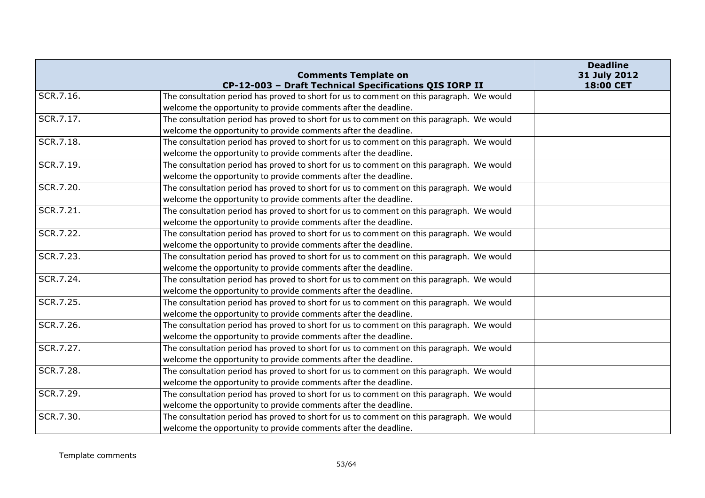|           | <b>Comments Template on</b>                                                               | <b>Deadline</b><br>31 July 2012 |
|-----------|-------------------------------------------------------------------------------------------|---------------------------------|
|           | CP-12-003 - Draft Technical Specifications QIS IORP II                                    | 18:00 CET                       |
| SCR.7.16. | The consultation period has proved to short for us to comment on this paragraph. We would |                                 |
|           | welcome the opportunity to provide comments after the deadline.                           |                                 |
| SCR.7.17. | The consultation period has proved to short for us to comment on this paragraph. We would |                                 |
|           | welcome the opportunity to provide comments after the deadline.                           |                                 |
| SCR.7.18. | The consultation period has proved to short for us to comment on this paragraph. We would |                                 |
|           | welcome the opportunity to provide comments after the deadline.                           |                                 |
| SCR.7.19. | The consultation period has proved to short for us to comment on this paragraph. We would |                                 |
|           | welcome the opportunity to provide comments after the deadline.                           |                                 |
| SCR.7.20. | The consultation period has proved to short for us to comment on this paragraph. We would |                                 |
|           | welcome the opportunity to provide comments after the deadline.                           |                                 |
| SCR.7.21. | The consultation period has proved to short for us to comment on this paragraph. We would |                                 |
|           | welcome the opportunity to provide comments after the deadline.                           |                                 |
| SCR.7.22. | The consultation period has proved to short for us to comment on this paragraph. We would |                                 |
|           | welcome the opportunity to provide comments after the deadline.                           |                                 |
| SCR.7.23. | The consultation period has proved to short for us to comment on this paragraph. We would |                                 |
|           | welcome the opportunity to provide comments after the deadline.                           |                                 |
| SCR.7.24. | The consultation period has proved to short for us to comment on this paragraph. We would |                                 |
|           | welcome the opportunity to provide comments after the deadline.                           |                                 |
| SCR.7.25. | The consultation period has proved to short for us to comment on this paragraph. We would |                                 |
|           | welcome the opportunity to provide comments after the deadline.                           |                                 |
| SCR.7.26. | The consultation period has proved to short for us to comment on this paragraph. We would |                                 |
|           | welcome the opportunity to provide comments after the deadline.                           |                                 |
| SCR.7.27. | The consultation period has proved to short for us to comment on this paragraph. We would |                                 |
|           | welcome the opportunity to provide comments after the deadline.                           |                                 |
| SCR.7.28. | The consultation period has proved to short for us to comment on this paragraph. We would |                                 |
|           | welcome the opportunity to provide comments after the deadline.                           |                                 |
| SCR.7.29. | The consultation period has proved to short for us to comment on this paragraph. We would |                                 |
|           | welcome the opportunity to provide comments after the deadline.                           |                                 |
| SCR.7.30. | The consultation period has proved to short for us to comment on this paragraph. We would |                                 |
|           | welcome the opportunity to provide comments after the deadline.                           |                                 |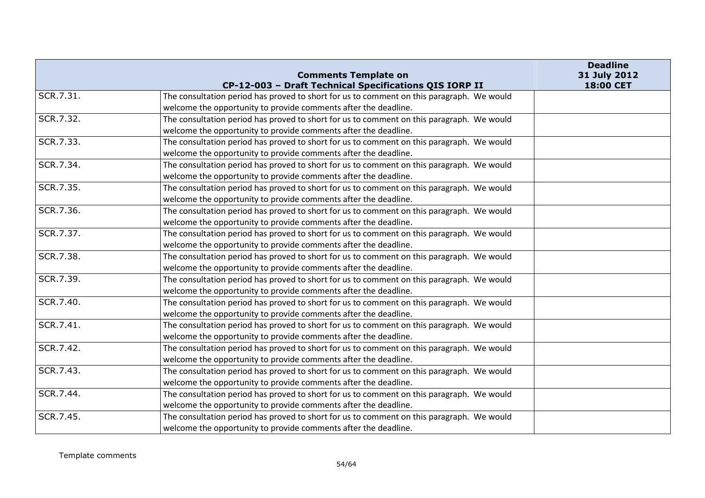|           | <b>Comments Template on</b>                                                               | <b>Deadline</b><br>31 July 2012 |
|-----------|-------------------------------------------------------------------------------------------|---------------------------------|
|           | CP-12-003 - Draft Technical Specifications QIS IORP II                                    | 18:00 CET                       |
| SCR.7.31. | The consultation period has proved to short for us to comment on this paragraph. We would |                                 |
|           | welcome the opportunity to provide comments after the deadline.                           |                                 |
| SCR.7.32. | The consultation period has proved to short for us to comment on this paragraph. We would |                                 |
|           | welcome the opportunity to provide comments after the deadline.                           |                                 |
| SCR.7.33. | The consultation period has proved to short for us to comment on this paragraph. We would |                                 |
|           | welcome the opportunity to provide comments after the deadline.                           |                                 |
| SCR.7.34. | The consultation period has proved to short for us to comment on this paragraph. We would |                                 |
|           | welcome the opportunity to provide comments after the deadline.                           |                                 |
| SCR.7.35. | The consultation period has proved to short for us to comment on this paragraph. We would |                                 |
|           | welcome the opportunity to provide comments after the deadline.                           |                                 |
| SCR.7.36. | The consultation period has proved to short for us to comment on this paragraph. We would |                                 |
|           | welcome the opportunity to provide comments after the deadline.                           |                                 |
| SCR.7.37. | The consultation period has proved to short for us to comment on this paragraph. We would |                                 |
|           | welcome the opportunity to provide comments after the deadline.                           |                                 |
| SCR.7.38. | The consultation period has proved to short for us to comment on this paragraph. We would |                                 |
|           | welcome the opportunity to provide comments after the deadline.                           |                                 |
| SCR.7.39. | The consultation period has proved to short for us to comment on this paragraph. We would |                                 |
|           | welcome the opportunity to provide comments after the deadline.                           |                                 |
| SCR.7.40. | The consultation period has proved to short for us to comment on this paragraph. We would |                                 |
|           | welcome the opportunity to provide comments after the deadline.                           |                                 |
| SCR.7.41. | The consultation period has proved to short for us to comment on this paragraph. We would |                                 |
|           | welcome the opportunity to provide comments after the deadline.                           |                                 |
| SCR.7.42. | The consultation period has proved to short for us to comment on this paragraph. We would |                                 |
|           | welcome the opportunity to provide comments after the deadline.                           |                                 |
| SCR.7.43. | The consultation period has proved to short for us to comment on this paragraph. We would |                                 |
|           | welcome the opportunity to provide comments after the deadline.                           |                                 |
| SCR.7.44. | The consultation period has proved to short for us to comment on this paragraph. We would |                                 |
|           | welcome the opportunity to provide comments after the deadline.                           |                                 |
| SCR.7.45. | The consultation period has proved to short for us to comment on this paragraph. We would |                                 |
|           | welcome the opportunity to provide comments after the deadline.                           |                                 |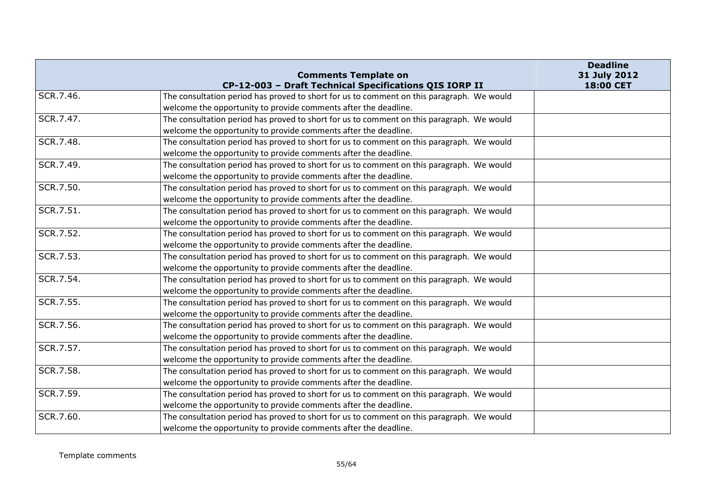|           | <b>Comments Template on</b>                                                               | <b>Deadline</b><br>31 July 2012 |
|-----------|-------------------------------------------------------------------------------------------|---------------------------------|
|           | CP-12-003 - Draft Technical Specifications QIS IORP II                                    | 18:00 CET                       |
| SCR.7.46. | The consultation period has proved to short for us to comment on this paragraph. We would |                                 |
|           | welcome the opportunity to provide comments after the deadline.                           |                                 |
| SCR.7.47. | The consultation period has proved to short for us to comment on this paragraph. We would |                                 |
|           | welcome the opportunity to provide comments after the deadline.                           |                                 |
| SCR.7.48. | The consultation period has proved to short for us to comment on this paragraph. We would |                                 |
|           | welcome the opportunity to provide comments after the deadline.                           |                                 |
| SCR.7.49. | The consultation period has proved to short for us to comment on this paragraph. We would |                                 |
|           | welcome the opportunity to provide comments after the deadline.                           |                                 |
| SCR.7.50. | The consultation period has proved to short for us to comment on this paragraph. We would |                                 |
|           | welcome the opportunity to provide comments after the deadline.                           |                                 |
| SCR.7.51. | The consultation period has proved to short for us to comment on this paragraph. We would |                                 |
|           | welcome the opportunity to provide comments after the deadline.                           |                                 |
| SCR.7.52. | The consultation period has proved to short for us to comment on this paragraph. We would |                                 |
|           | welcome the opportunity to provide comments after the deadline.                           |                                 |
| SCR.7.53. | The consultation period has proved to short for us to comment on this paragraph. We would |                                 |
|           | welcome the opportunity to provide comments after the deadline.                           |                                 |
| SCR.7.54. | The consultation period has proved to short for us to comment on this paragraph. We would |                                 |
|           | welcome the opportunity to provide comments after the deadline.                           |                                 |
| SCR.7.55. | The consultation period has proved to short for us to comment on this paragraph. We would |                                 |
|           | welcome the opportunity to provide comments after the deadline.                           |                                 |
| SCR.7.56. | The consultation period has proved to short for us to comment on this paragraph. We would |                                 |
|           | welcome the opportunity to provide comments after the deadline.                           |                                 |
| SCR.7.57. | The consultation period has proved to short for us to comment on this paragraph. We would |                                 |
|           | welcome the opportunity to provide comments after the deadline.                           |                                 |
| SCR.7.58. | The consultation period has proved to short for us to comment on this paragraph. We would |                                 |
|           | welcome the opportunity to provide comments after the deadline.                           |                                 |
| SCR.7.59. | The consultation period has proved to short for us to comment on this paragraph. We would |                                 |
|           | welcome the opportunity to provide comments after the deadline.                           |                                 |
| SCR.7.60. | The consultation period has proved to short for us to comment on this paragraph. We would |                                 |
|           | welcome the opportunity to provide comments after the deadline.                           |                                 |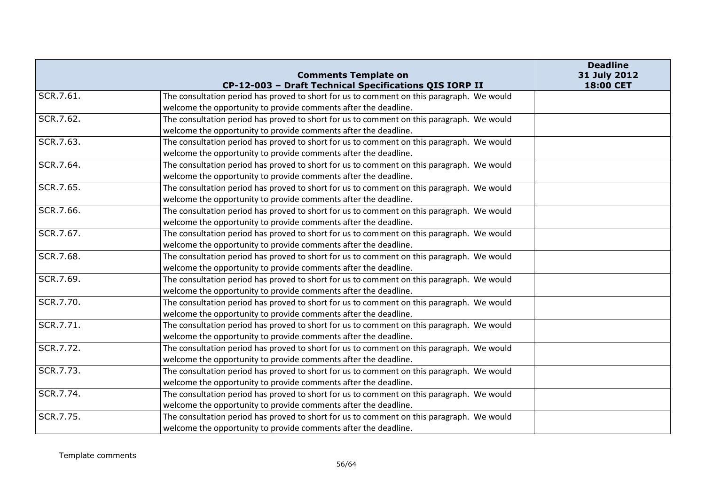|           | <b>Comments Template on</b>                                                               | <b>Deadline</b><br>31 July 2012 |
|-----------|-------------------------------------------------------------------------------------------|---------------------------------|
|           | CP-12-003 - Draft Technical Specifications QIS IORP II                                    | 18:00 CET                       |
| SCR.7.61. | The consultation period has proved to short for us to comment on this paragraph. We would |                                 |
|           | welcome the opportunity to provide comments after the deadline.                           |                                 |
| SCR.7.62. | The consultation period has proved to short for us to comment on this paragraph. We would |                                 |
|           | welcome the opportunity to provide comments after the deadline.                           |                                 |
| SCR.7.63. | The consultation period has proved to short for us to comment on this paragraph. We would |                                 |
|           | welcome the opportunity to provide comments after the deadline.                           |                                 |
| SCR.7.64. | The consultation period has proved to short for us to comment on this paragraph. We would |                                 |
|           | welcome the opportunity to provide comments after the deadline.                           |                                 |
| SCR.7.65. | The consultation period has proved to short for us to comment on this paragraph. We would |                                 |
|           | welcome the opportunity to provide comments after the deadline.                           |                                 |
| SCR.7.66. | The consultation period has proved to short for us to comment on this paragraph. We would |                                 |
|           | welcome the opportunity to provide comments after the deadline.                           |                                 |
| SCR.7.67. | The consultation period has proved to short for us to comment on this paragraph. We would |                                 |
|           | welcome the opportunity to provide comments after the deadline.                           |                                 |
| SCR.7.68. | The consultation period has proved to short for us to comment on this paragraph. We would |                                 |
|           | welcome the opportunity to provide comments after the deadline.                           |                                 |
| SCR.7.69. | The consultation period has proved to short for us to comment on this paragraph. We would |                                 |
|           | welcome the opportunity to provide comments after the deadline.                           |                                 |
| SCR.7.70. | The consultation period has proved to short for us to comment on this paragraph. We would |                                 |
|           | welcome the opportunity to provide comments after the deadline.                           |                                 |
| SCR.7.71. | The consultation period has proved to short for us to comment on this paragraph. We would |                                 |
|           | welcome the opportunity to provide comments after the deadline.                           |                                 |
| SCR.7.72. | The consultation period has proved to short for us to comment on this paragraph. We would |                                 |
|           | welcome the opportunity to provide comments after the deadline.                           |                                 |
| SCR.7.73. | The consultation period has proved to short for us to comment on this paragraph. We would |                                 |
|           | welcome the opportunity to provide comments after the deadline.                           |                                 |
| SCR.7.74. | The consultation period has proved to short for us to comment on this paragraph. We would |                                 |
|           | welcome the opportunity to provide comments after the deadline.                           |                                 |
| SCR.7.75. | The consultation period has proved to short for us to comment on this paragraph. We would |                                 |
|           | welcome the opportunity to provide comments after the deadline.                           |                                 |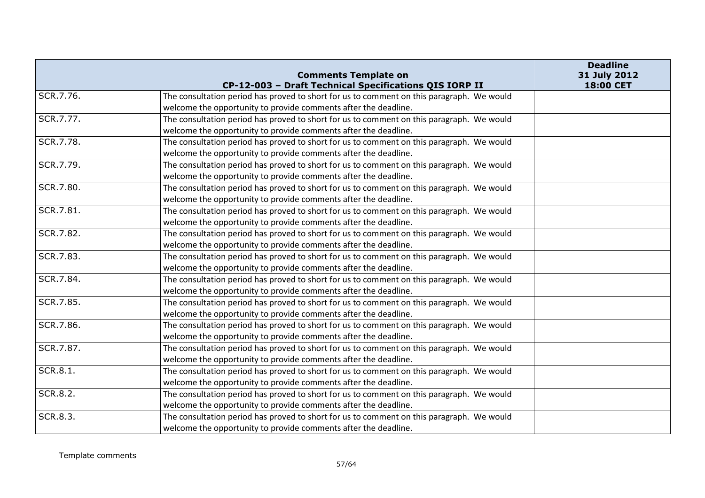|                 | <b>Comments Template on</b>                                                               | <b>Deadline</b><br>31 July 2012 |
|-----------------|-------------------------------------------------------------------------------------------|---------------------------------|
|                 | CP-12-003 - Draft Technical Specifications QIS IORP II                                    | 18:00 CET                       |
| SCR.7.76.       | The consultation period has proved to short for us to comment on this paragraph. We would |                                 |
|                 | welcome the opportunity to provide comments after the deadline.                           |                                 |
| SCR.7.77.       | The consultation period has proved to short for us to comment on this paragraph. We would |                                 |
|                 | welcome the opportunity to provide comments after the deadline.                           |                                 |
| SCR.7.78.       | The consultation period has proved to short for us to comment on this paragraph. We would |                                 |
|                 | welcome the opportunity to provide comments after the deadline.                           |                                 |
| SCR.7.79.       | The consultation period has proved to short for us to comment on this paragraph. We would |                                 |
|                 | welcome the opportunity to provide comments after the deadline.                           |                                 |
| SCR.7.80.       | The consultation period has proved to short for us to comment on this paragraph. We would |                                 |
|                 | welcome the opportunity to provide comments after the deadline.                           |                                 |
| SCR.7.81.       | The consultation period has proved to short for us to comment on this paragraph. We would |                                 |
|                 | welcome the opportunity to provide comments after the deadline.                           |                                 |
| SCR.7.82.       | The consultation period has proved to short for us to comment on this paragraph. We would |                                 |
|                 | welcome the opportunity to provide comments after the deadline.                           |                                 |
| SCR.7.83.       | The consultation period has proved to short for us to comment on this paragraph. We would |                                 |
|                 | welcome the opportunity to provide comments after the deadline.                           |                                 |
| SCR.7.84.       | The consultation period has proved to short for us to comment on this paragraph. We would |                                 |
|                 | welcome the opportunity to provide comments after the deadline.                           |                                 |
| SCR.7.85.       | The consultation period has proved to short for us to comment on this paragraph. We would |                                 |
|                 | welcome the opportunity to provide comments after the deadline.                           |                                 |
| SCR.7.86.       | The consultation period has proved to short for us to comment on this paragraph. We would |                                 |
|                 | welcome the opportunity to provide comments after the deadline.                           |                                 |
| SCR.7.87.       | The consultation period has proved to short for us to comment on this paragraph. We would |                                 |
|                 | welcome the opportunity to provide comments after the deadline.                           |                                 |
| <b>SCR.8.1.</b> | The consultation period has proved to short for us to comment on this paragraph. We would |                                 |
|                 | welcome the opportunity to provide comments after the deadline.                           |                                 |
| <b>SCR.8.2.</b> | The consultation period has proved to short for us to comment on this paragraph. We would |                                 |
|                 | welcome the opportunity to provide comments after the deadline.                           |                                 |
| SCR.8.3.        | The consultation period has proved to short for us to comment on this paragraph. We would |                                 |
|                 | welcome the opportunity to provide comments after the deadline.                           |                                 |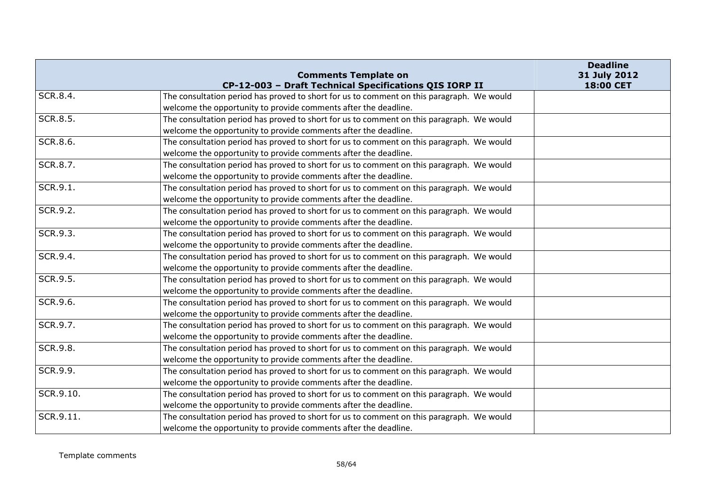|                 | <b>Comments Template on</b>                                                                                                                                  | <b>Deadline</b><br>31 July 2012<br>18:00 CET |
|-----------------|--------------------------------------------------------------------------------------------------------------------------------------------------------------|----------------------------------------------|
| SCR.8.4.        | CP-12-003 - Draft Technical Specifications QIS IORP II<br>The consultation period has proved to short for us to comment on this paragraph. We would          |                                              |
|                 | welcome the opportunity to provide comments after the deadline.                                                                                              |                                              |
| <b>SCR.8.5.</b> |                                                                                                                                                              |                                              |
|                 | The consultation period has proved to short for us to comment on this paragraph. We would                                                                    |                                              |
| SCR.8.6.        | welcome the opportunity to provide comments after the deadline.<br>The consultation period has proved to short for us to comment on this paragraph. We would |                                              |
|                 |                                                                                                                                                              |                                              |
|                 | welcome the opportunity to provide comments after the deadline.                                                                                              |                                              |
| SCR.8.7.        | The consultation period has proved to short for us to comment on this paragraph. We would                                                                    |                                              |
|                 | welcome the opportunity to provide comments after the deadline.                                                                                              |                                              |
| SCR.9.1.        | The consultation period has proved to short for us to comment on this paragraph. We would                                                                    |                                              |
|                 | welcome the opportunity to provide comments after the deadline.                                                                                              |                                              |
| SCR.9.2.        | The consultation period has proved to short for us to comment on this paragraph. We would                                                                    |                                              |
|                 | welcome the opportunity to provide comments after the deadline.                                                                                              |                                              |
| SCR.9.3.        | The consultation period has proved to short for us to comment on this paragraph. We would                                                                    |                                              |
|                 | welcome the opportunity to provide comments after the deadline.                                                                                              |                                              |
| SCR.9.4.        | The consultation period has proved to short for us to comment on this paragraph. We would                                                                    |                                              |
|                 | welcome the opportunity to provide comments after the deadline.                                                                                              |                                              |
| SCR.9.5.        | The consultation period has proved to short for us to comment on this paragraph. We would                                                                    |                                              |
|                 | welcome the opportunity to provide comments after the deadline.                                                                                              |                                              |
| SCR.9.6.        | The consultation period has proved to short for us to comment on this paragraph. We would                                                                    |                                              |
|                 | welcome the opportunity to provide comments after the deadline.                                                                                              |                                              |
| SCR.9.7.        | The consultation period has proved to short for us to comment on this paragraph. We would                                                                    |                                              |
|                 | welcome the opportunity to provide comments after the deadline.                                                                                              |                                              |
| <b>SCR.9.8.</b> | The consultation period has proved to short for us to comment on this paragraph. We would                                                                    |                                              |
|                 | welcome the opportunity to provide comments after the deadline.                                                                                              |                                              |
| SCR.9.9.        | The consultation period has proved to short for us to comment on this paragraph. We would                                                                    |                                              |
|                 | welcome the opportunity to provide comments after the deadline.                                                                                              |                                              |
| SCR.9.10.       | The consultation period has proved to short for us to comment on this paragraph. We would                                                                    |                                              |
|                 | welcome the opportunity to provide comments after the deadline.                                                                                              |                                              |
| SCR.9.11.       | The consultation period has proved to short for us to comment on this paragraph. We would                                                                    |                                              |
|                 | welcome the opportunity to provide comments after the deadline.                                                                                              |                                              |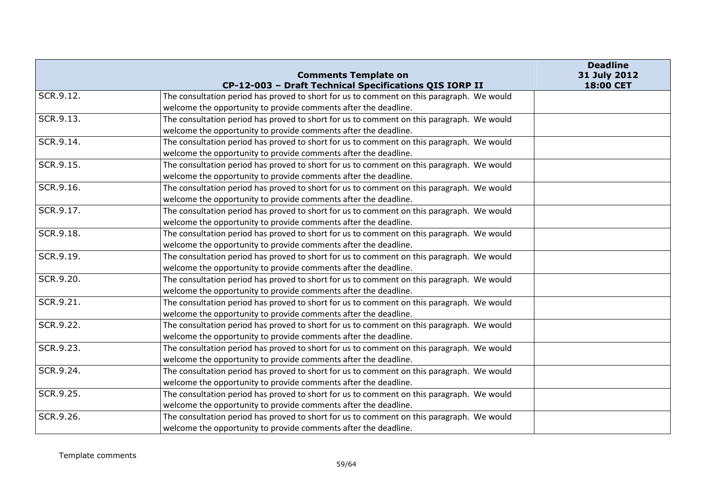|           | <b>Comments Template on</b>                                                               | <b>Deadline</b><br>31 July 2012 |
|-----------|-------------------------------------------------------------------------------------------|---------------------------------|
|           | CP-12-003 - Draft Technical Specifications QIS IORP II                                    | 18:00 CET                       |
| SCR.9.12. | The consultation period has proved to short for us to comment on this paragraph. We would |                                 |
|           | welcome the opportunity to provide comments after the deadline.                           |                                 |
| SCR.9.13. | The consultation period has proved to short for us to comment on this paragraph. We would |                                 |
|           | welcome the opportunity to provide comments after the deadline.                           |                                 |
| SCR.9.14. | The consultation period has proved to short for us to comment on this paragraph. We would |                                 |
|           | welcome the opportunity to provide comments after the deadline.                           |                                 |
| SCR.9.15. | The consultation period has proved to short for us to comment on this paragraph. We would |                                 |
|           | welcome the opportunity to provide comments after the deadline.                           |                                 |
| SCR.9.16. | The consultation period has proved to short for us to comment on this paragraph. We would |                                 |
|           | welcome the opportunity to provide comments after the deadline.                           |                                 |
| SCR.9.17. | The consultation period has proved to short for us to comment on this paragraph. We would |                                 |
|           | welcome the opportunity to provide comments after the deadline.                           |                                 |
| SCR.9.18. | The consultation period has proved to short for us to comment on this paragraph. We would |                                 |
|           | welcome the opportunity to provide comments after the deadline.                           |                                 |
| SCR.9.19. | The consultation period has proved to short for us to comment on this paragraph. We would |                                 |
|           | welcome the opportunity to provide comments after the deadline.                           |                                 |
| SCR.9.20. | The consultation period has proved to short for us to comment on this paragraph. We would |                                 |
|           | welcome the opportunity to provide comments after the deadline.                           |                                 |
| SCR.9.21. | The consultation period has proved to short for us to comment on this paragraph. We would |                                 |
|           | welcome the opportunity to provide comments after the deadline.                           |                                 |
| SCR.9.22. | The consultation period has proved to short for us to comment on this paragraph. We would |                                 |
|           | welcome the opportunity to provide comments after the deadline.                           |                                 |
| SCR.9.23. | The consultation period has proved to short for us to comment on this paragraph. We would |                                 |
|           | welcome the opportunity to provide comments after the deadline.                           |                                 |
| SCR.9.24. | The consultation period has proved to short for us to comment on this paragraph. We would |                                 |
|           | welcome the opportunity to provide comments after the deadline.                           |                                 |
| SCR.9.25. | The consultation period has proved to short for us to comment on this paragraph. We would |                                 |
|           | welcome the opportunity to provide comments after the deadline.                           |                                 |
| SCR.9.26. | The consultation period has proved to short for us to comment on this paragraph. We would |                                 |
|           | welcome the opportunity to provide comments after the deadline.                           |                                 |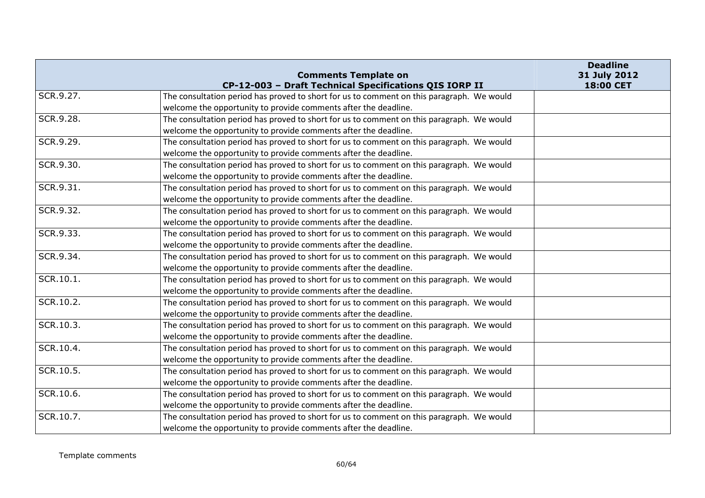|           | <b>Comments Template on</b><br>CP-12-003 - Draft Technical Specifications QIS IORP II     | <b>Deadline</b><br>31 July 2012<br>18:00 CET |
|-----------|-------------------------------------------------------------------------------------------|----------------------------------------------|
| SCR.9.27. | The consultation period has proved to short for us to comment on this paragraph. We would |                                              |
|           | welcome the opportunity to provide comments after the deadline.                           |                                              |
| SCR.9.28. |                                                                                           |                                              |
|           | The consultation period has proved to short for us to comment on this paragraph. We would |                                              |
| SCR.9.29. | welcome the opportunity to provide comments after the deadline.                           |                                              |
|           | The consultation period has proved to short for us to comment on this paragraph. We would |                                              |
|           | welcome the opportunity to provide comments after the deadline.                           |                                              |
| SCR.9.30. | The consultation period has proved to short for us to comment on this paragraph. We would |                                              |
|           | welcome the opportunity to provide comments after the deadline.                           |                                              |
| SCR.9.31. | The consultation period has proved to short for us to comment on this paragraph. We would |                                              |
|           | welcome the opportunity to provide comments after the deadline.                           |                                              |
| SCR.9.32. | The consultation period has proved to short for us to comment on this paragraph. We would |                                              |
|           | welcome the opportunity to provide comments after the deadline.                           |                                              |
| SCR.9.33. | The consultation period has proved to short for us to comment on this paragraph. We would |                                              |
|           | welcome the opportunity to provide comments after the deadline.                           |                                              |
| SCR.9.34. | The consultation period has proved to short for us to comment on this paragraph. We would |                                              |
|           | welcome the opportunity to provide comments after the deadline.                           |                                              |
| SCR.10.1. | The consultation period has proved to short for us to comment on this paragraph. We would |                                              |
|           | welcome the opportunity to provide comments after the deadline.                           |                                              |
| SCR.10.2. | The consultation period has proved to short for us to comment on this paragraph. We would |                                              |
|           | welcome the opportunity to provide comments after the deadline.                           |                                              |
| SCR.10.3. | The consultation period has proved to short for us to comment on this paragraph. We would |                                              |
|           | welcome the opportunity to provide comments after the deadline.                           |                                              |
| SCR.10.4. | The consultation period has proved to short for us to comment on this paragraph. We would |                                              |
|           | welcome the opportunity to provide comments after the deadline.                           |                                              |
| SCR.10.5. | The consultation period has proved to short for us to comment on this paragraph. We would |                                              |
|           | welcome the opportunity to provide comments after the deadline.                           |                                              |
| SCR.10.6. | The consultation period has proved to short for us to comment on this paragraph. We would |                                              |
|           | welcome the opportunity to provide comments after the deadline.                           |                                              |
| SCR.10.7. | The consultation period has proved to short for us to comment on this paragraph. We would |                                              |
|           | welcome the opportunity to provide comments after the deadline.                           |                                              |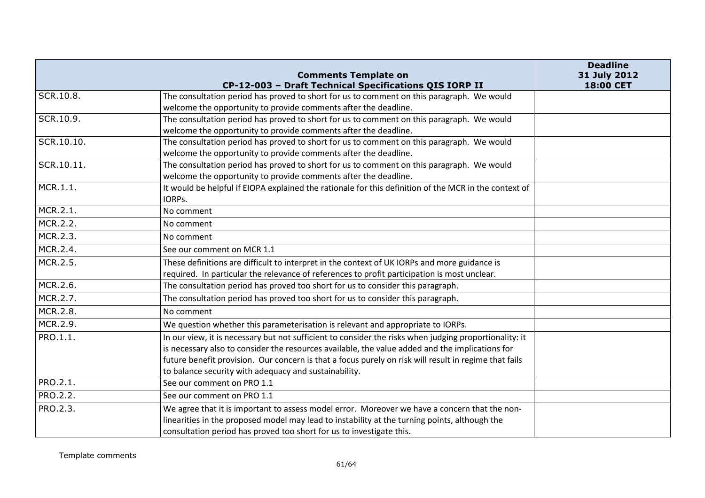|            | <b>Comments Template on</b><br>CP-12-003 - Draft Technical Specifications QIS IORP II                  | <b>Deadline</b><br>31 July 2012<br>18:00 CET |
|------------|--------------------------------------------------------------------------------------------------------|----------------------------------------------|
| SCR.10.8.  | The consultation period has proved to short for us to comment on this paragraph. We would              |                                              |
|            | welcome the opportunity to provide comments after the deadline.                                        |                                              |
| SCR.10.9.  | The consultation period has proved to short for us to comment on this paragraph. We would              |                                              |
|            | welcome the opportunity to provide comments after the deadline.                                        |                                              |
| SCR.10.10. | The consultation period has proved to short for us to comment on this paragraph. We would              |                                              |
|            | welcome the opportunity to provide comments after the deadline.                                        |                                              |
| SCR.10.11. | The consultation period has proved to short for us to comment on this paragraph. We would              |                                              |
|            | welcome the opportunity to provide comments after the deadline.                                        |                                              |
| MCR.1.1.   | It would be helpful if EIOPA explained the rationale for this definition of the MCR in the context of  |                                              |
|            | IORPs.                                                                                                 |                                              |
| MCR.2.1.   | No comment                                                                                             |                                              |
| MCR.2.2.   | No comment                                                                                             |                                              |
| MCR.2.3.   | No comment                                                                                             |                                              |
| MCR.2.4.   | See our comment on MCR 1.1                                                                             |                                              |
| MCR.2.5.   | These definitions are difficult to interpret in the context of UK IORPs and more guidance is           |                                              |
|            | required. In particular the relevance of references to profit participation is most unclear.           |                                              |
| MCR.2.6.   | The consultation period has proved too short for us to consider this paragraph.                        |                                              |
| MCR.2.7.   | The consultation period has proved too short for us to consider this paragraph.                        |                                              |
| MCR.2.8.   | No comment                                                                                             |                                              |
| MCR.2.9.   | We question whether this parameterisation is relevant and appropriate to IORPs.                        |                                              |
| PRO.1.1.   | In our view, it is necessary but not sufficient to consider the risks when judging proportionality: it |                                              |
|            | is necessary also to consider the resources available, the value added and the implications for        |                                              |
|            | future benefit provision. Our concern is that a focus purely on risk will result in regime that fails  |                                              |
|            | to balance security with adequacy and sustainability.                                                  |                                              |
| PRO.2.1.   | See our comment on PRO 1.1                                                                             |                                              |
| PRO.2.2.   | See our comment on PRO 1.1                                                                             |                                              |
| PRO.2.3.   | We agree that it is important to assess model error. Moreover we have a concern that the non-          |                                              |
|            | linearities in the proposed model may lead to instability at the turning points, although the          |                                              |
|            | consultation period has proved too short for us to investigate this.                                   |                                              |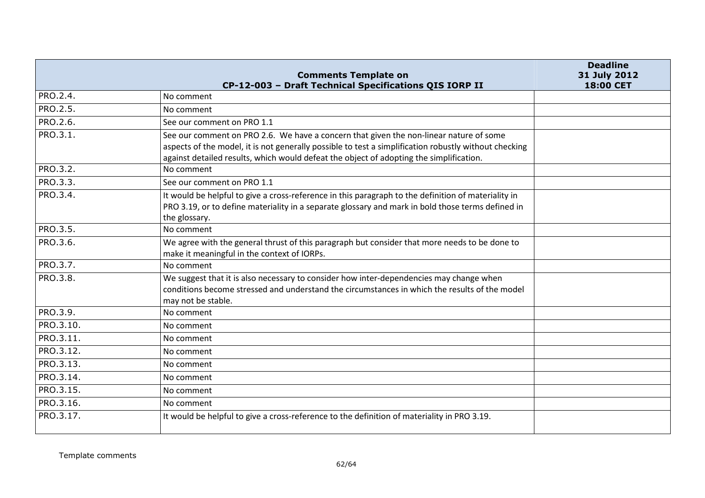|           | <b>Comments Template on</b><br>CP-12-003 - Draft Technical Specifications QIS IORP II                                                                                                                                                                                                      | <b>Deadline</b><br>31 July 2012<br>18:00 CET |
|-----------|--------------------------------------------------------------------------------------------------------------------------------------------------------------------------------------------------------------------------------------------------------------------------------------------|----------------------------------------------|
| PRO.2.4.  | No comment                                                                                                                                                                                                                                                                                 |                                              |
| PRO.2.5.  | No comment                                                                                                                                                                                                                                                                                 |                                              |
| PRO.2.6.  | See our comment on PRO 1.1                                                                                                                                                                                                                                                                 |                                              |
| PRO.3.1.  | See our comment on PRO 2.6. We have a concern that given the non-linear nature of some<br>aspects of the model, it is not generally possible to test a simplification robustly without checking<br>against detailed results, which would defeat the object of adopting the simplification. |                                              |
| PRO.3.2.  | No comment                                                                                                                                                                                                                                                                                 |                                              |
| PRO.3.3.  | See our comment on PRO 1.1                                                                                                                                                                                                                                                                 |                                              |
| PRO.3.4.  | It would be helpful to give a cross-reference in this paragraph to the definition of materiality in<br>PRO 3.19, or to define materiality in a separate glossary and mark in bold those terms defined in<br>the glossary.                                                                  |                                              |
| PRO.3.5.  | No comment                                                                                                                                                                                                                                                                                 |                                              |
| PRO.3.6.  | We agree with the general thrust of this paragraph but consider that more needs to be done to<br>make it meaningful in the context of IORPs.                                                                                                                                               |                                              |
| PRO.3.7.  | No comment                                                                                                                                                                                                                                                                                 |                                              |
| PRO.3.8.  | We suggest that it is also necessary to consider how inter-dependencies may change when<br>conditions become stressed and understand the circumstances in which the results of the model<br>may not be stable.                                                                             |                                              |
| PRO.3.9.  | No comment                                                                                                                                                                                                                                                                                 |                                              |
| PRO.3.10. | No comment                                                                                                                                                                                                                                                                                 |                                              |
| PRO.3.11. | No comment                                                                                                                                                                                                                                                                                 |                                              |
| PRO.3.12. | No comment                                                                                                                                                                                                                                                                                 |                                              |
| PRO.3.13. | No comment                                                                                                                                                                                                                                                                                 |                                              |
| PRO.3.14. | No comment                                                                                                                                                                                                                                                                                 |                                              |
| PRO.3.15. | No comment                                                                                                                                                                                                                                                                                 |                                              |
| PRO.3.16. | No comment                                                                                                                                                                                                                                                                                 |                                              |
| PRO.3.17. | It would be helpful to give a cross-reference to the definition of materiality in PRO 3.19.                                                                                                                                                                                                |                                              |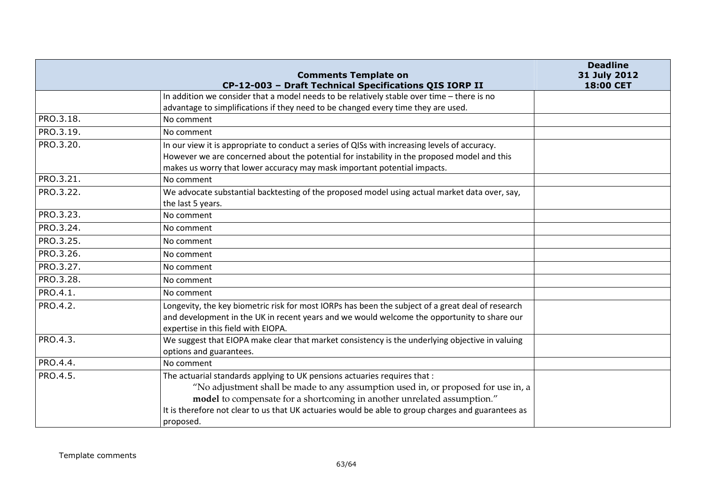|           | <b>Comments Template on</b>                                                                        | <b>Deadline</b><br>31 July 2012 |
|-----------|----------------------------------------------------------------------------------------------------|---------------------------------|
|           | CP-12-003 - Draft Technical Specifications QIS IORP II                                             | 18:00 CET                       |
|           | In addition we consider that a model needs to be relatively stable over time - there is no         |                                 |
|           | advantage to simplifications if they need to be changed every time they are used.                  |                                 |
| PRO.3.18. | No comment                                                                                         |                                 |
| PRO.3.19. | No comment                                                                                         |                                 |
| PRO.3.20. | In our view it is appropriate to conduct a series of QISs with increasing levels of accuracy.      |                                 |
|           | However we are concerned about the potential for instability in the proposed model and this        |                                 |
|           | makes us worry that lower accuracy may mask important potential impacts.                           |                                 |
| PRO.3.21. | No comment                                                                                         |                                 |
| PRO.3.22. | We advocate substantial backtesting of the proposed model using actual market data over, say,      |                                 |
|           | the last 5 years.                                                                                  |                                 |
| PRO.3.23. | No comment                                                                                         |                                 |
| PRO.3.24. | No comment                                                                                         |                                 |
| PRO.3.25. | No comment                                                                                         |                                 |
| PRO.3.26. | No comment                                                                                         |                                 |
| PRO.3.27. | No comment                                                                                         |                                 |
| PRO.3.28. | No comment                                                                                         |                                 |
| PRO.4.1.  | No comment                                                                                         |                                 |
| PRO.4.2.  | Longevity, the key biometric risk for most IORPs has been the subject of a great deal of research  |                                 |
|           | and development in the UK in recent years and we would welcome the opportunity to share our        |                                 |
|           | expertise in this field with EIOPA.                                                                |                                 |
| PRO.4.3.  | We suggest that EIOPA make clear that market consistency is the underlying objective in valuing    |                                 |
|           | options and guarantees.                                                                            |                                 |
| PRO.4.4.  | No comment                                                                                         |                                 |
| PRO.4.5.  | The actuarial standards applying to UK pensions actuaries requires that :                          |                                 |
|           | "No adjustment shall be made to any assumption used in, or proposed for use in, a                  |                                 |
|           | model to compensate for a shortcoming in another unrelated assumption."                            |                                 |
|           | It is therefore not clear to us that UK actuaries would be able to group charges and guarantees as |                                 |
|           | proposed.                                                                                          |                                 |